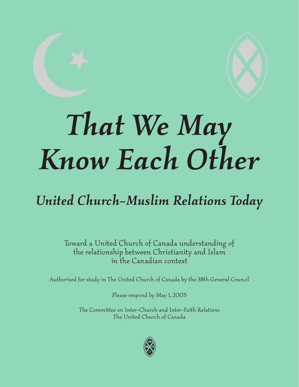

# *That We May Know Each Other*

# *United Church–Muslim Relations Today*

Toward a United Church of Canada understanding of the relationship between Christianity and Islam in the Canadian context

Authorized for study in The United Church of Canada by the 38th General Council

Please respond by May 1, 2005

The Committee on Inter-Church and Inter-Faith Relations The United Church of Canada

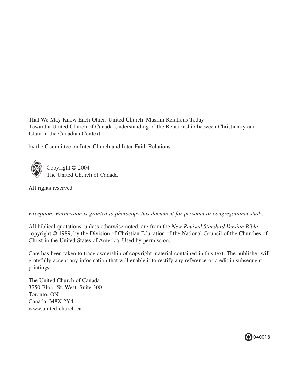That We May Know Each Other: United Church–Muslim Relations Today Toward a United Church of Canada Understanding of the Relationship between Christianity and Islam in the Canadian Context

by the Committee on Inter-Church and Inter-Faith Relations



Copyright © 2004 The United Church of Canada

All rights reserved.

*Exception: Permission is granted to photocopy this document for personal or congregational study.*

All biblical quotations, unless otherwise noted, are from the *New Revised Standard Version Bible*, copyright © 1989, by the Division of Christian Education of the National Council of the Churches of Christ in the United States of America. Used by permission.

Care has been taken to trace ownership of copyright material contained in this text. The publisher will gratefully accept any information that will enable it to rectify any reference or credit in subsequent printings.

The United Church of Canada 3250 Bloor St. West, Suite 300 Toronto, ON Canada M8X 2Y4 www.united-church.ca

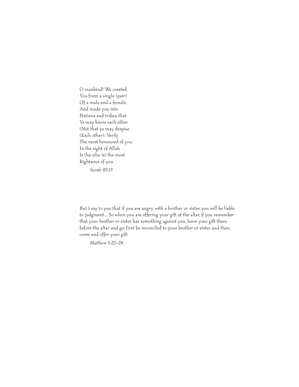O mankind! We created You from a single (pair) Of a male and a female, And made you into Nations and tribes, that Ye may know each other (Not that ye may despise (Each other). Verily The most honoured of you In the sight of Allah Is (he who is) the most Righteous of you.

*Surah 49:13*

But I say to you that if you are angry with a brother or sister, you will be liable to judgment.… So when you are offering your gift at the altar, if you remember that your brother or sister has something against you, leave your gift there before the altar and go; first be reconciled to your brother or sister, and then come and offer your gift.

*Matthew 5:22–24*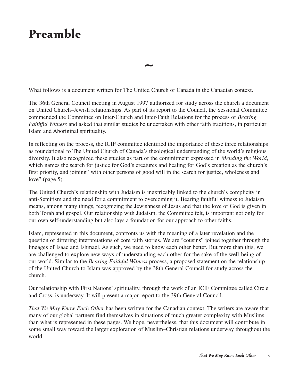# **Preamble**

What follows is a document written for The United Church of Canada in the Canadian context.

The 36th General Council meeting in August 1997 authorized for study across the church a document on United Church–Jewish relationships. As part of its report to the Council, the Sessional Committee commended the Committee on Inter-Church and Inter-Faith Relations for the process of *Bearing Faithful Witness* and asked that similar studies be undertaken with other faith traditions, in particular Islam and Aboriginal spirituality.

**~**

In reflecting on the process, the ICIF committee identified the importance of these three relationships as foundational to The United Church of Canada's theological understanding of the world's religious diversity. It also recognized these studies as part of the commitment expressed in *Mending the World*, which names the search for justice for God's creatures and healing for God's creation as the church's first priority, and joining "with other persons of good will in the search for justice, wholeness and love" (page 5).

The United Church's relationship with Judaism is inextricably linked to the church's complicity in anti-Semitism and the need for a commitment to overcoming it. Bearing faithful witness to Judaism means, among many things, recognizing the Jewishness of Jesus and that the love of God is given in both Torah and gospel. Our relationship with Judaism, the Committee felt, is important not only for our own self-understanding but also lays a foundation for our approach to other faiths.

Islam, represented in this document, confronts us with the meaning of a later revelation and the question of differing interpretations of core faith stories. We are "cousins" joined together through the lineages of Isaac and Ishmael. As such, we need to know each other better. But more than this, we are challenged to explore new ways of understanding each other for the sake of the well-being of our world. Similar to the *Bearing Faithful Witness* process, a proposed statement on the relationship of the United Church to Islam was approved by the 38th General Council for study across the church.

Our relationship with First Nations' spirituality, through the work of an ICIF Committee called Circle and Cross, is underway. It will present a major report to the 39th General Council.

*That We May Know Each Other* has been written for the Canadian context. The writers are aware that many of our global partners find themselves in situations of much greater complexity with Muslims than what is represented in these pages. We hope, nevertheless, that this document will contribute in some small way toward the larger exploration of Muslim–Christian relations underway throughout the world.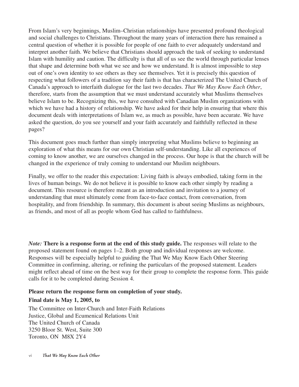From Islam's very beginnings, Muslim–Christian relationships have presented profound theological and social challenges to Christians. Throughout the many years of interaction there has remained a central question of whether it is possible for people of one faith to ever adequately understand and interpret another faith. We believe that Christians should approach the task of seeking to understand Islam with humility and caution. The difficulty is that all of us see the world through particular lenses that shape and determine both what we see and how we understand. It is almost impossible to step out of one's own identity to see others as they see themselves. Yet it is precisely this question of respecting what followers of a tradition say their faith is that has characterized The United Church of Canada's approach to interfaith dialogue for the last two decades. *That We May Know Each Other*, therefore, starts from the assumption that we must understand accurately what Muslims themselves believe Islam to be. Recognizing this, we have consulted with Canadian Muslim organizations with which we have had a history of relationship. We have asked for their help in ensuring that where this document deals with interpretations of Islam we, as much as possible, have been accurate. We have asked the question, do you see yourself and your faith accurately and faithfully reflected in these pages?

This document goes much further than simply interpreting what Muslims believe to beginning an exploration of what this means for our own Christian self-understanding. Like all experiences of coming to know another, we are ourselves changed in the process. Our hope is that the church will be changed in the experience of truly coming to understand our Muslim neighbours.

Finally, we offer to the reader this expectation: Living faith is always embodied, taking form in the lives of human beings. We do not believe it is possible to know each other simply by reading a document. This resource is therefore meant as an introduction and invitation to a journey of understanding that must ultimately come from face-to-face contact, from conversation, from hospitality, and from friendship. In summary, this document is about seeing Muslims as neighbours, as friends, and most of all as people whom God has called to faithfulness.

*Note:* **There is a response form at the end of this study guide.** The responses will relate to the proposed statement found on pages 1–2. Both group and individual responses are welcome. Responses will be especially helpful to guiding the That We May Know Each Other Steering Committee in confirming, altering, or refining the particulars of the proposed statement. Leaders might reflect ahead of time on the best way for their group to complete the response form. This guide calls for it to be completed during Session 4.

#### **Please return the response form on completion of your study.**

#### **Final date is May 1, 2005, to**

The Committee on Inter-Church and Inter-Faith Relations Justice, Global and Ecumenical Relations Unit The United Church of Canada 3250 Bloor St. West, Suite 300 Toronto, ON M8X 2Y4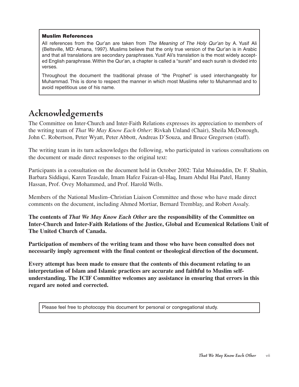#### **Muslim References**

All references from the Qur'an are taken from *The Meaning of The Holy Qur'an* by A. Yusif Ali (Beltsville, MD: Amana, 1997). Muslims believe that the only true version of the Qur'an is in Arabic and that all translations are secondary paraphrases.Yusif Ali's translation is the most widely accepted English paraphrase. Within the Qur'an, a chapter is called a "surah" and each surah is divided into verses.

Throughout the document the traditional phrase of "the Prophet" is used interchangeably for Muhammad. This is done to respect the manner in which most Muslims refer to Muhammad and to avoid repetitious use of his name.

### Acknowledgements

The Committee on Inter-Church and Inter-Faith Relations expresses its appreciation to members of the writing team of *That We May Know Each Other*: Rivkah Unland (Chair), Sheila McDonough, John C. Robertson, Peter Wyatt, Peter Abbott, Andreas D'Souza, and Bruce Gregersen (staff).

The writing team in its turn acknowledges the following, who participated in various consultations on the document or made direct responses to the original text:

Participants in a consultation on the document held in October 2002: Talat Muinuddin, Dr. F. Shahin, Barbara Siddiqui, Karen Teasdale, Imam Hafez Faizan-ul-Haq, Imam Abdul Hai Patel, Hanny Hassan, Prof. Ovey Mohammed, and Prof. Harold Wells.

Members of the National Muslim–Christian Liaison Committee and those who have made direct comments on the document, including Ahmed Mortiar, Bernard Tremblay, and Robert Assaly.

**The contents of** *That We May Know Each Other* **are the responsibility of the Committee on Inter-Church and Inter-Faith Relations of the Justice, Global and Ecumenical Relations Unit of The United Church of Canada.** 

**Participation of members of the writing team and those who have been consulted does not necessarily imply agreement with the final content or theological direction of the document.**

**Every attempt has been made to ensure that the contents of this document relating to an interpretation of Islam and Islamic practices are accurate and faithful to Muslim selfunderstanding. The ICIF Committee welcomes any assistance in ensuring that errors in this regard are noted and corrected.**

Please feel free to photocopy this document for personal or congregational study.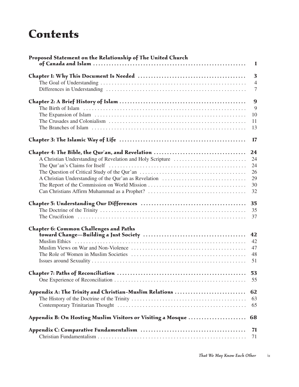# **Contents**

| Proposed Statement on the Relationship of The United Church | $\mathbf{1}$          |
|-------------------------------------------------------------|-----------------------|
|                                                             | 3                     |
|                                                             | $\overline{4}$        |
|                                                             | $\overline{7}$        |
|                                                             |                       |
|                                                             | $\boldsymbol{9}$<br>9 |
|                                                             |                       |
|                                                             | 10                    |
|                                                             | 11                    |
|                                                             | 13                    |
|                                                             | 17                    |
|                                                             | 24                    |
| A Christian Understanding of Revelation and Holy Scripture  | 24                    |
|                                                             | 24                    |
|                                                             | 26                    |
|                                                             | 29                    |
|                                                             | 30                    |
| The Report of the Commission on World Mission               |                       |
|                                                             | 32                    |
|                                                             | 35                    |
|                                                             | 35                    |
|                                                             | 37                    |
|                                                             |                       |
| <b>Chapter 6: Common Challenges and Paths</b>               |                       |
|                                                             | 42                    |
|                                                             | 42                    |
|                                                             | 47                    |
|                                                             | 48                    |
|                                                             | 51                    |
|                                                             |                       |
|                                                             | 53                    |
|                                                             | 55                    |
| Appendix A: The Trinity and Christian-Muslim Relations      | 62                    |
|                                                             | 63                    |
|                                                             | 65                    |
| Appendix B: On Hosting Muslim Visitors or Visiting a Mosque | 68                    |
|                                                             |                       |
|                                                             | 71                    |
|                                                             | 71                    |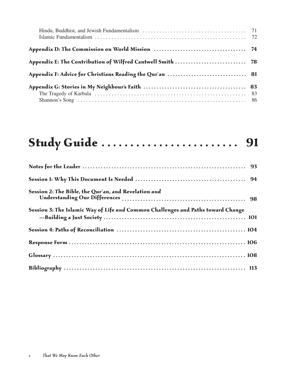# **Study Guide . . . . . . . . . . . . . . . . . . . . . . . . 91**

| Session 2: The Bible, the Qur'an, and Revelation and                             |  |
|----------------------------------------------------------------------------------|--|
| Session 3: The Islamic Way of Life and Common Challenges and Paths toward Change |  |
|                                                                                  |  |
|                                                                                  |  |
|                                                                                  |  |
|                                                                                  |  |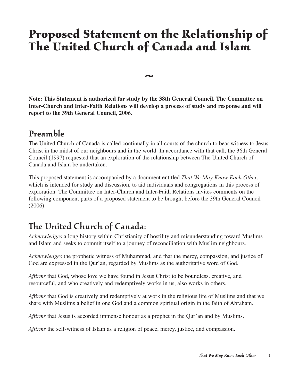# **Proposed Statement on the Relationship of The United Church of Canada and Islam**

**~**

**Note: This Statement is authorized for study by the 38th General Council. The Committee on Inter-Church and Inter-Faith Relations will develop a process of study and response and will report to the 39th General Council, 2006.**

### Preamble

The United Church of Canada is called continually in all courts of the church to bear witness to Jesus Christ in the midst of our neighbours and in the world. In accordance with that call, the 36th General Council (1997) requested that an exploration of the relationship between The United Church of Canada and Islam be undertaken.

This proposed statement is accompanied by a document entitled *That We May Know Each Other*, which is intended for study and discussion, to aid individuals and congregations in this process of exploration. The Committee on Inter-Church and Inter-Faith Relations invites comments on the following component parts of a proposed statement to be brought before the 39th General Council (2006).

## The United Church of Canada:

*Acknowledges* a long history within Christianity of hostility and misunderstanding toward Muslims and Islam and seeks to commit itself to a journey of reconciliation with Muslim neighbours.

*Acknowledges* the prophetic witness of Muhammad, and that the mercy, compassion, and justice of God are expressed in the Qur'an, regarded by Muslims as the authoritative word of God.

*Affirms* that God, whose love we have found in Jesus Christ to be boundless, creative, and resourceful, and who creatively and redemptively works in us, also works in others.

*Affirms* that God is creatively and redemptively at work in the religious life of Muslims and that we share with Muslims a belief in one God and a common spiritual origin in the faith of Abraham.

*Affirms* that Jesus is accorded immense honour as a prophet in the Qur'an and by Muslims.

*Affirms* the self-witness of Islam as a religion of peace, mercy, justice, and compassion.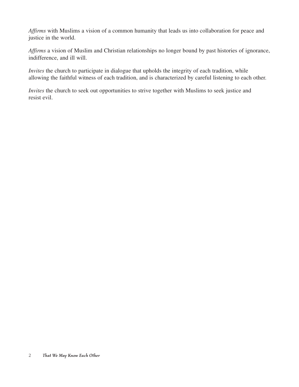*Affirms* with Muslims a vision of a common humanity that leads us into collaboration for peace and justice in the world.

*Affirms* a vision of Muslim and Christian relationships no longer bound by past histories of ignorance, indifference, and ill will.

*Invites* the church to participate in dialogue that upholds the integrity of each tradition, while allowing the faithful witness of each tradition, and is characterized by careful listening to each other.

*Invites* the church to seek out opportunities to strive together with Muslims to seek justice and resist evil.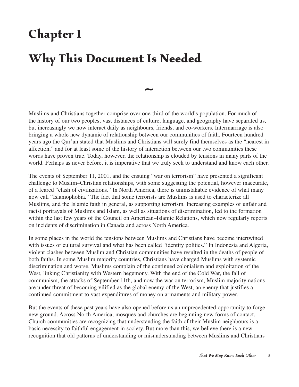# **Chapter 1**

# **Why This Document Is Needed**

Muslims and Christians together comprise over one-third of the world's population. For much of the history of our two peoples, vast distances of culture, language, and geography have separated us, but increasingly we now interact daily as neighbours, friends, and co-workers. Intermarriage is also bringing a whole new dynamic of relationship between our communities of faith. Fourteen hundred years ago the Qur'an stated that Muslims and Christians will surely find themselves as the "nearest in affection," and for at least some of the history of interaction between our two communities these words have proven true. Today, however, the relationship is clouded by tensions in many parts of the world. Perhaps as never before, it is imperative that we truly seek to understand and know each other.

**~**

The events of September 11, 2001, and the ensuing "war on terrorism" have presented a significant challenge to Muslim–Christian relationships, with some suggesting the potential, however inaccurate, of a feared "clash of civilizations." In North America, there is unmistakable evidence of what many now call "Islamophobia." The fact that some terrorists are Muslims is used to characterize all Muslims, and the Islamic faith in general, as supporting terrorism. Increasing examples of unfair and racist portrayals of Muslims and Islam, as well as situations of discrimination, led to the formation within the last few years of the Council on American–Islamic Relations, which now regularly reports on incidents of discrimination in Canada and across North America.

In some places in the world the tensions between Muslims and Christians have become intertwined with issues of cultural survival and what has been called "identity politics." In Indonesia and Algeria, violent clashes between Muslim and Christian communities have resulted in the deaths of people of both faiths. In some Muslim majority countries, Christians have charged Muslims with systemic discrimination and worse. Muslims complain of the continued colonialism and exploitation of the West, linking Christianity with Western hegemony. With the end of the Cold War, the fall of communism, the attacks of September 11th, and now the war on terrorism, Muslim majority nations are under threat of becoming vilified as the global enemy of the West, an enemy that justifies a continued commitment to vast expenditures of money on armaments and military power.

But the events of these past years have also opened before us an unprecedented opportunity to forge new ground. Across North America, mosques and churches are beginning new forms of contact. Church communities are recognizing that understanding the faith of their Muslim neighbours is a basic necessity to faithful engagement in society. But more than this, we believe there is a new recognition that old patterns of understanding or misunderstanding between Muslims and Christians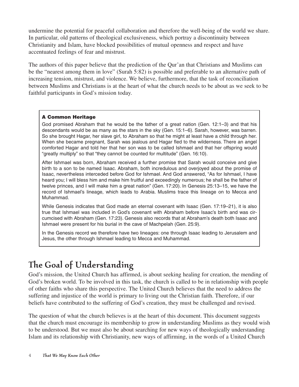undermine the potential for peaceful collaboration and therefore the well-being of the world we share. In particular, old patterns of theological exclusiveness, which portray a discontinuity between Christianity and Islam, have blocked possibilities of mutual openness and respect and have accentuated feelings of fear and mistrust.

The authors of this paper believe that the prediction of the Qur'an that Christians and Muslims can be the "nearest among them in love" (Surah 5:82) is possible and preferable to an alternative path of increasing tension, mistrust, and violence. We believe, furthermore, that the task of reconciliation between Muslims and Christians is at the heart of what the church needs to be about as we seek to be faithful participants in God's mission today.

#### **A Common Heritage**

God promised Abraham that he would be the father of a great nation (Gen. 12:1–3) and that his descendants would be as many as the stars in the sky (Gen. 15:1–6). Sarah, however, was barren. So she brought Hagar, her slave girl, to Abraham so that he might at least have a child through her. When she became pregnant, Sarah was jealous and Hagar fled to the wilderness. There an angel comforted Hagar and told her that her son was to be called Ishmael and that her offspring would "greatly multiply" so that "they cannot be counted for multitude" (Gen. 16:10).

After Ishmael was born, Abraham received a further promise that Sarah would conceive and give birth to a son to be named Isaac. Abraham, both incredulous and overjoyed about the promise of Isaac, nevertheless interceded before God for Ishmael. And God answered, "As for Ishmael, I have heard you; I will bless him and make him fruitful and exceedingly numerous; he shall be the father of twelve princes, and I will make him a great nation" (Gen. 17:20). In Genesis 25:13–15, we have the record of Ishmael's lineage, which leads to Arabia. Muslims trace this lineage on to Mecca and Muhammad.

While Genesis indicates that God made an eternal covenant with Isaac (Gen. 17:19–21), it is also true that Ishmael was included in God's covenant with Abraham before Isaac's birth and was circumcised with Abraham (Gen. 17:23). Genesis also records that at Abraham's death both Isaac and Ishmael were present for his burial in the cave of Machpelah (Gen. 25:9).

In the Genesis record we therefore have two lineages: one through Isaac leading to Jerusalem and Jesus, the other through Ishmael leading to Mecca and Muhammad.

### The Goal of Understanding

God's mission, the United Church has affirmed, is about seeking healing for creation, the mending of God's broken world. To be involved in this task, the church is called to be in relationship with people of other faiths who share this perspective. The United Church believes that the need to address the suffering and injustice of the world is primary to living out the Christian faith. Therefore, if our beliefs have contributed to the suffering of God's creation, they must be challenged and revised.

The question of what the church believes is at the heart of this document. This document suggests that the church must encourage its membership to grow in understanding Muslims as they would wish to be understood. But we must also be about searching for new ways of theologically understanding Islam and its relationship with Christianity, new ways of affirming, in the words of a United Church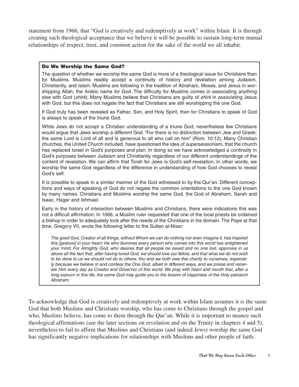statement from 1966, that "God is creatively and redemptively at work" within Islam. It is through creating such theological acceptance that we believe it will be possible to sustain long-term mutual relationships of respect, trust, and common action for the sake of the world we all inhabit.

#### **Do We Worship the Same God?**

The question of whether we worship the same God is more of a theological issue for Christians than for Muslims. Muslims readily accept a continuity of history and revelation among Judaism, Christianity, and Islam. Muslims are following in the tradition of Abraham, Moses, and Jesus in worshipping Allah, the Arabic name for God. The difficulty for Muslims comes in associating anything else with God (*shirk*). Many Muslims believe that Christians are guilty of *shirk* in associating Jesus with God, but this does not negate the fact that Christians are still worshipping the one God.

If God truly has been revealed as Father, Son, and Holy Spirit, then for Christians to speak of God is always to speak of the triune God.

While Jews do not accept a Christian understanding of a triune God, nevertheless few Christians would argue that Jews worship a different God. "For there is no distinction between Jew and Greek; the same Lord is Lord of all and is generous to all who call on him" (Rom. 10:12). Many Christian churches, the United Church included, have questioned the idea of supersessionism, that the church has replaced Israel in God's purposes and plan. In doing so we have acknowledged a continuity in God's purposes between Judaism and Christianity regardless of our different understandings of the content of revelation. We can affirm that Torah for Jews is God's self-revelation. In other words, we worship the same God regardless of the difference in understanding of how God chooses to reveal God's self.

It is possible to speak in a similar manner of the God witnessed to by the Qur'an. Different conceptions and ways of speaking of God do not negate the common orientations to the one God known by many names. Christians and Muslims worship the same God, the God of Abraham, Sarah and Isaac, Hagar and Ishmael.

Early in the history of interaction between Muslims and Christians, there were indications this was not a difficult affirmation. In 1066, a Muslim ruler requested that one of the local priests be ordained a bishop in order to adequately look after the needs of the Christians in his domain. The Pope at that time, Gregory VII, wrote the following letter to the Sultan al-Nisar:

*The good God, Creator of all things, without Whom we can do nothing nor even imagine it, has inspired this [gesture] in your heart. He who illumines every person who comes into this world has enlightened your mind. For Almighty God, who desires that all people be saved and no one lost, approves in us above all the fact that, after having loved God, we should love our fellow, and that what we do not wish to be done to us we should not do to others. You and we both owe this charity to ourselves, especially because we believe in and confess the One God, albeit in different ways, and we praise and venerate Him every day as Creator and Governor of this world. We pray with heart and mouth that, after a long sojourn in this life, the same God may guide you to the bosom of happiness of the Holy patriarch Abraham.*<sup>1</sup>

To acknowledge that God is creatively and redemptively at work within Islam assumes it is the same God that both Muslims and Christians worship, who has come to Christians through the gospel and who, Muslims believe, has come to them through the Qur'an. While it is important to nuance such theological affirmations (see the later sections on revelation and on the Trinity in chapters 4 and 5), nevertheless to fail to affirm that Muslims and Christians (and indeed Jews) worship the same God has significantly negative implications for relationships with Muslims and other people of faith.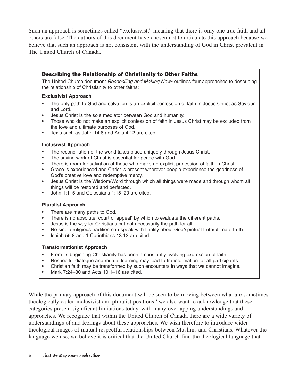Such an approach is sometimes called "exclusivist," meaning that there is only one true faith and all others are false. The authors of this document have chosen not to articulate this approach because we believe that such an approach is not consistent with the understanding of God in Christ prevalent in The United Church of Canada.

#### **Describing the Relationship of Christianity to Other Faiths**

The United Church document *Reconciling and Making New<sup>2</sup>* outlines four approaches to describing the relationship of Christianity to other faiths:

#### **Exclusivist Approach**

- The only path to God and salvation is an explicit confession of faith in Jesus Christ as Saviour and Lord.
- Jesus Christ is the sole mediator between God and humanity.
- Those who do not make an explicit confession of faith in Jesus Christ may be excluded from the love and ultimate purposes of God.
- Texts such as John 14:6 and Acts 4:12 are cited.

#### **Inclusivist Approach**

- The reconciliation of the world takes place uniquely through Jesus Christ.
- The saving work of Christ is essential for peace with God.
- There is room for salvation of those who make no explicit profession of faith in Christ.
- Grace is experienced and Christ is present wherever people experience the goodness of God's creative love and redemptive mercy.
- Jesus Christ is the Wisdom/Word through which all things were made and through whom all things will be restored and perfected.
- John 1:1–5 and Colossians 1:15–20 are cited.

#### **Pluralist Approach**

- There are many paths to God.
- There is no absolute "court of appeal" by which to evaluate the different paths.
- Jesus is the way for Christians but not necessarily the path for all.
- No single religious tradition can speak with finality about God/spiritual truth/ultimate truth.
- Isaiah 55:8 and 1 Corinthians 13:12 are cited.

#### **Transformationist Approach**

- From its beginning Christianity has been a constantly evolving expression of faith.
- Respectful dialogue and mutual learning may lead to transformation for all participants.
- Christian faith may be transformed by such encounters in ways that we cannot imagine.
- Mark 7:24–30 and Acts 10:1–16 are cited.

While the primary approach of this document will be seen to be moving between what are sometimes theologically called inclusivist and pluralist positions,<sup>3</sup> we also want to acknowledge that these categories present significant limitations today, with many overlapping understandings and approaches. We recognize that within the United Church of Canada there are a wide variety of understandings of and feelings about these approaches. We wish therefore to introduce wider theological images of mutual respectful relationships between Muslims and Christians. Whatever the language we use, we believe it is critical that the United Church find the theological language that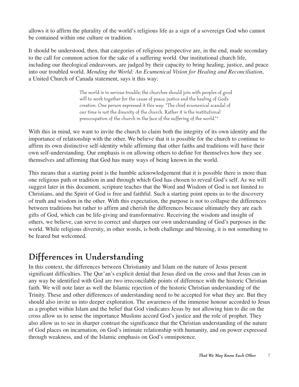allows it to affirm the plurality of the world's religious life as a sign of a sovereign God who cannot be contained within one culture or tradition.

It should be understood, then, that categories of religious perspective are, in the end, made secondary to the call for common action for the sake of a suffering world. Our institutional church life, including our theological endeavours, are judged by their capacity to bring healing, justice, and peace into our troubled world. *Mending the World: An Ecumenical Vision for Healing and Reconciliation*, a United Church of Canada statement, says it this way:

> The world is in serious trouble; the churches should join with peoples of good will to work together for the cause of peace, justice and the healing of God's creation. One person expressed it this way: "The chief ecumenical scandal of our time is not the disunity of the church. Rather it is the institutional preoccupation of the church in the face of the suffering of the world."4

With this in mind, we want to invite the church to claim both the integrity of its own identity and the importance of relationship with the other. We believe that it is possible for the church to continue to affirm its own distinctive self-identity while affirming that other faiths and traditions will have their own self-understanding. Our emphasis is on allowing others to define for themselves how they see themselves and affirming that God has many ways of being known in the world.

This means that a starting point is the humble acknowledgement that it is possible there is more than one religious path or tradition in and through which God has chosen to reveal God's self. As we will suggest later in this document, scripture teaches that the Word and Wisdom of God is not limited to Christians, and the Spirit of God is free and faithful. Such a starting point opens us to the discovery of truth and wisdom in the other. With this expectation, the purpose is not to collapse the differences between traditions but rather to affirm and cherish the differences because ultimately they are each gifts of God, which can be life-giving and transformative. Receiving the wisdom and insight of others, we believe, can serve to correct and sharpen our own understanding of God's purposes in the world. While religious diversity, in other words, is both challenge and blessing, it is not something to be feared but welcomed.

### Differences in Understanding

In this context, the differences between Christianity and Islam on the nature of Jesus present significant difficulties. The Qur'an's explicit denial that Jesus died on the cross and that Jesus can in any way be identified with God are two irreconcilable points of difference with the historic Christian faith. We will note later as well the Islamic rejection of the historic Christian understanding of the Trinity. These and other differences of understanding need to be accepted for what they are. But they should also invite us into deeper exploration. The awareness of the immense honour accorded to Jesus as a prophet within Islam and the belief that God vindicates Jesus by not allowing him to die on the cross allow us to sense the importance Muslims accord God's justice and the role of prophet. They also allow us to see in sharper contrast the significance that the Christian understanding of the nature of God places on incarnation, on God's intimate relationship with humanity, and on power expressed through weakness, and of the Islamic emphasis on God's omnipotence.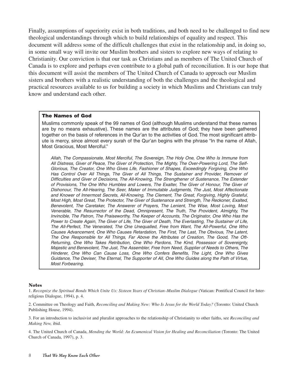Finally, assumptions of superiority exist in both traditions, and both need to be challenged to find new theological understandings through which to build relationships of equality and respect. This document will address some of the difficult challenges that exist in the relationship and, in doing so, in some small way will invite our Muslim brothers and sisters to explore new ways of relating to Christianity. Our conviction is that our task as Christians and as members of The United Church of Canada is to explore and perhaps even contribute to a global path of reconciliation. It is our hope that this document will assist the members of The United Church of Canada to approach our Muslim sisters and brothers with a realistic understanding of both the challenges and the theological and practical resources available to us for building a society in which Muslims and Christians can truly know and understand each other.

#### **The Names of God**

Muslims commonly speak of the 99 names of God (although Muslims understand that these names are by no means exhaustive). These names are the attributes of God; they have been gathered together on the basis of references in the Qur'an to the activities of God. The most significant attribute is mercy, since almost every surah of the Qur'an begins with the phrase "In the name of Allah, Most Gracious, Most Merciful."

*Allah, The Compassionate, Most Merciful, The Sovereign, The Holy One, One Who Is Immune from All Distress, Giver of Peace, The Giver of Protection, The Mighty, The Over-Powering Lord, The Self-Glorious, The Creator, One Who Gives Life, Fashioner of Shapes, Exceedingly Forgiving, One Who Has Control Over All Things, The Giver of All Things, The Sustainer and Provider, Remover of Difficulties and Giver of Decisions, The All-Knowing, The Strengthener of Sustenance, The Extender of Provisions, The One Who Humbles and Lowers, The Exalter, The Giver of Honour, The Giver of Dishonour, The All-Hearing, The Seer, Maker of Immutable Judgments, The Just, Most Affectionate and Knower of Innermost Secrets, All-Knowing, The Clement, The Great, Forgiving, Highly Grateful, Most High, Most Great, The Protector, The Giver of Sustenance and Strength, The Reckoner, Exalted, Benevolent, The Caretaker, The Answerer of Prayers, The Lenient, The Wise, Most Loving, Most Venerable, The Resurrector of the Dead, Omnipresent, The Truth, The Provident, Almighty, The Invincible, The Patron, The Praiseworthy, The Keeper of Accounts, The Originator, One Who Has the Power to Create Again, The Giver of Life, The Giver of Death, The Everlasting, The Sustainer of Life, The All-Perfect, The Venerated, The One Unequalled, Free from Want, The All-Powerful, One Who Causes Advancement, One Who Causes Retardation, The First, The Last, The Obvious, The Latent, The One Responsible for All Things, Far Above the Attributes of Creation, The Good, The Oft-Returning, One Who Takes Retribution, One Who Pardons, The Kind, Possessor of Sovereignty, Majestic and Benevolent, The Just, The Assembler, Free from Need, Supplier of Needs to Others, The Hinderer, One Who Can Cause Loss, One Who Confers Benefits, The Light, One Who Gives Guidance, The Deviser, The Eternal, The Supporter of All, One Who Guides along the Path of Virtue, Most Forbearing.*

#### **Notes**

1. *Recognize the Spiritual Bonds Which Unite Us: Sixteen Years of Christian–Muslim Dialogue* (Vatican: Pontifical Council for Interreligious Dialogue, 1994), p. 4.

2. Committee on Theology and Faith, *Reconciling and Making New: Who Is Jesus for the World Today?* (Toronto: United Church Publishing House, 1994).

3. For an introduction to inclusivist and pluralist approaches to the relationship of Christianity to other faiths, see *Reconciling and Making New,* ibid.

4. The United Church of Canada, *Mending the World: An Ecumenical Vision for Healing and Reconciliation* (Toronto: The United Church of Canada, 1997), p. 3.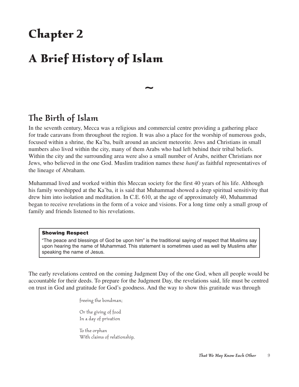# **Chapter 2**

# **A Brief History of Islam**

### The Birth of Islam

In the seventh century, Mecca was a religious and commercial centre providing a gathering place for trade caravans from throughout the region. It was also a place for the worship of numerous gods, focused within a shrine, the Ka'ba, built around an ancient meteorite. Jews and Christians in small numbers also lived within the city, many of them Arabs who had left behind their tribal beliefs. Within the city and the surrounding area were also a small number of Arabs, neither Christians nor Jews, who believed in the one God. Muslim tradition names these *hanif* as faithful representatives of the lineage of Abraham.

**~**

Muhammad lived and worked within this Meccan society for the first 40 years of his life. Although his family worshipped at the Ka'ba, it is said that Muhammad showed a deep spiritual sensitivity that drew him into isolation and meditation. In C.E. 610, at the age of approximately 40, Muhammad began to receive revelations in the form of a voice and visions. For a long time only a small group of family and friends listened to his revelations.

#### **Showing Respect**

"The peace and blessings of God be upon him" is the traditional saying of respect that Muslims say upon hearing the name of Muhammad. This statement is sometimes used as well by Muslims after speaking the name of Jesus.

The early revelations centred on the coming Judgment Day of the one God, when all people would be accountable for their deeds. To prepare for the Judgment Day, the revelations said, life must be centred on trust in God and gratitude for God's goodness. And the way to show this gratitude was through

freeing the bondman;

Or the giving of food In a day of privation

To the orphan With claims of relationship,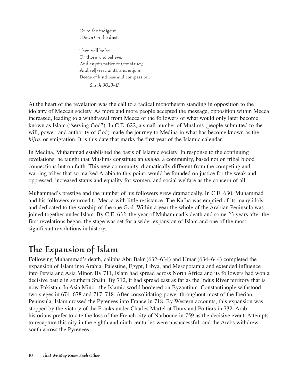Or to the indigent (Down) in the dust.

Then will he be Of those who believe, And enjoin patience (constancy, And self-restraint), and enjoin Deeds of kindness and compassion. *Surah 90:13–17*

At the heart of the revelation was the call to a radical monotheism standing in opposition to the idolatry of Meccan society. As more and more people accepted the message, opposition within Mecca increased, leading to a withdrawal from Mecca of the followers of what would only later become known as Islam ("serving God"). In C.E. 622, a small number of Muslims (people submitted to the will, power, and authority of God) made the journey to Medina in what has become known as the *hijra*, or emigration. It is this date that marks the first year of the Islamic calendar.

In Medina, Muhammad established the basis of Islamic society. In response to the continuing revelations, he taught that Muslims constitute an *umma*, a community, based not on tribal blood connections but on faith. This new community, dramatically different from the competing and warring tribes that so marked Arabia to this point, would be founded on justice for the weak and oppressed, increased status and equality for women, and social welfare as the concern of all.

Muhammad's prestige and the number of his followers grew dramatically. In C.E. 630, Muhammad and his followers returned to Mecca with little resistance. The Ka'ba was emptied of its many idols and dedicated to the worship of the one God. Within a year the whole of the Arabian Peninsula was joined together under Islam. By C.E. 632, the year of Muhammad's death and some 23 years after the first revelations began, the stage was set for a wider expansion of Islam and one of the most significant revolutions in history.

## The Expansion of Islam

Following Muhammad's death, caliphs Abu Bakr (632–634) and Umar (634–644) completed the expansion of Islam into Arabia, Palestine, Egypt, Libya, and Mesopotamia and extended influence into Persia and Asia Minor. By 711, Islam had spread across North Africa and its followers had won a decisive battle in southern Spain. By 712, it had spread east as far as the Indus River territory that is now Pakistan. In Asia Minor, the Islamic world bordered on Byzantium. Constantinople withstood two sieges in 674–678 and 717–718. After consolidating power throughout most of the Iberian Peninsula, Islam crossed the Pyrenees into France in 718. By Western accounts, this expansion was stopped by the victory of the Franks under Charles Martel at Tours and Poitiers in 732. Arab historians prefer to cite the loss of the French city of Narbonne in 759 as the decisive event. Attempts to recapture this city in the eighth and ninth centuries were unsuccessful, and the Arabs withdrew south across the Pyrenees.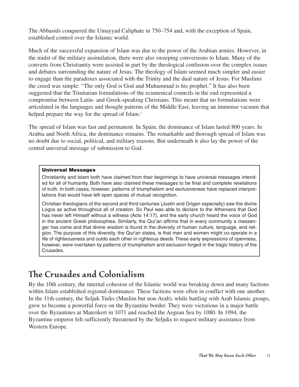The Abbasids conquered the Umayyad Caliphate in 750–754 and, with the exception of Spain, established control over the Islamic world.

Much of the successful expansion of Islam was due to the power of the Arabian armies. However, in the midst of the military assimilation, there were also sweeping conversions to Islam. Many of the converts from Christianity were assisted in part by the theological confusion over the complex issues and debates surrounding the nature of Jesus. The theology of Islam seemed much simpler and easier to engage than the paradoxes associated with the Trinity and the dual nature of Jesus. For Muslims the creed was simple: "The only God is God and Muhammad is his prophet." It has also been suggested that the Trinitarian formulations of the ecumenical councils in the end represented a compromise between Latin- and Greek-speaking Christians. This meant that no formulations were articulated in the languages and thought patterns of the Middle East, leaving an immense vacuum that helped prepare the way for the spread of Islam.<sup>1</sup>

The spread of Islam was fast and permanent. In Spain, the dominance of Islam lasted 800 years. In Arabia and North Africa, the dominance remains. The remarkable and thorough spread of Islam was no doubt due to social, political, and military reasons. But underneath it also lay the power of the central universal message of submission to God.

#### **Universal Messages**

Christianity and Islam both have claimed from their beginnings to have universal messages intended for all of humanity. Both have also claimed these messages to be final and complete revelations of truth. In both cases, however, patterns of triumphalism and exclusiveness have replaced interpretations that would have left open spaces of mutual recognition.

Christian theologians of the second and third centuries (Justin and Origen especially) saw the divine Logos as active throughout all of creation. So Paul was able to declare to the Athenians that God has never left Himself without a witness (Acts 14:17), and the early church heard the voice of God in the ancient Greek philosophies. Similarly, the Qur'an affirms that in every community a messenger has come and that divine wisdom is found in the diversity of human culture, language, and religion. The purpose of this diversity, the Qur'an states, is that men and women might co-operate in a life of righteousness and outdo each other in righteous deeds. These early expressions of openness, however, were overtaken by patterns of triumphalism and exclusion forged in the tragic history of the Crusades.

### The Crusades and Colonialism

By the 10th century, the internal cohesion of the Islamic world was breaking down and many factions within Islam established regional dominance. These factions were often in conflict with one another. In the 11th century, the Seljuk Turks (Muslim but non-Arab), while battling with Arab Islamic groups, grew to become a powerful force on the Byzantine border. They were victorious in a major battle over the Byzantines at Manzikert in 1071 and reached the Aegean Sea by 1080. In 1094, the Byzantine emperor felt sufficiently threatened by the Seljuks to request military assistance from Western Europe.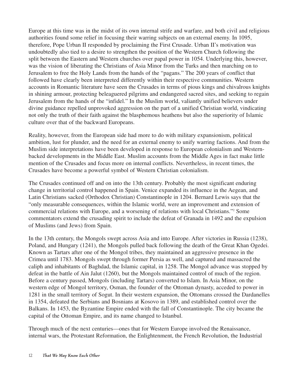Europe at this time was in the midst of its own internal strife and warfare, and both civil and religious authorities found some relief in focusing their warring subjects on an external enemy. In 1095, therefore, Pope Urban II responded by proclaiming the First Crusade. Urban II's motivation was undoubtedly also tied to a desire to strengthen the position of the Western Church following the split between the Eastern and Western churches over papal power in 1054. Underlying this, however, was the vision of liberating the Christians of Asia Minor from the Turks and then marching on to Jerusalem to free the Holy Lands from the hands of the "pagans." The 200 years of conflict that followed have clearly been interpreted differently within their respective communities. Western accounts in Romantic literature have seen the Crusades in terms of pious kings and chivalrous knights in shining armour, protecting beleaguered pilgrims and endangered sacred sites, and seeking to regain Jerusalem from the hands of the "infidel." In the Muslim world, valiantly unified believers under divine guidance repelled unprovoked aggression on the part of a unified Christian world, vindicating not only the truth of their faith against the blasphemous heathens but also the superiority of Islamic culture over that of the backward Europeans.

Reality, however, from the European side had more to do with military expansionism, political ambition, lust for plunder, and the need for an external enemy to unify warring factions. And from the Muslim side interpretations have been developed in response to European colonialism and Westernbacked developments in the Middle East. Muslim accounts from the Middle Ages in fact make little mention of the Crusades and focus more on internal conflicts. Nevertheless, in recent times, the Crusades have become a powerful symbol of Western Christian colonialism.

The Crusades continued off and on into the 13th century. Probably the most significant enduring change in territorial control happened in Spain. Venice expanded its influence in the Aegean, and Latin Christians sacked (Orthodox Christian) Constantinople in 1204. Bernard Lewis says that the "only measurable consequences, within the Islamic world, were an improvement and extension of commercial relations with Europe, and a worsening of relations with local Christians."2 Some commentators extend the crusading spirit to include the defeat of Granada in 1492 and the expulsion of Muslims (and Jews) from Spain.

In the 13th century, the Mongols swept across Asia and into Europe. After victories in Russia (1238), Poland, and Hungary (1241), the Mongols pulled back following the death of the Great Khan Ogedei. Known as Tartars after one of the Mongol tribes, they maintained an aggressive presence in the Crimea until 1783. Mongols swept through former Persia as well, and captured and massacred the caliph and inhabitants of Baghdad, the Islamic capital, in 1258. The Mongol advance was stopped by defeat in the battle of Ain Jalut (1260), but the Mongols maintained control of much of the region. Before a century passed, Mongols (including Tartars) converted to Islam. In Asia Minor, on the western edge of Mongol territory, Osman, the founder of the Ottoman dynasty, acceded to power in 1281 in the small territory of Sogut. In their western expansion, the Ottomans crossed the Dardanelles in 1354, defeated the Serbians and Bosnians at Kosovo in 1389, and established control over the Balkans. In 1453, the Byzantine Empire ended with the fall of Constantinople. The city became the capital of the Ottoman Empire, and its name changed to Istanbul.

Through much of the next centuries—ones that for Western Europe involved the Renaissance, internal wars, the Protestant Reformation, the Enlightenment, the French Revolution, the Industrial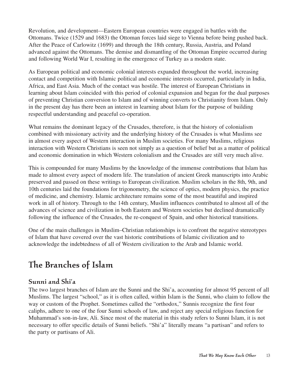Revolution, and development—Eastern European countries were engaged in battles with the Ottomans. Twice (1529 and 1683) the Ottoman forces laid siege to Vienna before being pushed back. After the Peace of Carlowitz (1699) and through the 18th century, Russia, Austria, and Poland advanced against the Ottomans. The demise and dismantling of the Ottoman Empire occurred during and following World War I, resulting in the emergence of Turkey as a modern state.

As European political and economic colonial interests expanded throughout the world, increasing contact and competition with Islamic political and economic interests occurred, particularly in India, Africa, and East Asia. Much of the contact was hostile. The interest of European Christians in learning about Islam coincided with this period of colonial expansion and began for the dual purposes of preventing Christian conversion to Islam and of winning converts to Christianity from Islam. Only in the present day has there been an interest in learning about Islam for the purpose of building respectful understanding and peaceful co-operation.

What remains the dominant legacy of the Crusades, therefore, is that the history of colonialism combined with missionary activity and the underlying history of the Crusades is what Muslims see in almost every aspect of Western interaction in Muslim societies. For many Muslims, religious interaction with Western Christians is seen not simply as a question of belief but as a matter of political and economic domination in which Western colonialism and the Crusades are still very much alive.

This is compounded for many Muslims by the knowledge of the immense contributions that Islam has made to almost every aspect of modern life. The translation of ancient Greek manuscripts into Arabic preserved and passed on these writings to European civilization. Muslim scholars in the 8th, 9th, and 10th centuries laid the foundations for trigonometry, the science of optics, modern physics, the practice of medicine, and chemistry. Islamic architecture remains some of the most beautiful and inspired work in all of history. Through to the 14th century, Muslim influences contributed to almost all of the advances of science and civilization in both Eastern and Western societies but declined dramatically following the influence of the Crusades, the re-conquest of Spain, and other historical transitions.

One of the main challenges in Muslim–Christian relationships is to confront the negative stereotypes of Islam that have covered over the vast historic contributions of Islamic civilization and to acknowledge the indebtedness of all of Western civilization to the Arab and Islamic world.

## The Branches of Islam

#### Sunni and Shi'a

The two largest branches of Islam are the Sunni and the Shi'a, accounting for almost 95 percent of all Muslims. The largest "school," as it is often called, within Islam is the Sunni, who claim to follow the way or custom of the Prophet. Sometimes called the "orthodox," Sunnis recognize the first four caliphs, adhere to one of the four Sunni schools of law, and reject any special religious function for Muhammad's son-in-law, Ali. Since most of the material in this study refers to Sunni Islam, it is not necessary to offer specific details of Sunni beliefs. "Shi'a" literally means "a partisan" and refers to the party or partisans of Ali.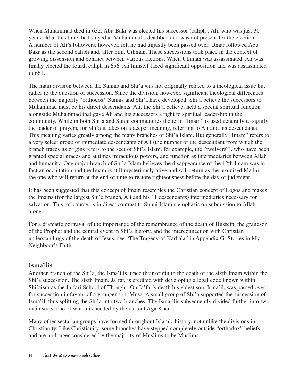When Muhammad died in 632, Abu Bakr was elected his successor (caliph). Ali, who was just 30 years old at this time, had stayed at Muhammad's deathbed and was not present for the election. A number of Ali's followers, however, felt he had unjustly been passed over. Umar followed Abu Bakr as the second caliph and, after him, Uthman. These successions took place in the context of growing dissension and conflict between various factions. When Uthman was assassinated, Ali was finally elected the fourth caliph in 656. Ali himself faced significant opposition and was assassinated in 661.

The main division between the Sunnis and Shi'a was not originally related to a theological issue but rather to the question of succession. Since the division, however, significant theological differences between the majority "orthodox" Sunnis and Shi'a have developed. Shi'a believe the successors to Muhammad must be his direct descendants. Ali, the Shi'a believe, held a special spiritual function alongside Muhammad that gave Ali and his successors a right to spiritual leadership in the community. While in both Shi'a and Sunni communities the term "Imam" is used generally to signify the leader of prayers, for Shi'a it takes on a deeper meaning, referring to Ali and his descendants. This meaning varies greatly among the many branches of Shi'a Islam. But generally "Imam" refers to a very select group of immediate descendants of Ali (the number of the descendant from which the branch traces its origins refers to the sect of Shi'a Islam, for example, the "twelvers"), who have been granted special graces and at times miraculous powers, and function as intermediaries between Allah and humanity. One major branch of Shi'a Islam believes the disappearance of the 12th Imam was in fact an occultation and the Imam is still mysteriously alive and will return as the promised Madhi, the one who will return at the end of time to restore righteousness before the day of judgment.

It has been suggested that this concept of Imam resembles the Christian concept of Logos and makes the Imams (for the largest Shi'a branch, Ali and his 11 descendants) intermediaries necessary for salvation. This, of course, is in direct contrast to Sunni Islam's emphasis on submission to Allah alone.

For a dramatic portrayal of the importance of the remembrance of the death of Hussein, the grandson of the Prophet and the central event in Shi'a history, and the interconnection with Christian understandings of the death of Jesus, see "The Tragedy of Karbala" in Appendix G: Stories in My Neighbour's Faith.

#### Isma'ilis

Another branch of the Shi'a, the Isma'ilis, trace their origin to the death of the sixth Imam within the Shi'a succession. The sixth Imam, Ja'far, is credited with developing a legal code known within Shi'aism as the Ja'fari School of Thought. On Ja'far's death his eldest son, Isma'il, was passed over for succession in favour of a younger son, Musa. A small group of Shi'a supported the succession of Isma'il, thus splitting the Shi'a into two branches. The Isma'ilis subsequently divided further into two main sects, one of which is headed by the current Aga Khan.

Many other sectarian groups have formed throughout Islamic history, not unlike the divisions in Christianity. Like Christianity, some branches have stepped completely outside "orthodox" beliefs and are no longer considered by the majority of Muslims to be Muslims.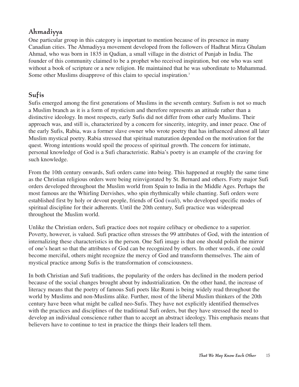### Ahmadiyya

One particular group in this category is important to mention because of its presence in many Canadian cities. The Ahmadiyya movement developed from the followers of Hadhrat Mirza Ghulam Ahmad, who was born in 1835 in Qadian, a small village in the district of Punjab in India. The founder of this community claimed to be a prophet who received inspiration, but one who was sent without a book of scripture or a new religion. He maintained that he was subordinate to Muhammad. Some other Muslims disapprove of this claim to special inspiration.<sup>3</sup>

### Sufis

Sufis emerged among the first generations of Muslims in the seventh century. Sufism is not so much a Muslim branch as it is a form of mysticism and therefore represents an attitude rather than a distinctive ideology. In most respects, early Sufis did not differ from other early Muslims. Their approach was, and still is, characterized by a concern for sincerity, integrity, and inner peace. One of the early Sufis, Rabia, was a former slave owner who wrote poetry that has influenced almost all later Muslim mystical poetry. Rabia stressed that spiritual maturation depended on the motivation for the quest. Wrong intentions would spoil the process of spiritual growth. The concern for intimate, personal knowledge of God is a Sufi characteristic. Rabia's poetry is an example of the craving for such knowledge.

From the 10th century onwards, Sufi orders came into being. This happened at roughly the same time as the Christian religious orders were being reinvigorated by St. Bernard and others. Forty major Sufi orders developed throughout the Muslim world from Spain to India in the Middle Ages. Perhaps the most famous are the Whirling Dervishes, who spin rhythmically while chanting. Sufi orders were established first by holy or devout people, friends of God (*wali*), who developed specific modes of spiritual discipline for their adherents. Until the 20th century, Sufi practice was widespread throughout the Muslim world.

Unlike the Christian orders, Sufi practice does not require celibacy or obedience to a superior. Poverty, however, is valued. Sufi practice often stresses the 99 attributes of God, with the intention of internalizing these characteristics in the person. One Sufi image is that one should polish the mirror of one's heart so that the attributes of God can be recognized by others. In other words, if one could become merciful, others might recognize the mercy of God and transform themselves. The aim of mystical practice among Sufis is the transformation of consciousness.

In both Christian and Sufi traditions, the popularity of the orders has declined in the modern period because of the social changes brought about by industrialization. On the other hand, the increase of literacy means that the poetry of famous Sufi poets like Rumi is being widely read throughout the world by Muslims and non-Muslims alike. Further, most of the liberal Muslim thinkers of the 20th century have been what might be called neo-Sufis. They have not explicitly identified themselves with the practices and disciplines of the traditional Sufi orders, but they have stressed the need to develop an individual conscience rather than to accept an abstract ideology. This emphasis means that believers have to continue to test in practice the things their leaders tell them.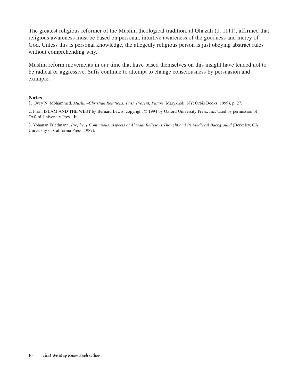The greatest religious reformer of the Muslim theological tradition, al Ghazali (d. 1111), affirmed that religious awareness must be based on personal, intuitive awareness of the goodness and mercy of God. Unless this is personal knowledge, the allegedly religious person is just obeying abstract rules without comprehending why.

Muslim reform movements in our time that have based themselves on this insight have tended not to be radical or aggressive. Sufis continue to attempt to change consciousness by persuasion and example.

#### **Notes**

1. Ovey N. Mohammed, *Muslim–Christian Relations: Past, Present, Future* (Maryknoll, NY: Orbis Books, 1999), p. 27.

2. From ISLAM AND THE WEST by Bernard Lewis, copyright © 1994 by Oxford University Press, Inc. Used by permission of Oxford University Press, Inc.

3. Yohanan Friedmann, *Prophecy Continuous: Aspects of Ahmadi Religious Thought and Its Medieval Background* (Berkeley, CA: University of California Press, 1989).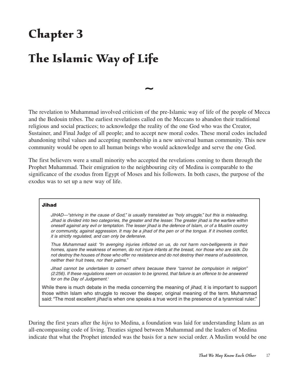# **Chapter 3**

# **The Islamic Way of Life**

The revelation to Muhammad involved criticism of the pre-Islamic way of life of the people of Mecca and the Bedouin tribes. The earliest revelations called on the Meccans to abandon their traditional religious and social practices; to acknowledge the reality of the one God who was the Creator, Sustainer, and Final Judge of all people; and to accept new moral codes. These moral codes included abandoning tribal values and accepting membership in a new universal human community. This new community would be open to all human beings who would acknowledge and serve the one God.

**~**

The first believers were a small minority who accepted the revelations coming to them through the Prophet Muhammad. Their emigration to the neighbouring city of Medina is comparable to the significance of the exodus from Egypt of Moses and his followers. In both cases, the purpose of the exodus was to set up a new way of life.

#### **Jihad**

*JIHAD—"striving in the cause of God," is usually translated as "holy struggle," but this is misleading. Jihad is divided into two categories, the greater and the lesser. The greater jihad is the warfare within oneself against any evil or temptation. The lesser jihad is the defence of Islam, or of a Muslim country or community, against aggression. It may be a jihad of the pen or of the tongue. If it involves conflict, it is strictly regulated, and can only be defensive.*

*Thus Muhammad said: "In avenging injuries inflicted on us, do not harm non-belligerents in their homes, spare the weakness of women, do not injure infants at the breast, nor those who are sick. Do not destroy the houses of those who offer no resistance and do not destroy their means of subsistence, neither their fruit trees, nor their palms."*

*Jihad cannot be undertaken to convert others because there "cannot be compulsion in religion" (2:256). If these regulations seem on occasion to be ignored, that failure is an offence to be answered* for on the Day of Judgement.<sup>1</sup>

While there is much debate in the media concerning the meaning of *jihad*, it is important to support those within Islam who struggle to recover the deeper, original meaning of the term. Muhammad said: "The most excellent *jihad* is when one speaks a true word in the presence of a tyrannical ruler."

During the first years after the *hijra* to Medina, a foundation was laid for understanding Islam as an all-encompassing code of living. Treaties signed between Muhammad and the leaders of Medina indicate that what the Prophet intended was the basis for a new social order. A Muslim would be one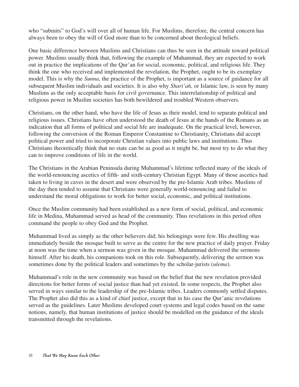who "submits" to God's will over all of human life. For Muslims, therefore, the central concern has always been to obey the will of God more than to be concerned about theological beliefs.

One basic difference between Muslims and Christians can thus be seen in the attitude toward political power. Muslims usually think that, following the example of Muhammad, they are expected to work out in practice the implications of the Qur'an for social, economic, political, and religious life. They think the one who received and implemented the revelation, the Prophet, ought to be its exemplary model. This is why the *Sunna*, the practice of the Prophet, is important as a source of guidance for all subsequent Muslim individuals and societies. It is also why *Shari'ah*, or Islamic law, is seen by many Muslims as the only acceptable basis for civil governance. This interrelationship of political and religious power in Muslim societies has both bewildered and troubled Western observers.

Christians, on the other hand, who have the life of Jesus as their model, tend to separate political and religious issues. Christians have often understood the death of Jesus at the hands of the Romans as an indication that all forms of political and social life are inadequate. On the practical level, however, following the conversion of the Roman Emperor Constantine to Christianity, Christians did accept political power and tried to incorporate Christian values into public laws and institutions. Thus Christians theoretically think that no state can be as good as it might be, but most try to do what they can to improve conditions of life in the world.

The Christians in the Arabian Peninsula during Muhammad's lifetime reflected many of the ideals of the world-renouncing ascetics of fifth- and sixth-century Christian Egypt. Many of those ascetics had taken to living in caves in the desert and were observed by the pre-Islamic Arab tribes. Muslims of the day then tended to assume that Christians were generally world-renouncing and failed to understand the moral obligations to work for better social, economic, and political institutions.

Once the Muslim community had been established as a new form of social, political, and economic life in Medina, Muhammad served as head of the community. Thus revelations in this period often command the people to obey God and the Prophet.

Muhammad lived as simply as the other believers did; his belongings were few. His dwelling was immediately beside the mosque built to serve as the centre for the new practice of daily prayer. Friday at noon was the time when a sermon was given in the mosque. Muhammad delivered the sermons himself. After his death, his companions took on this role. Subsequently, delivering the sermon was sometimes done by the political leaders and sometimes by the scholar-jurists (*ulema*).

Muhammad's role in the new community was based on the belief that the new revelation provided directions for better forms of social justice than had yet existed. In some respects, the Prophet also served in ways similar to the leadership of the pre-Islamic tribes. Leaders commonly settled disputes. The Prophet also did this as a kind of chief justice, except that in his case the Qur'anic revelations served as the guidelines. Later Muslims developed court systems and legal codes based on the same notions, namely, that human institutions of justice should be modelled on the guidance of the ideals transmitted through the revelations.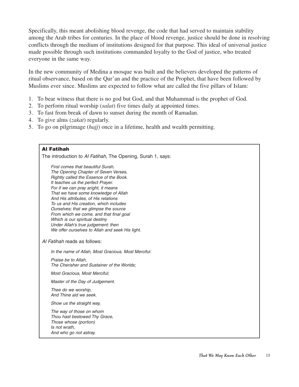Specifically, this meant abolishing blood revenge, the code that had served to maintain stability among the Arab tribes for centuries. In the place of blood revenge, justice should be done in resolving conflicts through the medium of institutions designed for that purpose. This ideal of universal justice made possible through such institutions commanded loyalty to the God of justice, who treated everyone in the same way.

In the new community of Medina a mosque was built and the believers developed the patterns of ritual observance, based on the Qur'an and the practice of the Prophet, that have been followed by Muslims ever since. Muslims are expected to follow what are called the five pillars of Islam:

- 1. To bear witness that there is no god but God, and that Muhammad is the prophet of God.
- 2. To perform ritual worship (*salat*) five times daily at appointed times.
- 3. To fast from break of dawn to sunset during the month of Ramadan.
- 4. To give alms (*zakat*) regularly.
- 5. To go on pilgrimage (*hajj*) once in a lifetime, health and wealth permitting.

#### **Al Fatihah**

The introduction to *Al Fatihah*, The Opening, Surah 1, says:

*First comes that beautiful Surah, The Opening Chapter of Seven Verses, Rightly called the Essence of the Book. It teaches us the perfect Prayer. For if we can pray aright, it means That we have some knowledge of Allah And His attributes, of His relations To us and His creation, which includes Ourselves; that we glimpse the source From which we come, and that final goal Which is our spiritual destiny Under Allah's true judgement: then We offer ourselves to Allah and seek His light.*

*Al Fatihah* reads as follows:

*In the name of Allah, Most Gracious, Most Merciful.*

*Praise be to Allah, The Cherisher and Sustainer of the Worlds;*

*Most Gracious, Most Merciful;*

*Master of the Day of Judgement.*

*Thee do we worship, And Thine aid we seek.*

*Show us the straight way,*

*The way of those on whom Thou hast bestowed Thy Grace, Those whose (portion) Is not wrath, And who go not astray.*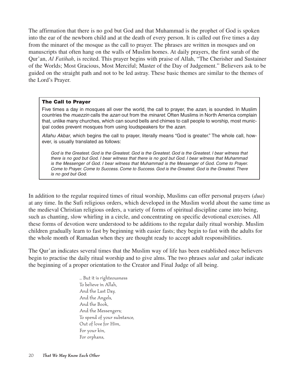The affirmation that there is no god but God and that Muhammad is the prophet of God is spoken into the ear of the newborn child and at the death of every person. It is called out five times a day from the minaret of the mosque as the call to prayer. The phrases are written in mosques and on manuscripts that often hang on the walls of Muslim homes. At daily prayers, the first surah of the Qur'an, *Al Fatihah*, is recited. This prayer begins with praise of Allah, "The Cherisher and Sustainer of the Worlds; Most Gracious, Most Merciful; Master of the Day of Judgement." Believers ask to be guided on the straight path and not to be led astray. These basic themes are similar to the themes of the Lord's Prayer.

#### **The Call to Prayer**

Five times a day in mosques all over the world, the call to prayer, the *azan*, is sounded. In Muslim countries the *muezzin* calls the *azan* out from the *minaret*. Often Muslims in North America complain that, unlike many churches, which can sound bells and chimes to call people to worship, most municipal codes prevent mosques from using loudspeakers for the *azan*.

*Allahu Akbar*, which begins the call to prayer, literally means "God is greater." The whole call, however, is usually translated as follows:

*God is the Greatest. God is the Greatest. God is the Greatest. God is the Greatest. I bear witness that there is no god but God. I bear witness that there is no god but God. I bear witness that Muhammad is the Messenger of God. I bear witness that Muhammad is the Messenger of God. Come to Prayer. Come to Prayer. Come to Success. Come to Success. God is the Greatest. God is the Greatest. There is no god but God.*

In addition to the regular required times of ritual worship, Muslims can offer personal prayers (*dua*) at any time. In the Sufi religious orders, which developed in the Muslim world about the same time as the medieval Christian religious orders, a variety of forms of spiritual discipline came into being, such as chanting, slow whirling in a circle, and concentrating on specific devotional exercises. All these forms of devotion were understood to be additions to the regular daily ritual worship. Muslim children gradually learn to fast by beginning with easier fasts; they begin to fast with the adults for the whole month of Ramadan when they are thought ready to accept adult responsibilities.

The Qur'an indicates several times that the Muslim way of life has been established once believers begin to practise the daily ritual worship and to give alms. The two phrases *salat* and *zakat* indicate the beginning of a proper orientation to the Creator and Final Judge of all being.

> … But it is righteousness To believe in Allah, And the Last Day, And the Angels, And the Book, And the Messengers; To spend of your substance, Out of love for Him, For your kin, For orphans,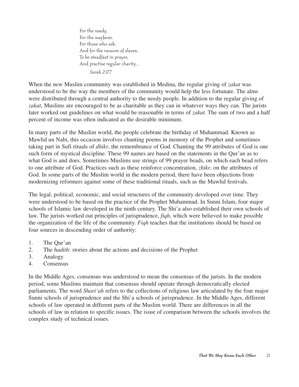For the needy, For the wayfarer, For those who ask, And for the ransom of slaves; To be steadfast in prayer, And practise regular charity…. *Surah 2:177*

When the new Muslim community was established in Medina, the regular giving of *zakat* was understood to be the way the members of the community would help the less fortunate. The alms were distributed through a central authority to the needy people. In addition to the regular giving of *zakat*, Muslims are encouraged to be as charitable as they can in whatever ways they can. The jurists later worked out guidelines on what would be reasonable in terms of *zakat*. The sum of two and a half percent of income was often indicated as the desirable minimum.

In many parts of the Muslim world, the people celebrate the birthday of Muhammad. Known as Mawlid un Nabi, this occasion involves chanting poems in memory of the Prophet and sometimes taking part in Sufi rituals of *dhikr*, the remembrance of God. Chanting the 99 attributes of God is one such form of mystical discipline. These 99 names are based on the statements in the Qur'an as to what God is and does. Sometimes Muslims use strings of 99 prayer beads, on which each bead refers to one attribute of God. Practices such as these reinforce concentration, *zhikr*, on the attributes of God. In some parts of the Muslim world in the modern period, there have been objections from modernizing reformers against some of these traditional rituals, such as the Mawlid festivals.

The legal, political, economic, and social structures of the community developed over time. They were understood to be based on the practice of the Prophet Muhammad. In Sunni Islam, four major schools of Islamic law developed in the ninth century. The Shi'a also established their own schools of law. The jurists worked out principles of jurisprudence, *fiqh*, which were believed to make possible the organization of the life of the community. *Fiqh* teaches that the institutions should be based on four sources in descending order of authority:

- 1. The Qur'an
- 2. The *hadith*: stories about the actions and decisions of the Prophet
- 3. Analogy
- 4. Consensus

In the Middle Ages, consensus was understood to mean the consensus of the jurists. In the modern period, some Muslims maintain that consensus should operate through democratically elected parliaments. The word *Shari'ah* refers to the collections of religious law articulated by the four major Sunni schools of jurisprudence and the Shi'a schools of jurisprudence. In the Middle Ages, different schools of law operated in different parts of the Muslim world. There are differences in all the schools of law in relation to specific issues. The issue of comparison between the schools involves the complex study of technical issues.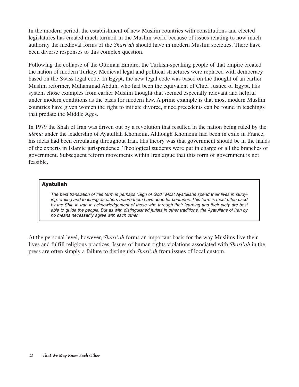In the modern period, the establishment of new Muslim countries with constitutions and elected legislatures has created much turmoil in the Muslim world because of issues relating to how much authority the medieval forms of the *Shari'ah* should have in modern Muslim societies. There have been diverse responses to this complex question.

Following the collapse of the Ottoman Empire, the Turkish-speaking people of that empire created the nation of modern Turkey. Medieval legal and political structures were replaced with democracy based on the Swiss legal code. In Egypt, the new legal code was based on the thought of an earlier Muslim reformer, Muhammad Abduh, who had been the equivalent of Chief Justice of Egypt. His system chose examples from earlier Muslim thought that seemed especially relevant and helpful under modern conditions as the basis for modern law. A prime example is that most modern Muslim countries have given women the right to initiate divorce, since precedents can be found in teachings that predate the Middle Ages.

In 1979 the Shah of Iran was driven out by a revolution that resulted in the nation being ruled by the *ulema* under the leadership of Ayatullah Khomeini. Although Khomeini had been in exile in France, his ideas had been circulating throughout Iran. His theory was that government should be in the hands of the experts in Islamic jurisprudence. Theological students were put in charge of all the branches of government. Subsequent reform movements within Iran argue that this form of government is not feasible.

#### **Ayatullah**

*The best translation of this term is perhaps "Sign of God." Most Ayatullahs spend their lives in studying, writing and teaching as others before them have done for centuries. This term is most often used by the Shia in Iran in acknowledgement of those who through their learning and their piety are best able to guide the people. But as with distinguished jurists in other traditions, the Ayatullahs of Iran by no means necessarily agree with each other.*<sup>2</sup>

At the personal level, however, *Shari'ah* forms an important basis for the way Muslims live their lives and fulfill religious practices. Issues of human rights violations associated with *Shari'ah* in the press are often simply a failure to distinguish *Shari'ah* from issues of local custom.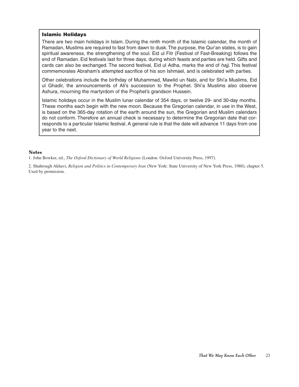#### **Islamic Holidays**

There are two main holidays in Islam. During the ninth month of the Islamic calendar, the month of Ramadan, Muslims are required to fast from dawn to dusk. The purpose, the Qur'an states, is to gain spiritual awareness, the strengthening of the soul. Eid ul Fitr (Festival of Fast-Breaking) follows the end of Ramadan. Eid festivals last for three days, during which feasts and parties are held. Gifts and cards can also be exchanged. The second festival, Eid ul Adha, marks the end of *hajj*. This festival commemorates Abraham's attempted sacrifice of his son Ishmael, and is celebrated with parties.

Other celebrations include the birthday of Muhammad, Mawlid un Nabi, and for Shi'a Muslims, Eid ul Ghadir, the announcements of Ali's succession to the Prophet. Shi'a Muslims also observe Ashura, mourning the martyrdom of the Prophet's grandson Hussein.

Islamic holidays occur in the Muslim lunar calendar of 354 days, or twelve 29- and 30-day months. These months each begin with the new moon. Because the Gregorian calendar, in use in the West, is based on the 365-day rotation of the earth around the sun, the Gregorian and Muslim calendars do not conform. Therefore an annual check is necessary to determine the Gregorian date that corresponds to a particular Islamic festival. A general rule is that the date will advance 11 days from one year to the next.

#### **Notes**

1. John Bowker, ed., *The Oxford Dictionary of World Religions* (London: Oxford University Press, 1997).

2. Shahrough Akhavi, *Religion and Politics in Contemporary Iran* (New York: State University of New York Press, 1980), chapter 5. Used by permission.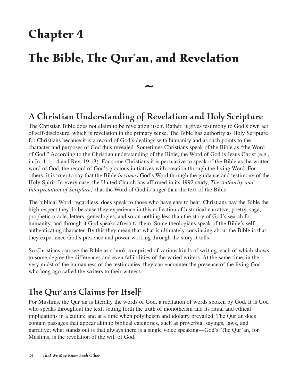# **Chapter 4**

# **The Bible, The Qur'an, and Revelation**

### A Christian Understanding of Revelation and Holy Scripture

**~**

The Christian Bible does not claim to be revelation itself. Rather, it gives testimony to God's own act of self-disclosure, which is revelation in the primary sense. The Bible has authority as Holy Scripture for Christians because it is a record of God's dealings with humanity and as such points to the character and purposes of God thus revealed. Sometimes Christians speak of the Bible as "the Word of God." According to the Christian understanding of the Bible, the Word of God is Jesus Christ (e.g., in Jn. 1:1–14 and Rev. 19:13). For some Christians it is persuasive to speak of the Bible as the written word of God, the record of God's gracious initiatives with creation through the living Word. For others, it is truer to say that the Bible *becomes* God's Word through the guidance and testimony of the Holy Spirit. In every case, the United Church has affirmed in its 1992 study, *The Authority and Interpretation of Scripture*,<sup>1</sup> that the Word of God is larger than the text of the Bible.

The biblical Word, regardless, does speak to those who have ears to hear. Christians pay the Bible the high respect they do because they experience in this collection of historical narrative, poetry, saga, prophetic oracle, letters, genealogies, and so on nothing less than the story of God's search for humanity, and through it God speaks afresh to them. Some theologians speak of the Bible's selfauthenticating character. By this they mean that what is ultimately convincing about the Bible is that they experience God's presence and power working through the story it tells.

So Christians can see the Bible as a book comprised of various kinds of writing, each of which shows to some degree the differences and even fallibilities of the varied writers. At the same time, in the very midst of the humanness of the testimonies, they can encounter the presence of the living God who long ago called the writers to their witness.

### The Qur'an's Claims for Itself

For Muslims, the Qur'an is literally the words of God, a recitation of words spoken by God. It is God who speaks throughout the text, setting forth the truth of monotheism and its ritual and ethical implications in a culture and at a time when polytheism and idolatry prevailed. The Qur'an does contain passages that appear akin to biblical categories, such as proverbial sayings, laws, and narrative; what stands out is that always there is a single voice speaking—God's. The Qur'an, for Muslims, is the revelation of the will of God.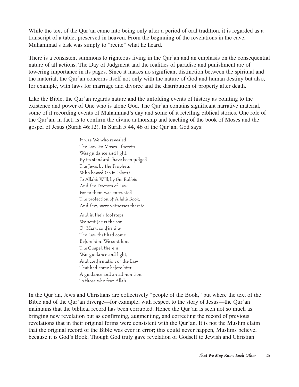While the text of the Qur'an came into being only after a period of oral tradition, it is regarded as a transcript of a tablet preserved in heaven. From the beginning of the revelations in the cave, Muhammad's task was simply to "recite" what he heard.

There is a consistent summons to righteous living in the Qur'an and an emphasis on the consequential nature of all actions. The Day of Judgment and the realities of paradise and punishment are of towering importance in its pages. Since it makes no significant distinction between the spiritual and the material, the Qur'an concerns itself not only with the nature of God and human destiny but also, for example, with laws for marriage and divorce and the distribution of property after death.

Like the Bible, the Qur'an regards nature and the unfolding events of history as pointing to the existence and power of One who is alone God. The Qur'an contains significant narrative material, some of it recording events of Muhammad's day and some of it retelling biblical stories. One role of the Qur'an, in fact, is to confirm the divine authorship and teaching of the book of Moses and the gospel of Jesus (Surah 46:12). In Surah 5:44, 46 of the Qur'an, God says:

> It was We who revealed The Law (to Moses): therein Was guidance and light. By its standards have been judged The Jews, by the Prophets Who bowed (as in Islam) To Allah's Will, by the Rabbis And the Doctors of Law: For to them was entrusted The protection of Allah's Book, And they were witnesses thereto….

And in their footsteps We sent Jesus the son Of Mary, confirming The Law that had come Before him: We sent him The Gospel: therein Was guidance and light, And confirmation of the Law That had come before him: A guidance and an admonition To those who fear Allah.

In the Qur'an, Jews and Christians are collectively "people of the Book," but where the text of the Bible and of the Qur'an diverge—for example, with respect to the story of Jesus—the Qur'an maintains that the biblical record has been corrupted. Hence the Qur'an is seen not so much as bringing new revelation but as confirming, augmenting, and correcting the record of previous revelations that in their original forms were consistent with the Qur'an. It is not the Muslim claim that the original record of the Bible was ever in error; this could never happen, Muslims believe, because it is God's Book. Though God truly gave revelation of Godself to Jewish and Christian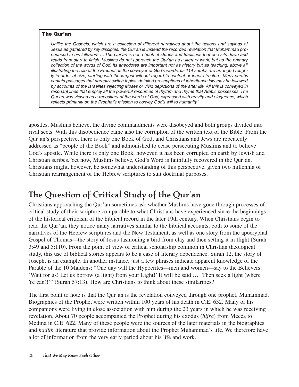#### **The Qur'an**

*Unlike the Gospels, which are a collection of different narratives about the actions and sayings of Jesus as gathered by key disciples, the Qur'an is instead the recorded revelation that Muhammad pronounced to his followers…. The Qur'an is not a book of stories and traditions that one sits down and reads from start to finish. Muslims do not approach the Qur'an as a literary work, but as the primary collection of the words of God; its anecdotes are important not as history but as teaching, above all illustrating the role of the Prophet as the conveyor of God's words. Its 114 surahs are arranged roughly in order of size, starting with the largest without regard to content or inner structure. Many surahs contain passages that abruptly switch topics: detailed prescriptions of inheritance law may be followed by accounts of the Israelites rejecting Moses or vivid depictions of the after life. All this is conveyed in resonant lines that employ all the powerful resources of rhythm and rhyme that Arabic possesses. The Qur'an was viewed as a repository of the words of God, expressed with brevity and eloquence, which reflects primarily on the Prophet's mission to convey God's will to humanity.*2

apostles, Muslims believe, the divine commandments were disobeyed and both groups divided into rival sects. With this disobedience came also the corruption of the written text of the Bible. From the Qur'an's perspective, there is only one Book of God, and Christians and Jews are repeatedly addressed as "people of the Book" and admonished to cease persecuting Muslims and to believe God's apostle. While there is only one Book, however, it has been corrupted on earth by Jewish and Christian scribes. Yet now, Muslims believe, God's Word is faithfully recovered in the Qur'an. Christians might, however, be somewhat understanding of this perspective, given two millennia of Christian rearrangement of the Hebrew scriptures to suit doctrinal purposes.

### The Question of Critical Study of the Qur'an

Christians approaching the Qur'an sometimes ask whether Muslims have gone through processes of critical study of their scripture comparable to what Christians have experienced since the beginnings of the historical criticism of the biblical record in the later 19th century. When Christians begin to read the Qur'an, they notice many narratives similar to the biblical accounts, both to some of the narratives of the Hebrew scriptures and the New Testament, as well as one story from the apocryphal Gospel of Thomas—the story of Jesus fashioning a bird from clay and then setting it in flight (Surah 3:49 and 5:110). From the point of view of critical scholarship common in Christian theological study, this use of biblical stories appears to be a case of literary dependence. Surah 12, the story of Joseph, is an example. In another instance, just a few phrases indicate apparent knowledge of the Parable of the 10 Maidens: "One day will the Hypocrites—men and women—say to the Believers: 'Wait for us! Let us borrow (a light) from your Light!' It will be said … 'Then seek a light (where Ye can)!'" (Surah 57:13). How are Christians to think about these similarities?

The first point to note is that the Qur'an is the revelation conveyed through one prophet, Muhammad. Biographies of the Prophet were written within 100 years of his death in C.E. 632. Many of his companions were living in close association with him during the 23 years in which he was receiving revelation. About 70 people accompanied the Prophet during his exodus (*hijra*) from Mecca to Medina in C.E. 622. Many of these people were the sources of the later materials in the biographies and *hadith* literature that provide information about the Prophet Muhammad's life. We therefore have a lot of information from the very early period about his life and work.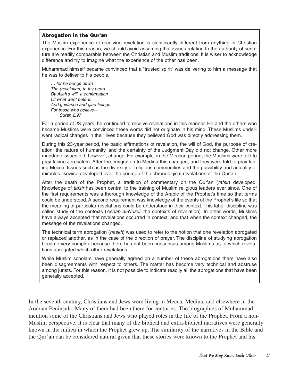### **Abrogation in the Qur'an**

The Muslim experience of receiving revelation is significantly different from anything in Christian experience. For this reason, we should avoid assuming that issues relating to the authority of scripture are readily comparable between the Christian and Muslim traditions. It is wiser to acknowledge difference and try to imagine what the experience of the other has been.

Muhammad himself became convinced that a "trusted spirit" was delivering to him a message that he was to deliver to his people.

*… for he brings down The (revelation) to thy heart By Allah's will, a confirmation Of what went before. And guidance and glad tidings For those who believe— Surah 2:97*

For a period of 23 years, he continued to receive revelations in this manner. He and the others who became Muslims were convinced these words did not originate in his mind. These Muslims underwent radical changes in their lives because they believed God was directly addressing them.

During this 23-year period, the basic affirmations of revelation, the will of God, the purpose of creation, the nature of humanity, and the certainty of the Judgment Day did not change. Other more mundane issues did, however, change. For example, in the Meccan period, the Muslims were told to pray facing Jerusalem. After the emigration to Medina this changed, and they were told to pray facing Mecca. Issues such as the diversity of religious communities and the possibility and actuality of miracles likewise developed over the course of the chronological revelations of the Qur'an.

After the death of the Prophet, a tradition of commentary on the Qur'an (*tafsir*) developed. Knowledge of *tafsir* has been central to the training of Muslim religious leaders ever since. One of the first requirements was a thorough knowledge of the Arabic of the Prophet's time so that terms could be understood. A second requirement was knowledge of the events of the Prophet's life so that the meaning of particular revelations could be understood in their context. This latter discipline was called study of the contexts (*Asbab al-Nuzul*, the contexts of revelation). In other words, Muslims have always accepted that revelations occurred in context, and that when the context changed, the message of the revelations changed.

The technical term abrogation (*naskh*) was used to refer to the notion that one revelation abrogated or replaced another, as in the case of the direction of prayer. The discipline of studying abrogation became very complex because there has not been consensus among Muslims as to which revelations abrogated which other revelations.

While Muslim scholars have generally agreed on a number of these abrogations there have also been disagreements with respect to others. The matter has become very technical and abstruse among jurists. For this reason, it is not possible to indicate readily all the abrogations that have been generally accepted.

In the seventh century, Christians and Jews were living in Mecca, Medina, and elsewhere in the Arabian Peninsula. Many of them had been there for centuries. The biographies of Muhammad mention some of the Christians and Jews who played roles in the life of the Prophet. From a non-Muslim perspective, it is clear that many of the biblical and extra-biblical narratives were generally known in the milieu in which the Prophet grew up. The similarity of the narratives in the Bible and the Qur'an can be considered natural given that these stories were known to the Prophet and his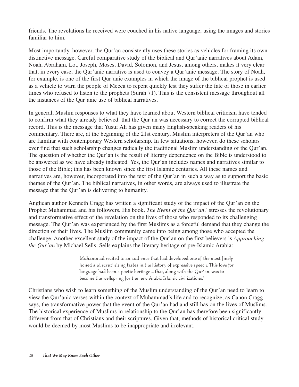friends. The revelations he received were couched in his native language, using the images and stories familiar to him.

Most importantly, however, the Qur'an consistently uses these stories as vehicles for framing its own distinctive message. Careful comparative study of the biblical and Qur'anic narratives about Adam, Noah, Abraham, Lot, Joseph, Moses, David, Solomon, and Jesus, among others, makes it very clear that, in every case, the Qur'anic narrative is used to convey a Qur'anic message. The story of Noah, for example, is one of the first Qur'anic examples in which the image of the biblical prophet is used as a vehicle to warn the people of Mecca to repent quickly lest they suffer the fate of those in earlier times who refused to listen to the prophets (Surah 71). This is the consistent message throughout all the instances of the Qur'anic use of biblical narratives.

In general, Muslim responses to what they have learned about Western biblical criticism have tended to confirm what they already believed: that the Qur'an was necessary to correct the corrupted biblical record. This is the message that Yusuf Ali has given many English-speaking readers of his commentary. There are, at the beginning of the 21st century, Muslim interpreters of the Qur'an who are familiar with contemporary Western scholarship. In few situations, however, do these scholars ever find that such scholarship changes radically the traditional Muslim understanding of the Qur'an. The question of whether the Qur'an is the result of literary dependence on the Bible is understood to be answered as we have already indicated. Yes, the Qur'an includes names and narratives similar to those of the Bible; this has been known since the first Islamic centuries. All these names and narratives are, however, incorporated into the text of the Qur'an in such a way as to support the basic themes of the Qur'an. The biblical narratives, in other words, are always used to illustrate the message that the Qur'an is delivering to humanity.

Anglican author Kenneth Cragg has written a significant study of the impact of the Qur'an on the Prophet Muhammad and his followers. His book, *The Event of the Qur'an*, <sup>3</sup> stresses the revolutionary and transformative effect of the revelation on the lives of those who responded to its challenging message. The Qur'an was experienced by the first Muslims as a forceful demand that they change the direction of their lives. The Muslim community came into being among those who accepted the challenge. Another excellent study of the impact of the Qur'an on the first believers is *Approaching the Qur'an* by Michael Sells. Sells explains the literary heritage of pre-Islamic Arabia:

> Muhammad recited to an audience that had developed one of the most finely honed and scrutinizing tastes in the history of expressive speech. This love for language had been a poetic heritage … that, along with the Qur'an, was to become the wellspring for the new Arabic Islamic civilizations.<sup>4</sup>

Christians who wish to learn something of the Muslim understanding of the Qur'an need to learn to view the Qur'anic verses within the context of Muhammad's life and to recognize, as Canon Cragg says, the transformative power that the event of the Qur'an had and still has on the lives of Muslims. The historical experience of Muslims in relationship to the Qur'an has therefore been significantly different from that of Christians and their scriptures. Given that, methods of historical critical study would be deemed by most Muslims to be inappropriate and irrelevant.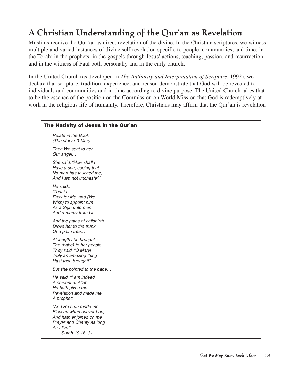# A Christian Understanding of the Qur'an as Revelation

Muslims receive the Qur'an as direct revelation of the divine. In the Christian scriptures, we witness multiple and varied instances of divine self-revelation specific to people, communities, and time: in the Torah; in the prophets; in the gospels through Jesus' actions, teaching, passion, and resurrection; and in the witness of Paul both personally and in the early church.

In the United Church (as developed in *The Authority and Interpretation of Scripture*, 1992), we declare that scripture, tradition, experience, and reason demonstrate that God will be revealed to individuals and communities and in time according to divine purpose. The United Church takes that to be the essence of the position on the Commission on World Mission that God is redemptively at work in the religious life of humanity. Therefore, Christians may affirm that the Qur'an is revelation

| The Nativity of Jesus in the Qur'an |                                                                                                                                             |
|-------------------------------------|---------------------------------------------------------------------------------------------------------------------------------------------|
|                                     | Relate in the Book<br>(The story of) Mary                                                                                                   |
|                                     | Then We sent to her<br>Our angel                                                                                                            |
|                                     | She said: "How shall I<br>Have a son, seeing that<br>No man has touched me,<br>And I am not unchaste?"                                      |
|                                     | He said<br>'That is<br>Easy for Me: and (We<br>Wish) to appoint him<br>As a Sign unto men<br>And a mercy from Us'                           |
|                                     | And the pains of childbirth<br>Drove her to the trunk<br>Of a palm tree                                                                     |
|                                     | At length she brought<br>The (babe) to her people<br>They said. "O Mary!<br>Truly an amazing thing<br>Hast thou brought!"                   |
|                                     | But she pointed to the babe                                                                                                                 |
|                                     | He said, "I am indeed<br>A servant of Allah:<br>He hath given me<br>Revelation and made me<br>A prophet;                                    |
|                                     | "And He hath made me<br>Blessed wheresoever I be,<br>And hath enjoined on me<br>Prayer and Charity as long<br>As I live."<br>Surah 19:16-31 |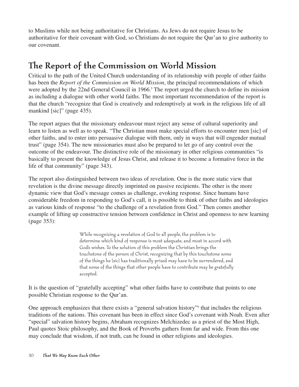to Muslims while not being authoritative for Christians. As Jews do not require Jesus to be authoritative for their covenant with God, so Christians do not require the Qur'an to give authority to our covenant.

## The Report of the Commission on World Mission

Critical to the path of the United Church understanding of its relationship with people of other faiths has been the *Report of the Commission on World Mission*, the principal recommendations of which were adopted by the 22nd General Council in 1966.<sup>5</sup> The report urged the church to define its mission as including a dialogue with other world faiths. The most important recommendation of the report is that the church "recognize that God is creatively and redemptively at work in the religious life of all mankind [sic]" (page 435).

The report argues that the missionary endeavour must reject any sense of cultural superiority and learn to listen as well as to speak. "The Christian must make special efforts to encounter men [sic] of other faiths, and to enter into persuasive dialogue with them, only in ways that will engender mutual trust" (page 354). The new missionaries must also be prepared to let go of any control over the outcome of the endeavour. The distinctive role of the missionary in other religious communities "is basically to present the knowledge of Jesus Christ, and release it to become a formative force in the life of that community" (page 343).

The report also distinguished between two ideas of revelation. One is the more static view that revelation is the divine message directly imprinted on passive recipients. The other is the more dynamic view that God's message comes as challenge, evoking response. Since humans have considerable freedom in responding to God's call, it is possible to think of other faiths and ideologies as various kinds of response "to the challenge of a revelation from God." Then comes another example of lifting up constructive tension between confidence in Christ and openness to new learning (page 353):

> While recognizing a revelation of God to all people, the problem is to determine which kind of response is most adequate, and most in accord with God's wishes. To the solution of this problem the Christian brings the touchstone of the person of Christ, recognizing that by this touchstone some of the things he [sic] has traditionally prized may have to be surrendered, and that some of the things that other people have to contribute may be gratefully accepted.

It is the question of "gratefully accepting" what other faiths have to contribute that points to one possible Christian response to the Qur'an.

One approach emphasizes that there exists a "general salvation history"6 that includes the religious traditions of the nations. This covenant has been in effect since God's covenant with Noah. Even after "special" salvation history begins, Abraham recognizes Melchizedec as a priest of the Most High, Paul quotes Stoic philosophy, and the Book of Proverbs gathers from far and wide. From this one may conclude that wisdom, if not truth, can be found in other religions and ideologies.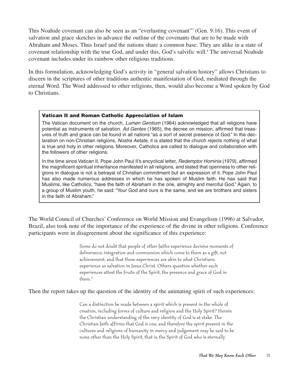This Noahide covenant can also be seen as an "everlasting covenant"<sup>7</sup> (Gen. 9:16). This event of salvation and grace sketches in advance the outline of the covenants that are to be made with Abraham and Moses. Thus Israel and the nations share a common base: They are alike in a state of covenant relationship with the true God, and under this, God's salvific will.<sup>8</sup> The universal Noahide covenant includes under its rainbow other religious traditions.

In this formulation, acknowledging God's activity in "general salvation history" allows Christians to discern in the scriptures of other traditions authentic manifestation of God, mediated through the eternal Word. The Word addressed to other religions, then, would also become a Word spoken by God to Christians.

### **Vatican II and Roman Catholic Appreciation of Islam**

The Vatican document on the church, *Lumen Gentium* (1964) acknowledged that all religions have potential as instruments of salvation. *Ad Gentes* (1965), the decree on mission, affirmed that treasures of truth and grace can be found in all nations "as a sort of secret presence of God." In the declaration on non-Christian religions, *Nostra Aetate*, it is stated that the church rejects nothing of what is true and holy in other religions. Moreover, Catholics are called to dialogue and collaboration with the followers of other religions.

In the time since Vatican II, Pope John Paul II's encyclical letter, *Redemptor Hominis* (1979), affirmed the magnificent spiritual inheritance manifested in all religions, and stated that openness to other religions in dialogue is not a betrayal of Christian commitment but an expression of it. Pope John Paul has also made numerous addresses in which he has spoken of Muslim faith. He has said that Muslims, like Catholics, "have the faith of Abraham in the one, almighty and merciful God." Again, to a group of Muslim youth, he said: "Your God and ours is the same, and we are brothers and sisters in the faith of Abraham."

The World Council of Churches' Conference on World Mission and Evangelism (1996) at Salvador, Brazil, also took note of the importance of the experience of the divine in other religions. Conference participants were in disagreement about the significance of this experience:

> Some do not doubt that people of other faiths experience decisive moments of deliverance, integration and communion which come to them as a gift, not achievement, and that these experiences are akin to what Christians experience as salvation in Jesus Christ. Others question whether such experiences attest the fruits of the Spirit, the presence and grace of God in them.9

Then the report takes up the question of the identity of the animating spirit of such experiences:

Can a distinction be made between a spirit which is present in the whole of creation, including forms of culture and religion and the Holy Spirit? Herein the Christian understanding of the very identity of God is at stake. The Christian faith affirms that God is one, and therefore the spirit present in the cultures and religions of humanity in mercy and judgement may be said to be none other than the Holy Spirit, that is, the Spirit of God who is eternally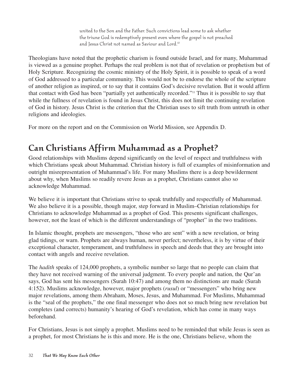united to the Son and the Father. Such convictions lead some to ask whether the triune God is redemptively present even where the gospel is not preached and Jesus Christ not named as Saviour and Lord.<sup>10</sup>

Theologians have noted that the prophetic charism is found outside Israel, and for many, Muhammad is viewed as a genuine prophet. Perhaps the real problem is not that of revelation or prophetism but of Holy Scripture. Recognizing the cosmic ministry of the Holy Spirit, it is possible to speak of a word of God addressed to a particular community. This would not be to endorse the whole of the scripture of another religion as inspired, or to say that it contains God's decisive revelation. But it would affirm that contact with God has been "partially yet authentically recorded."11 Thus it is possible to say that while the fullness of revelation is found in Jesus Christ, this does not limit the continuing revelation of God in history. Jesus Christ is the criterion that the Christian uses to sift truth from untruth in other religions and ideologies.

For more on the report and on the Commission on World Mission, see Appendix D.

## Can Christians Affirm Muhammad as a Prophet?

Good relationships with Muslims depend significantly on the level of respect and truthfulness with which Christians speak about Muhammad. Christian history is full of examples of misinformation and outright misrepresentation of Muhammad's life. For many Muslims there is a deep bewilderment about why, when Muslims so readily revere Jesus as a prophet, Christians cannot also so acknowledge Muhammad.

We believe it is important that Christians strive to speak truthfully and respectfully of Muhammad. We also believe it is a possible, though major, step forward in Muslim–Christian relationships for Christians to acknowledge Muhammad as a prophet of God. This presents significant challenges, however, not the least of which is the different understandings of "prophet" in the two traditions.

In Islamic thought, prophets are messengers, "those who are sent" with a new revelation, or bring glad tidings, or warn. Prophets are always human, never perfect; nevertheless, it is by virtue of their exceptional character, temperament, and truthfulness in speech and deeds that they are brought into contact with angels and receive revelation.

The *hadith* speaks of 124,000 prophets, a symbolic number so large that no people can claim that they have not received warning of the universal judgment. To every people and nation, the Qur'an says, God has sent his messengers (Surah 10:47) and among them no distinctions are made (Surah 4:152). Muslims acknowledge, however, major prophets (*rusul*) or "messengers" who bring new major revelations, among them Abraham, Moses, Jesus, and Muhammad. For Muslims, Muhammad is the "seal of the prophets," the one final messenger who does not so much bring new revelation but completes (and corrects) humanity's hearing of God's revelation, which has come in many ways beforehand.

For Christians, Jesus is not simply a prophet. Muslims need to be reminded that while Jesus is seen as a prophet, for most Christians he is this and more. He is the one, Christians believe, whom the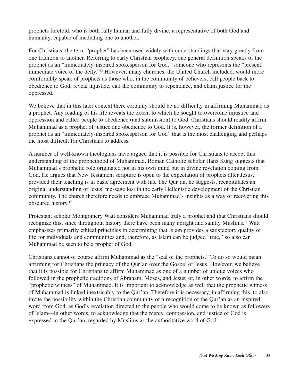prophets foretold, who is both fully human and fully divine, a representative of both God and humanity, capable of mediating one to another.

For Christians, the term "prophet" has been used widely with understandings that vary greatly from one tradition to another. Referring to early Christian prophecy, one general definition speaks of the prophet as an "immediately-inspired spokesperson for God," someone who represents the "present, immediate voice of the deity."12 However, many churches, the United Church included, would more comfortably speak of prophets as those who, in the community of believers, call people back to obedience to God, reveal injustice, call the community to repentance, and claim justice for the oppressed.

We believe that in this later context there certainly should be no difficulty in affirming Muhammad as a prophet. Any reading of his life reveals the extent to which he sought to overcome injustice and oppression and called people to obedience (and submission) to God. Christians should readily affirm Muhammad as a prophet of justice and obedience to God. It is, however, the former definition of a prophet as an "immediately-inspired spokesperson for God" that is the most challenging and perhaps the most difficult for Christians to address.

A number of well-known theologians have argued that it is possible for Christians to accept this understanding of the prophethood of Muhammad. Roman Catholic scholar Hans Küng suggests that Muhammad's prophetic role originated not in his own mind but in divine revelation coming from God. He argues that New Testament scripture is open to the expectation of prophets after Jesus, provided their teaching is in basic agreement with his. The Qur'an, he suggests, recapitulates an original understanding of Jesus' message lost in the early Hellenistic development of the Christian community. The church therefore needs to embrace Muhammad's insights as a way of recovering this obscured history.<sup>13</sup>

Protestant scholar Montgomery Watt considers Muhammad truly a prophet and that Christians should recognize this, since throughout history there have been many upright and saintly Muslims.<sup>14</sup> Watt emphasizes primarily ethical principles in determining that Islam provides a satisfactory quality of life for individuals and communities and, therefore, as Islam can be judged "true," so also can Muhammad be seen to be a prophet of God.

Christians cannot of course affirm Muhammad as the "seal of the prophets." To do so would mean affirming for Christians the primacy of the Qur'an over the Gospel of Jesus. However, we believe that it is possible for Christians to affirm Muhammad as one of a number of unique voices who followed in the prophetic traditions of Abraham, Moses, and Jesus, or, in other words, to affirm the "prophetic witness" of Muhammad. It is important to acknowledge as well that the prophetic witness of Muhammad is linked inextricably to the Qur'an. Therefore it is necessary, in affirming this, to also invite the possibility within the Christian community of a recognition of the Qur'an as an inspired word from God, as God's revelation directed to the people who would come to be known as followers of Islam—in other words, to acknowledge that the mercy, compassion, and justice of God is expressed in the Qur'an, regarded by Muslims as the authoritative word of God.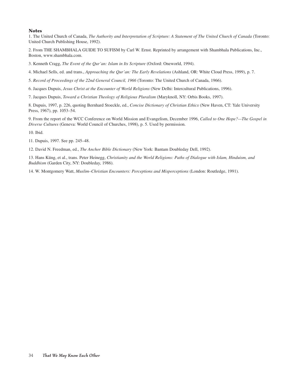#### **Notes**

1. The United Church of Canada, *The Authority and Interpretation of Scripture: A Statement of The United Church of Canada* (Toronto: United Church Publishing House, 1992).

2. From THE SHAMBHALA GUIDE TO SUFISM by Carl W. Ernst. Reprinted by arrangement with Shambhala Publications, Inc., Boston, www.shambhala.com.

3. Kenneth Cragg, *The Event of the Qur'an: Islam in Its Scripture* (Oxford: Oneworld, 1994).

4. Michael Sells, ed. and trans., *Approaching the Qur'an: The Early Revelations* (Ashland, OR: White Cloud Press, 1999), p. 7.

5. *Record of Proceedings of the 22nd General Council, 1966* (Toronto: The United Church of Canada, 1966).

6. Jacques Dupuis, *Jesus Christ at the Encounter of World Religions* (New Delhi: Intercultural Publications, 1996).

7. Jacques Dupuis, *Toward a Christian Theology of Religious Pluralism* (Maryknoll, NY: Orbis Books, 1997).

8. Dupuis, 1997, p. 226, quoting Bernhard Stoeckle, ed., *Concise Dictionary of Christian Ethics* (New Haven, CT: Yale University Press, 1967), pp. 1053–54.

9. From the report of the WCC Conference on World Mission and Evangelism, December 1996, *Called to One Hope?—The Gospel in Diverse Cultures* (Geneva: World Council of Churches, 1998), p. 5. Used by permission.

10. Ibid.

11. Dupuis, 1997. See pp. 245–48.

12. David N. Freedman, ed., *The Anchor Bible Dictionary* (New York: Bantam Doubleday Dell, 1992).

13. Hans Küng, et al., trans. Peter Heinegg, *Christianity and the World Religions: Paths of Dialogue with Islam, Hinduism, and Buddhism* (Garden City, NY: Doubleday, 1986).

14. W. Montgomery Watt, *Muslim–Christian Encounters: Perceptions and Misperceptions* (London: Routledge, 1991).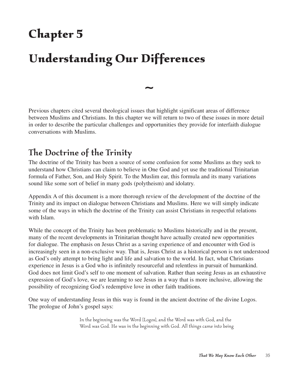# **Chapter 5**

# **Understanding Our Differences**

Previous chapters cited several theological issues that highlight significant areas of difference between Muslims and Christians. In this chapter we will return to two of these issues in more detail in order to describe the particular challenges and opportunities they provide for interfaith dialogue conversations with Muslims.

**~**

## The Doctrine of the Trinity

The doctrine of the Trinity has been a source of some confusion for some Muslims as they seek to understand how Christians can claim to believe in One God and yet use the traditional Trinitarian formula of Father, Son, and Holy Spirit. To the Muslim ear, this formula and its many variations sound like some sort of belief in many gods (polytheism) and idolatry.

Appendix A of this document is a more thorough review of the development of the doctrine of the Trinity and its impact on dialogue between Christians and Muslims. Here we will simply indicate some of the ways in which the doctrine of the Trinity can assist Christians in respectful relations with Islam.

While the concept of the Trinity has been problematic to Muslims historically and in the present, many of the recent developments in Trinitarian thought have actually created new opportunities for dialogue. The emphasis on Jesus Christ as a saving experience of and encounter with God is increasingly seen in a non-exclusive way. That is, Jesus Christ as a historical person is not understood as God's only attempt to bring light and life and salvation to the world. In fact, what Christians experience in Jesus is a God who is infinitely resourceful and relentless in pursuit of humankind. God does not limit God's self to one moment of salvation. Rather than seeing Jesus as an exhaustive expression of God's love, we are learning to see Jesus in a way that is more inclusive, allowing the possibility of recognizing God's redemptive love in other faith traditions.

One way of understanding Jesus in this way is found in the ancient doctrine of the divine Logos. The prologue of John's gospel says:

> In the beginning was the Word [Logos], and the Word was with God, and the Word was God. He was in the beginning with God. All things came into being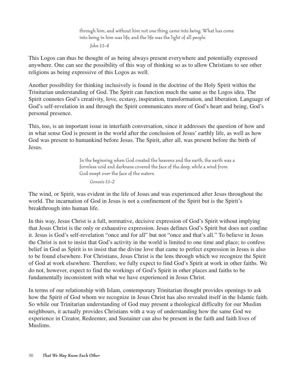through him, and without him not one thing came into being. What has come into being in him was life, and the life was the light of all people. *John 1:1–4*

This Logos can thus be thought of as being always present everywhere and potentially expressed anywhere. One can see the possibility of this way of thinking so as to allow Christians to see other religions as being expressive of this Logos as well.

Another possibility for thinking inclusively is found in the doctrine of the Holy Spirit within the Trinitarian understanding of God. The Spirit can function much the same as the Logos idea. The Spirit connotes God's creativity, love, ecstasy, inspiration, transformation, and liberation. Language of God's self-revelation in and through the Spirit communicates more of God's heart and being, God's personal presence.

This, too, is an important issue in interfaith conversation, since it addresses the question of how and in what sense God is present in the world after the conclusion of Jesus' earthly life, as well as how God was present to humankind before Jesus. The Spirit, after all, was present before the birth of Jesus.

> In the beginning when God created the heavens and the earth, the earth was a formless void and darkness covered the face of the deep, while a wind from God swept over the face of the waters.

*Genesis 1:1–2*

The wind, or Spirit, was evident in the life of Jesus and was experienced after Jesus throughout the world. The incarnation of God in Jesus is not a confinement of the Spirit but is the Spirit's breakthrough into human life.

In this way, Jesus Christ is a full, normative, decisive expression of God's Spirit without implying that Jesus Christ is the only or exhaustive expression. Jesus defines God's Spirit but does not confine it. Jesus is God's self-revelation "once and for all" but not "once and that's all." To believe in Jesus the Christ is not to insist that God's activity in the world is limited to one time and place; to confess belief in God as Spirit is to insist that the divine love that came to perfect expression in Jesus is also to be found elsewhere. For Christians, Jesus Christ is the lens through which we recognize the Spirit of God at work elsewhere. Therefore, we fully expect to find God's Spirit at work in other faiths. We do not, however, expect to find the workings of God's Spirit in other places and faiths to be fundamentally inconsistent with what we have experienced in Jesus Christ.

In terms of our relationship with Islam, contemporary Trinitarian thought provides openings to ask how the Spirit of God whom we recognize in Jesus Christ has also revealed itself in the Islamic faith. So while our Trinitarian understanding of God may present a theological difficulty for our Muslim neighbours, it actually provides Christians with a way of understanding how the same God we experience in Creator, Redeemer, and Sustainer can also be present in the faith and faith lives of Muslims.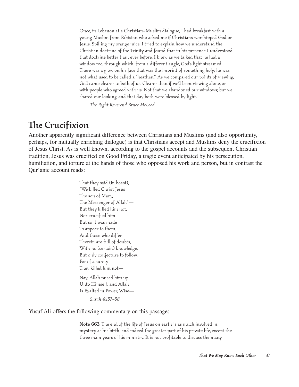Once, in Lebanon at a Christian–Muslim dialogue, I had breakfast with a young Muslim from Pakistan who asked me if Christians worshipped God or Jesus. Spilling my orange juice, I tried to explain how we understand the Christian doctrine of the Trinity and found that in his presence I understood that doctrine better than ever before. I knew as we talked that he had a window too, through which, from a different angle, God's light streamed. There was a glow on his face that was the imprint of something holy; he was not what used to be called a "heathen." As we compared our points of viewing, God came clearer to both of us. Clearer than if we'd been viewing alone, or with people who agreed with us. Not that we abandoned our windows; but we shared our looking, and that day both were blessed by light.

*The Right Reverend Bruce McLeod*

## The Crucifixion

Another apparently significant difference between Christians and Muslims (and also opportunity, perhaps, for mutually enriching dialogue) is that Christians accept and Muslims deny the crucifixion of Jesus Christ. As is well known, according to the gospel accounts and the subsequent Christian tradition, Jesus was crucified on Good Friday, a tragic event anticipated by his persecution, humiliation, and torture at the hands of those who opposed his work and person, but in contrast the Qur'anic account reads:

> That they said (in boast), "We killed Christ Jesus The son of Mary, The Messenger of Allah"— But they killed him not, Nor crucified him, But so it was made To appear to them, And those who differ Therein are full of doubts, With no (certain) knowledge, But only conjecture to follow, For of a surety They killed him not—

Nay, Allah raised him up Unto Himself; and Allah Is Exalted in Power, Wise— *Surah 4:157–58*

Yusuf Ali offers the following commentary on this passage:

Note 663. The end of the life of Jesus on earth is as much involved in mystery as his birth, and indeed the greater part of his private life, except the three main years of his ministry. It is not profitable to discuss the many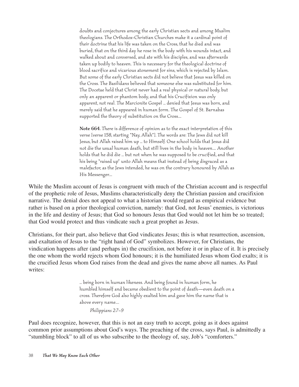doubts and conjectures among the early Christian sects and among Muslim theologians. The Orthodox-Christian Churches make it a cardinal point of their doctrine that his life was taken on the Cross, that he died and was buried, that on the third day he rose in the body with his wounds intact, and walked about and conversed, and ate with his disciples, and was afterwards taken up bodily to heaven. This is necessary for the theological doctrine of blood sacrifice and vicarious atonement for sins, which is rejected by Islam. But some of the early Christian sects did not believe that Jesus was killed on the Cross. The Basilidans believed that someone else was substituted for him. The Docetae held that Christ never had a real physical or natural body, but only an apparent or phantom body, and that his Crucifixion was only apparent, not real. The Marcionite Gospel … denied that Jesus was born, and merely said that he appeared in human form. The Gospel of St. Barnabas supported the theory of substitution on the Cross.…

Note 664. There is difference of opinion as to the exact interpretation of this verse [verse 158, starting "Nay, Allah"]. The words are: The Jews did not kill Jesus, but Allah raised him up … to Himself. One school holds that Jesus did not die the usual human death, but still lives in the body in heaven.… Another holds that he did die … but not when he was supposed to be crucified, and that his being "raised up" unto Allah means that instead of being disgraced as a malefactor, as the Jews intended, he was on the contrary honoured by Allah as His Messenger.…

While the Muslim account of Jesus is congruent with much of the Christian account and is respectful of the prophetic role of Jesus, Muslims characteristically deny the Christian passion and crucifixion narrative. The denial does not appeal to what a historian would regard as empirical evidence but rather is based on a prior theological conviction, namely: that God, not Jesus' enemies, is victorious in the life and destiny of Jesus; that God so honours Jesus that God would not let him be so treated; that God would protect and thus vindicate such a great prophet as Jesus.

Christians, for their part, also believe that God vindicates Jesus; this is what resurrection, ascension, and exaltation of Jesus to the "right hand of God" symbolizes. However, for Christians, the vindication happens after (and perhaps in) the crucifixion, not before it or in place of it. It is precisely the one whom the world rejects whom God honours; it is the humiliated Jesus whom God exalts; it is the crucified Jesus whom God raises from the dead and gives the name above all names. As Paul writes:

> … being born in human likeness. And being found in human form, he humbled himself and became obedient to the point of death—even death on a cross. Therefore God also highly exalted him and gave him the name that is above every name....

*Philippians 2:7–9*

Paul does recognize, however, that this is not an easy truth to accept, going as it does against common prior assumptions about God's ways. The preaching of the cross, says Paul, is admittedly a "stumbling block" to all of us who subscribe to the theology of, say, Job's "comforters."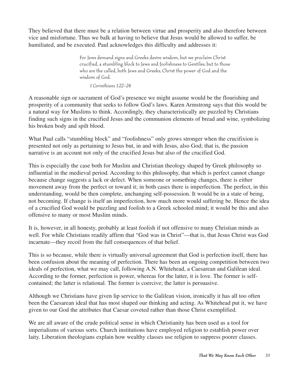They believed that there must be a relation between virtue and prosperity and also therefore between vice and misfortune. Thus we balk at having to believe that Jesus would be allowed to suffer, be humiliated, and be executed. Paul acknowledges this difficulty and addresses it:

> For Jews demand signs and Greeks desire wisdom, but we proclaim Christ crucified, a stumbling block to Jews and foolishness to Gentiles, but to those who are the called, both Jews and Greeks, Christ the power of God and the wisdom of God.

*1 Corinthians 1:22–24*

A reasonable sign or sacrament of God's presence we might assume would be the flourishing and prosperity of a community that seeks to follow God's laws. Karen Armstrong says that this would be a natural way for Muslims to think. Accordingly, they characteristically are puzzled by Christians finding such signs in the crucified Jesus and the communion elements of bread and wine, symbolizing his broken body and spilt blood.

What Paul calls "stumbling block" and "foolishness" only grows stronger when the crucifixion is presented not only as pertaining to Jesus but, in and with Jesus, also God; that is, the passion narrative is an account not only of the crucified Jesus but also of the crucified God.

This is especially the case both for Muslim and Christian theology shaped by Greek philosophy so influential in the medieval period. According to this philosophy, that which is perfect cannot change because change suggests a lack or defect. When someone or something changes, there is either movement away from the perfect or toward it; in both cases there is imperfection. The perfect, in this understanding, would be then complete, unchanging self-possession. It would be in a state of being, not becoming. If change is itself an imperfection, how much more would suffering be. Hence the idea of a crucified God would be puzzling and foolish to a Greek schooled mind; it would be this and also offensive to many or most Muslim minds.

It is, however, in all honesty, probably at least foolish if not offensive to many Christian minds as well. For while Christians readily affirm that "God was in Christ"—that is, that Jesus Christ was God incarnate—they recoil from the full consequences of that belief.

This is so because, while there is virtually universal agreement that God is perfection itself, there has been confusion about the meaning of perfection. There has been an ongoing competition between two ideals of perfection, what we may call, following A.N. Whitehead, a Caesarean and Galilean ideal. According to the former, perfection is power, whereas for the latter, it is love. The former is selfcontained; the latter is relational. The former is coercive; the latter is persuasive.

Although we Christians have given lip service to the Galilean vision, ironically it has all too often been the Caesarean ideal that has most shaped our thinking and acting. As Whitehead put it, we have given to our God the attributes that Caesar coveted rather than those Christ exemplified.

We are all aware of the crude political sense in which Christianity has been used as a tool for imperialisms of various sorts. Church institutions have employed religion to establish power over laity. Liberation theologians explain how wealthy classes use religion to suppress poorer classes.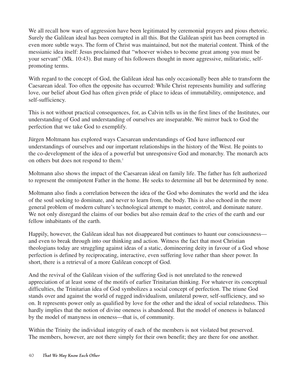We all recall how wars of aggression have been legitimated by ceremonial prayers and pious rhetoric. Surely the Galilean ideal has been corrupted in all this. But the Galilean spirit has been corrupted in even more subtle ways. The form of Christ was maintained, but not the material content. Think of the messianic idea itself: Jesus proclaimed that "whoever wishes to become great among you must be your servant" (Mk. 10:43). But many of his followers thought in more aggressive, militaristic, selfpromoting terms.

With regard to the concept of God, the Galilean ideal has only occasionally been able to transform the Caesarean ideal. Too often the opposite has occurred: While Christ represents humility and suffering love, our belief about God has often given pride of place to ideas of immutability, omnipotence, and self-sufficiency.

This is not without practical consequences, for, as Calvin tells us in the first lines of the Institutes, our understanding of God and understanding of ourselves are inseparable. We mirror back to God the perfection that we take God to exemplify.

Jürgen Moltmann has explored ways Caesarean understandings of God have influenced our understandings of ourselves and our important relationships in the history of the West. He points to the co-development of the idea of a powerful but unresponsive God and monarchy. The monarch acts on others but does not respond to them.<sup>1</sup>

Moltmann also shows the impact of the Caesarean ideal on family life. The father has felt authorized to represent the omnipotent Father in the home. He seeks to determine all but be determined by none.

Moltmann also finds a correlation between the idea of the God who dominates the world and the idea of the soul seeking to dominate, and never to learn from, the body. This is also echoed in the more general problem of modern culture's technological attempt to master, control, and dominate nature. We not only disregard the claims of our bodies but also remain deaf to the cries of the earth and our fellow inhabitants of the earth.

Happily, however, the Galilean ideal has not disappeared but continues to haunt our consciousness and even to break through into our thinking and action. Witness the fact that most Christian theologians today are struggling against ideas of a static, domineering deity in favour of a God whose perfection is defined by reciprocating, interactive, even suffering love rather than sheer power. In short, there is a retrieval of a more Galilean concept of God.

And the revival of the Galilean vision of the suffering God is not unrelated to the renewed appreciation of at least some of the motifs of earlier Trinitarian thinking. For whatever its conceptual difficulties, the Trinitarian idea of God symbolizes a social concept of perfection. The triune God stands over and against the world of rugged individualism, unilateral power, self-sufficiency, and so on. It represents power only as qualified by love for the other and the ideal of social relatedness. This hardly implies that the notion of divine oneness is abandoned. But the model of oneness is balanced by the model of manyness in oneness—that is, of community.

Within the Trinity the individual integrity of each of the members is not violated but preserved. The members, however, are not there simply for their own benefit; they are there for one another.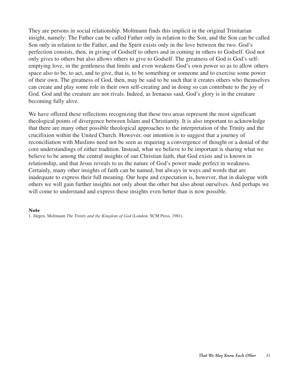They are persons in social relationship. Moltmann finds this implicit in the original Trinitarian insight, namely: The Father can be called Father only in relation to the Son, and the Son can be called Son only in relation to the Father, and the Spirit exists only in the love between the two. God's perfection consists, then, in giving of Godself to others and in coming in others to Godself. God not only gives to others but also allows others to give to Godself. The greatness of God is God's selfemptying love, in the gentleness that limits and even weakens God's own power so as to allow others space also to be, to act, and to give, that is, to be something or someone and to exercise some power of their own. The greatness of God, then, may be said to be such that it creates others who themselves can create and play some role in their own self-creating and in doing so can contribute to the joy of God. God and the creature are not rivals. Indeed, as Irenaeus said, God's glory is in the creature becoming fully alive.

We have offered these reflections recognizing that these two areas represent the most significant theological points of divergence between Islam and Christianity. It is also important to acknowledge that there are many other possible theological approaches to the interpretation of the Trinity and the crucifixion within the United Church. However, our intention is to suggest that a journey of reconciliation with Muslims need not be seen as requiring a convergence of thought or a denial of the core understandings of either tradition. Instead, what we believe to be important is sharing what we believe to be among the central insights of our Christian faith, that God exists and is known in relationship, and that Jesus reveals to us the nature of God's power made perfect in weakness. Certainly, many other insights of faith can be named, but always in ways and words that are inadequate to express their full meaning. Our hope and expectation is, however, that in dialogue with others we will gain further insights not only about the other but also about ourselves. And perhaps we will come to understand and express these insights even better than is now possible.

#### **Note**

1. Jürgen, Moltmann *The Trinity and the Kingdom of God* (London: SCM Press, 1981).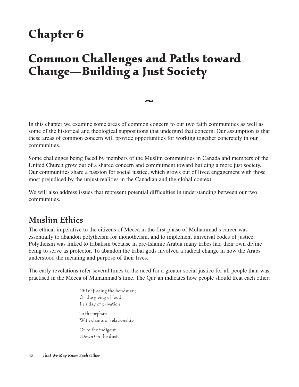# **Chapter 6**

# **Common Challenges and Paths toward Change—Building a Just Society**

In this chapter we examine some areas of common concern to our two faith communities as well as some of the historical and theological suppositions that undergird that concern. Our assumption is that these areas of common concern will provide opportunities for working together concretely in our communities.

**~**

Some challenges being faced by members of the Muslim communities in Canada and members of the United Church grow out of a shared concern and commitment toward building a more just society. Our communities share a passion for social justice, which grows out of lived engagement with those most prejudiced by the unjust realities in the Canadian and the global context.

We will also address issues that represent potential difficulties in understanding between our two communities.

## Muslim Ethics

The ethical imperative to the citizens of Mecca in the first phase of Muhammad's career was essentially to abandon polytheism for monotheism, and to implement universal codes of justice. Polytheism was linked to tribalism because in pre-Islamic Arabia many tribes had their own divine being to serve as protector. To abandon the tribal gods involved a radical change in how the Arabs understood the meaning and purpose of their lives.

The early revelations refer several times to the need for a greater social justice for all people than was practised in the Mecca of Muhammad's time. The Qur'an indicates how people should treat each other:

> (It is:) freeing the bondman; Or the giving of food In a day of privation

To the orphan With claims of relationship,

Or to the indigent (Down) in the dust.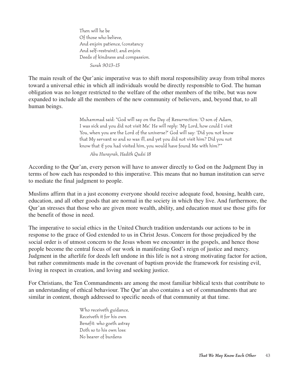Then will he be Of those who believe, And enjoin patience, (constancy And self-restraint), and enjoin Deeds of kindness and compassion. *Surah 90:13–15*

The main result of the Qur'anic imperative was to shift moral responsibility away from tribal mores toward a universal ethic in which all individuals would be directly responsible to God. The human obligation was no longer restricted to the welfare of the other members of the tribe, but was now expanded to include all the members of the new community of believers, and, beyond that, to all human beings.

> Muhammad said: "God will say on the Day of Resurrection: 'O son of Adam, I was sick and you did not visit Me.' He will reply: 'My Lord, how could I visit You, when you are the Lord of the universe?' God will say: 'Did you not know that My servant so and so was ill, and yet you did not visit him? Did you not know that if you had visited him, you would have found Me with him?'"

*Abu Hurayrah, Hadith Qudsi 18*

According to the Qur'an, every person will have to answer directly to God on the Judgment Day in terms of how each has responded to this imperative. This means that no human institution can serve to mediate the final judgment to people.

Muslims affirm that in a just economy everyone should receive adequate food, housing, health care, education, and all other goods that are normal in the society in which they live. And furthermore, the Qur'an stresses that those who are given more wealth, ability, and education must use those gifts for the benefit of those in need.

The imperative to social ethics in the United Church tradition understands our actions to be in response to the grace of God extended to us in Christ Jesus. Concern for those prejudiced by the social order is of utmost concern to the Jesus whom we encounter in the gospels, and hence those people become the central focus of our work in manifesting God's reign of justice and mercy. Judgment in the afterlife for deeds left undone in this life is not a strong motivating factor for action, but rather commitments made in the covenant of baptism provide the framework for resisting evil, living in respect in creation, and loving and seeking justice.

For Christians, the Ten Commandments are among the most familiar biblical texts that contribute to an understanding of ethical behaviour. The Qur'an also contains a set of commandments that are similar in content, though addressed to specific needs of that community at that time.

> Who receiveth guidance, Receiveth it for his own Benefit: who goeth astray Doth so to his own loss: No bearer of burdens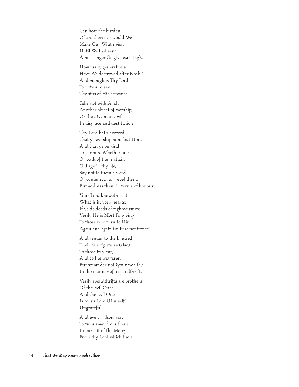Can bear the burden Of another: nor would We Make Our Wrath visit Until We had sent A messenger (to give warning).…

How many generations Have We destroyed after Noah? And enough is Thy Lord To note and see The sins of His servants.…

Take not with Allah Another object of worship; Or thou (O man!) wilt sit In disgrace and destitution.

Thy Lord hath decreed That ye worship none but Him, And that ye be kind To parents. Whether one Or both of them attain Old age in thy life, Say not to them a word Of contempt, nor repel them, But address them in terms of honour.…

Your Lord knoweth best What is in your hearts: If ye do deeds of righteousness, Verily He is Most Forgiving To those who turn to Him Again and again (in true penitence).

And render to the kindred Their due rights, as (also) To those in want, And to the wayfarer: But squander not (your wealth) In the manner of a spendthrift.

Verily spendthrifts are brothers Of the Evil Ones And the Evil One Is to his Lord (Himself) Ungrateful.

And even if thou hast To turn away from them In pursuit of the Mercy From thy Lord which thou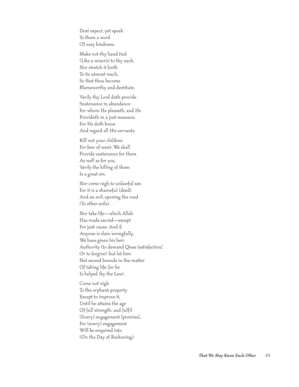Dost expect, yet speak To them a word Of easy kindness.

Make not thy hand tied (Like a miser's) to thy neck, Nor stretch it forth To its utmost reach, So that thou become Blameworthy and destitute.

Verily thy Lord doth provide Sustenance in abundance For whom He pleaseth, and He Provideth in a just measure, For He doth know And regard all His servants.

Kill not your children For fear of want: We shall Provide sustenance for them As well as for you. Verily the killing of them Is a great sin.

Nor come nigh to unlawful sex For it is a shameful (deed) And an evil, opening the road (To other evils).

Nor take life—which Allah Has made sacred—except For just cause. And if Anyone is slain wrongfully, We have given his heir Authority (to demand Qisas [satisfaction] Or to forgive): but let him Not exceed bounds in the matter Of taking life: for he Is helped (by the Law).

Come not nigh To the orphan's property Except to improve it, Until he attains the age Of full strength: and fulfil (Every) engagement [promise], For (every) engagement Will be enquired into (On the Day of Reckoning).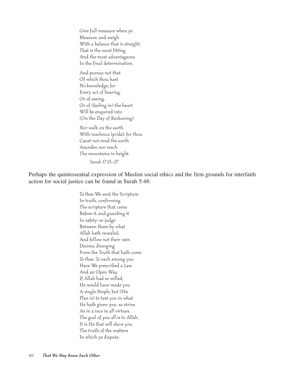Give full measure when ye Measure, and weigh With a balance that is straight: That is the most fitting And the most advantageous In the final determination.

And pursue not that Of which thou hast No knowledge; for Every act of hearing, Or of seeing, Or of (feeling in) the heart Will be enquired into (On the Day of Reckoning).

Nor walk on the earth With insolence [pride]: for thou Canst not rend the earth Asunder, nor reach The mountains in height.

*Surah 17:15–37*

Perhaps the quintessential expression of Muslim social ethics and the firm grounds for interfaith action for social justice can be found in Surah 5:48:

> To thee We sent the Scripture In truth, confirming The scripture that came Before it, and guarding it In safety: so judge Between them by what Allah hath revealed, And follow not their vain Desires, diverging From the Truth that hath come To thee. To each among you Have We prescribed a Law And an Open Way. If Allah had so willed, He would have made you A single People, but (His Plan is) to test you in what He hath given you: so strive As in a race in all virtues. The goal of you all is to Allah; It is He that will show you The truth of the matters In which ye dispute.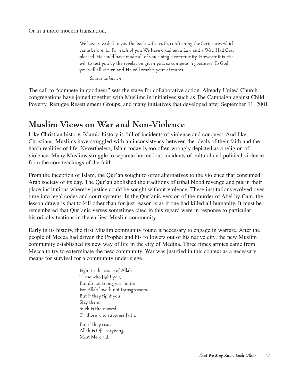Or in a more modern translation,

We have revealed to you the book with truth, confirming the Scriptures which came before it…. For each of you We have ordained a Law and a Way. Had God pleased, He could have made all of you a single community. However it is His will to test you by the revelation given you, so compete in goodness. To God you will all return and He will resolve your disputes.

*Source unknown*

The call to "compete in goodness" sets the stage for collaborative action. Already United Church congregations have joined together with Muslims in initiatives such as The Campaign against Child Poverty, Refugee Resettlement Groups, and many initiatives that developed after September 11, 2001.

## Muslim Views on War and Non-Violence

Like Christian history, Islamic history is full of incidents of violence and conquest. And like Christians, Muslims have struggled with an inconsistency between the ideals of their faith and the harsh realities of life. Nevertheless, Islam today is too often wrongly depicted as a religion of violence. Many Muslims struggle to separate horrendous incidents of cultural and political violence from the core teachings of the faith.

From the inception of Islam, the Qur'an sought to offer alternatives to the violence that consumed Arab society of its day. The Qur'an abolished the traditions of tribal blood revenge and put in their place institutions whereby justice could be sought without violence. These institutions evolved over time into legal codes and court systems. In the Qur'anic version of the murder of Abel by Cain, the lesson drawn is that to kill other than for just reason is as if one had killed all humanity. It must be remembered that Qur'anic verses sometimes cited in this regard were in response to particular historical situations in the earliest Muslim community.

Early in its history, the first Muslim community found it necessary to engage in warfare. After the people of Mecca had driven the Prophet and his followers out of his native city, the new Muslim community established its new way of life in the city of Medina. Three times armies came from Mecca to try to exterminate the new community. War was justified in this context as a necessary means for survival for a community under siege.

> Fight in the cause of Allah Those who fight you, But do not transgress limits; For Allah loveth not transgressors.… But if they fight you, Slay them. Such is the reward Of those who suppress faith.

But if they cease, Allah is Oft-Forgiving, Most Merciful.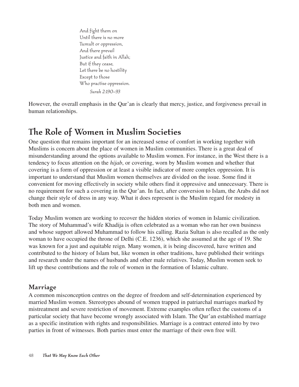And fight them on Until there is no more Tumult or oppression, And there prevail Justice and faith in Allah; But if they cease, Let there be no hostility Except to those Who practise oppression. *Surah 2:190–93*

However, the overall emphasis in the Qur'an is clearly that mercy, justice, and forgiveness prevail in human relationships.

## The Role of Women in Muslim Societies

One question that remains important for an increased sense of comfort in working together with Muslims is concern about the place of women in Muslim communities. There is a great deal of misunderstanding around the options available to Muslim women. For instance, in the West there is a tendency to focus attention on the *hijab*, or covering, worn by Muslim women and whether that covering is a form of oppression or at least a visible indicator of more complex oppression. It is important to understand that Muslim women themselves are divided on the issue. Some find it convenient for moving effectively in society while others find it oppressive and unnecessary. There is no requirement for such a covering in the Qur'an. In fact, after conversion to Islam, the Arabs did not change their style of dress in any way. What it does represent is the Muslim regard for modesty in both men and women.

Today Muslim women are working to recover the hidden stories of women in Islamic civilization. The story of Muhammad's wife Khadija is often celebrated as a woman who ran her own business and whose support allowed Muhammad to follow his calling. Razia Sultan is also recalled as the only woman to have occupied the throne of Delhi (C.E. 1236), which she assumed at the age of 19. She was known for a just and equitable reign. Many women, it is being discovered, have written and contributed to the history of Islam but, like women in other traditions, have published their writings and research under the names of husbands and other male relatives. Today, Muslim women seek to lift up these contributions and the role of women in the formation of Islamic culture.

### Marriage

A common misconception centres on the degree of freedom and self-determination experienced by married Muslim women. Stereotypes abound of women trapped in patriarchal marriages marked by mistreatment and severe restriction of movement. Extreme examples often reflect the customs of a particular society that have become wrongly associated with Islam. The Qur'an established marriage as a specific institution with rights and responsibilities. Marriage is a contract entered into by two parties in front of witnesses. Both parties must enter the marriage of their own free will.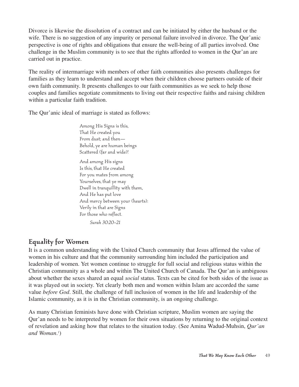Divorce is likewise the dissolution of a contract and can be initiated by either the husband or the wife. There is no suggestion of any impurity or personal failure involved in divorce. The Qur'anic perspective is one of rights and obligations that ensure the well-being of all parties involved. One challenge in the Muslim community is to see that the rights afforded to women in the Qur'an are carried out in practice.

The reality of intermarriage with members of other faith communities also presents challenges for families as they learn to understand and accept when their children choose partners outside of their own faith community. It presents challenges to our faith communities as we seek to help those couples and families negotiate commitments to living out their respective faiths and raising children within a particular faith tradition.

The Qur'anic ideal of marriage is stated as follows:

Among His Signs is this, That He created you From dust; and then— Behold, ye are human beings Scattered (far and wide)!

And among His signs Is this, that He created For you mates from among Yourselves, that ye may Dwell in tranquillity with them, And He has put love And mercy between your (hearts): Verily in that are Signs For those who reflect. *Surah 30:20–21*

## Equality for Women

It is a common understanding with the United Church community that Jesus affirmed the value of women in his culture and that the community surrounding him included the participation and leadership of women. Yet women continue to struggle for full social and religious status within the Christian community as a whole and within The United Church of Canada. The Qur'an is ambiguous about whether the sexes shared an equal *social* status. Texts can be cited for both sides of the issue as it was played out in society. Yet clearly both men and women within Islam are accorded the same value *before God*. Still, the challenge of full inclusion of women in the life and leadership of the Islamic community, as it is in the Christian community, is an ongoing challenge.

As many Christian feminists have done with Christian scripture, Muslim women are saying the Qur'an needs to be interpreted by women for their own situations by returning to the original context of revelation and asking how that relates to the situation today. (See Amina Wadud-Muhsin, *Qur'an and Woman*. 1 )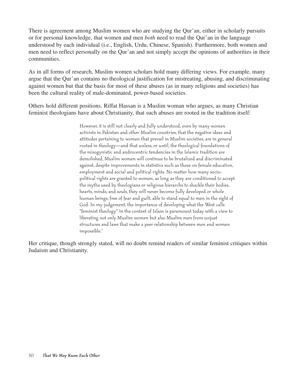There is agreement among Muslim women who are studying the Qur'an, either in scholarly pursuits or for personal knowledge, that women and men *both* need to read the Qur'an in the language understood by each individual (i.e., English, Urdu, Chinese, Spanish). Furthermore, both women and men need to reflect personally on the Qur'an and not simply accept the opinions of authorities in their communities.

As in all forms of research, Muslim women scholars hold many differing views. For example, many argue that the Qur'an contains no theological justification for mistreating, abusing, and discriminating against women but that the basis for most of these abuses (as in many religions and societies) has been the cultural reality of male-dominated, power-based societies.

Others hold different positions. Riffat Hassan is a Muslim woman who argues, as many Christian feminist theologians have about Christianity, that such abuses are rooted in the tradition itself:

> However, it is still not clearly and fully understood, even by many women activists in Pakistan and other Muslim countries, that the negative ideas and attitudes pertaining to women that prevail in Muslim societies, are in general rooted in theology—and that unless, or until, the theological foundations of the misogynistic and androcentric tendencies in the Islamic tradition are demolished, Muslim women will continue to be brutalized and discriminated against, despite improvements in statistics such as those on female education, employment and social and political rights. No matter how many sociopolitical rights are granted to women, as long as they are conditioned to accept the myths used by theologians or religious hierarchs to shackle their bodies, hearts, minds, and souls, they will never become fully developed or whole human beings, free of fear and guilt, able to stand equal to men in the sight of God. In my judgement, the importance of developing what the West calls "feminist theology" in the context of Islam is paramount today with a view to liberating not only Muslim women but also Muslim men from unjust structures and laws that make a peer relationship between men and women impossible.<sup>2</sup>

Her critique, though strongly stated, will no doubt remind readers of similar feminist critiques within Judaism and Christianity.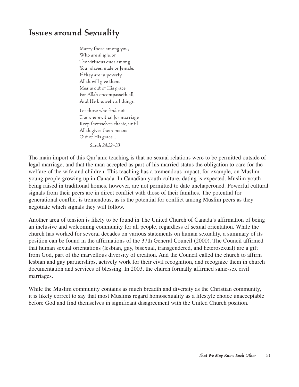## Issues around Sexuality

negotiate which signals they will follow.

Marry those among you, Who are single, or The virtuous ones among Your slaves, male or female: If they are in poverty, Allah will give them Means out of His grace: For Allah encompasseth all, And He knoweth all things.

Let those who find not The wherewithal for marriage Keep themselves chaste, until Allah gives them means Out of His grace.… *Surah 24:32–33*

The main import of this Qur'anic teaching is that no sexual relations were to be permitted outside of legal marriage, and that the man accepted as part of his married status the obligation to care for the welfare of the wife and children. This teaching has a tremendous impact, for example, on Muslim young people growing up in Canada. In Canadian youth culture, dating is expected. Muslim youth being raised in traditional homes, however, are not permitted to date unchaperoned. Powerful cultural signals from their peers are in direct conflict with those of their families. The potential for generational conflict is tremendous, as is the potential for conflict among Muslim peers as they

Another area of tension is likely to be found in The United Church of Canada's affirmation of being an inclusive and welcoming community for all people, regardless of sexual orientation. While the church has worked for several decades on various statements on human sexuality, a summary of its position can be found in the affirmations of the 37th General Council (2000). The Council affirmed that human sexual orientations (lesbian, gay, bisexual, transgendered, and heterosexual) are a gift from God, part of the marvellous diversity of creation. And the Council called the church to affirm lesbian and gay partnerships, actively work for their civil recognition, and recognize them in church documentation and services of blessing. In 2003, the church formally affirmed same-sex civil marriages.

While the Muslim community contains as much breadth and diversity as the Christian community, it is likely correct to say that most Muslims regard homosexuality as a lifestyle choice unacceptable before God and find themselves in significant disagreement with the United Church position.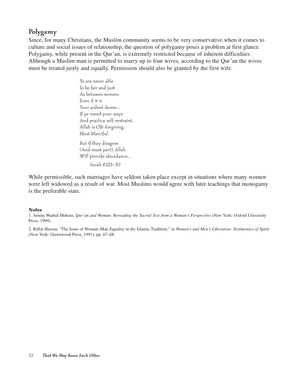### Polygamy

Since, for many Christians, the Muslim community seems to be very conservative when it comes to culture and social issues of relationship, the question of polygamy poses a problem at first glance. Polygamy, while present in the Qur'an, is extremely restricted because of inherent difficulties. Although a Muslim man is permitted to marry up to four wives, according to the Qur'an the wives must be treated justly and equally. Permission should also be granted by the first wife.

> Ye are never able To be fair and just As between women, Even if it is Your ardent desire:… If ye mend your ways And practice self-restraint, Allah is Oft-Forgiving, Most Merciful.

But if they disagree (And must part), Allah Will provide abundance…. *Surah 4:129–30*

While permissible, such marriages have seldom taken place except in situations where many women were left widowed as a result of war. Most Muslims would agree with later teachings that monogamy is the preferable state.

### **Notes**

1. Amina Wadud-Muhsin, *Qur'an and Woman: Rereading the Sacred Text from a Woman's Perspective* (New York: Oxford University Press, 1999).

2. Riffat Hassan, "The Issue of Woman–Man Equality in the Islamic Tradition," in *Women's and Men's Liberation: Testimonies of Spirit* (New York: Greenwood Press, 1991), pp. 67–68.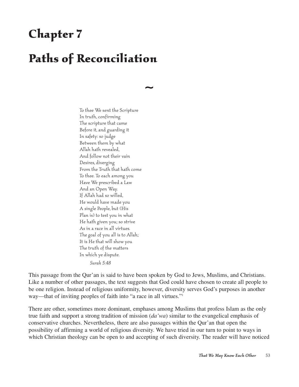# **Chapter 7**

# **Paths of Reconciliation**

To thee We sent the Scripture In truth, confirming The scripture that came Before it, and guarding it In safety: so judge Between them by what Allah hath revealed, And follow not their vain Desires, diverging From the Truth that hath come To thee. To each among you Have We prescribed a Law And an Open Way. If Allah had so willed, He would have made you A single People, but (His Plan is) to test you in what He hath given you; so strive As in a race in all virtues. The goal of you all is to Allah; It is He that will show you The truth of the matters In which ye dispute. *Surah 5:48*

This passage from the Qur'an is said to have been spoken by God to Jews, Muslims, and Christians. Like a number of other passages, the text suggests that God could have chosen to create all people to be one religion. Instead of religious uniformity, however, diversity serves God's purposes in another way—that of inviting peoples of faith into "a race in all virtues."<sup>1</sup>

**~**

There are other, sometimes more dominant, emphases among Muslims that profess Islam as the only true faith and support a strong tradition of mission (*da'wa*) similar to the evangelical emphasis of conservative churches. Nevertheless, there are also passages within the Qur'an that open the possibility of affirming a world of religious diversity. We have tried in our turn to point to ways in which Christian theology can be open to and accepting of such diversity. The reader will have noticed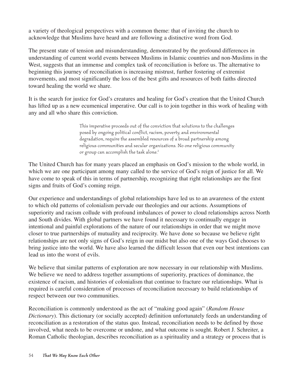a variety of theological perspectives with a common theme: that of inviting the church to acknowledge that Muslims have heard and are following a distinctive word from God.

The present state of tension and misunderstanding, demonstrated by the profound differences in understanding of current world events between Muslims in Islamic countries and non-Muslims in the West, suggests that an immense and complex task of reconciliation is before us. The alternative to beginning this journey of reconciliation is increasing mistrust, further fostering of extremist movements, and most significantly the loss of the best gifts and resources of both faiths directed toward healing the world we share.

It is the search for justice for God's creatures and healing for God's creation that the United Church has lifted up as a new ecumenical imperative. Our call is to join together in this work of healing with any and all who share this conviction.

> This imperative proceeds out of the conviction that solutions to the challenges posed by ongoing political conflict, racism, poverty, and environmental degradation, require the assembled resources of a broad partnership among religious communities and secular organizations. No one religious community or group can accomplish the task alone.<sup>2</sup>

The United Church has for many years placed an emphasis on God's mission to the whole world, in which we are one participant among many called to the service of God's reign of justice for all. We have come to speak of this in terms of partnership, recognizing that right relationships are the first signs and fruits of God's coming reign.

Our experience and understandings of global relationships have led us to an awareness of the extent to which old patterns of colonialism pervade our theologies and our actions. Assumptions of superiority and racism collude with profound imbalances of power to cloud relationships across North and South divides. With global partners we have found it necessary to continually engage in intentional and painful explorations of the nature of our relationships in order that we might move closer to true partnerships of mutuality and reciprocity. We have done so because we believe right relationships are not only signs of God's reign in our midst but also one of the ways God chooses to bring justice into the world. We have also learned the difficult lesson that even our best intentions can lead us into the worst of evils.

We believe that similar patterns of exploration are now necessary in our relationship with Muslims. We believe we need to address together assumptions of superiority, practices of dominance, the existence of racism, and histories of colonialism that continue to fracture our relationships. What is required is careful consideration of processes of reconciliation necessary to build relationships of respect between our two communities.

Reconciliation is commonly understood as the act of "making good again" (*Random House Dictionary*). This dictionary (or socially accepted) definition unfortunately feeds an understanding of reconciliation as a restoration of the status quo. Instead, reconciliation needs to be defined by those involved, what needs to be overcome or undone, and what outcome is sought. Robert J. Schreiter, a Roman Catholic theologian, describes reconciliation as a spirituality and a strategy or process that is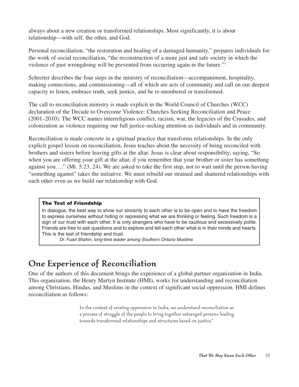always about a new creation or transformed relationships. Most significantly, it is about relationship—with self, the other, and God.

Personal reconciliation, "the restoration and healing of a damaged humanity," prepares individuals for the work of social reconciliation, "the reconstruction of a more just and safe society in which the violence of past wrongdoing will be prevented from occurring again in the future."3

Schreiter describes the four steps in the ministry of reconciliation—accompaniment, hospitality, making connections, and commissioning—all of which are acts of community and call on our deepest capacity to listen, embrace truth, seek justice, and be re-membered or transformed.

The call to reconciliation ministry is made explicit in the World Council of Churches (WCC) declaration of the Decade to Overcome Violence: Churches Seeking Reconciliation and Peace (2001–2010). The WCC names interreligious conflict, racism, war, the legacies of the Crusades, and colonization as violence requiring our full justice-seeking attention as individuals and in community.

Reconciliation is made concrete in a spiritual practice that transforms relationships. In the only explicit gospel lesson on reconciliation, Jesus teaches about the necessity of being reconciled with brothers and sisters before leaving gifts at the altar. Jesus is clear about responsibility, saying, "So when you are offering your gift at the altar, if you remember that your brother or sister has something against you…." (Mt. 5:23, 24). We are asked to take the first step, not to wait until the person having "something against" takes the initiative. We must rebuild our strained and shattered relationships with each other even as we build our relationship with God.

### **The Test of Friendship**

In dialogue, the best way to show our sincerity to each other is to be open and to have the freedom to express ourselves without hiding or repressing what we are thinking or feeling. Such freedom is a sign of our trust with each other. It is only strangers who have to be cautious and excessively polite. Friends are free to ask questions and to explore and tell each other what is in their minds and hearts. This is the test of friendship and trust.

*Dr. Fuad Shahin, long-time leader among Southern Ontario Muslims*

## One Experience of Reconciliation

One of the authors of this document brings the experience of a global partner organization in India. This organization, the Henry Martyn Institute (HMI), works for understanding and reconciliation among Christians, Hindus, and Muslims in the context of significant social oppression. HMI defines reconciliation as follows:

> In the context of existing oppression in India, we understand reconciliation as a process of struggle of the people to bring together estranged persons leading towards transformed relationships and structures based on justice.<sup>4</sup>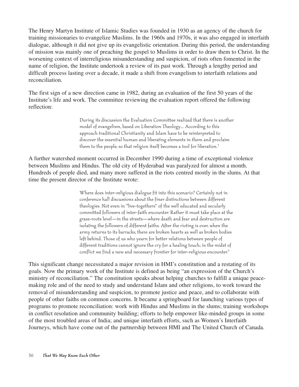The Henry Martyn Institute of Islamic Studies was founded in 1930 as an agency of the church for training missionaries to evangelize Muslims. In the 1960s and 1970s, it was also engaged in interfaith dialogue, although it did not give up its evangelistic orientation. During this period, the understanding of mission was mainly one of preaching the gospel to Muslims in order to draw them to Christ. In the worsening context of interreligious misunderstanding and suspicion, of riots often fomented in the name of religion, the Institute undertook a review of its past work. Through a lengthy period and difficult process lasting over a decade, it made a shift from evangelism to interfaith relations and reconciliation.

The first sign of a new direction came in 1982, during an evaluation of the first 50 years of the Institute's life and work. The committee reviewing the evaluation report offered the following reflection:

> During its discussion the Evaluation Committee realized that there is another model of evangelism, based on Liberation Theology…. According to this approach traditional Christianity and Islam have to be reinterpreted to discover the essential human and liberating elements in them and proclaim them to the people, so that religion itself becomes a tool for liberation.<sup>5</sup>

A further watershed moment occurred in December 1990 during a time of exceptional violence between Muslims and Hindus. The old city of Hyderabad was paralyzed for almost a month. Hundreds of people died, and many more suffered in the riots centred mostly in the slums. At that time the present director of the Institute wrote:

> Where does inter-religious dialogue fit into this scenario? Certainly not in conference hall discussions about the finer distinctions between different theologies. Not even in "live-togethers" of the well educated and secularly committed followers of inter-faith encounter. Rather it must take place at the grass-roots level—in the streets—where death and fear and destruction are isolating the followers of different faiths. After the rioting is over, when the army returns to its barracks, there are broken hearts as well as broken bodies left behind. Those of us who yearn for better relations between people of different traditions cannot ignore the cry for a healing touch; in the midst of conflict we find a new and necessary frontier for inter-religious encounter.<sup>6</sup>

This significant change necessitated a major revision in HMI's constitution and a restating of its goals. Now the primary work of the Institute is defined as being "an expression of the Church's ministry of reconciliation." The constitution speaks about helping churches to fulfill a unique peacemaking role and of the need to study and understand Islam and other religions, to work toward the removal of misunderstanding and suspicion, to promote justice and peace, and to collaborate with people of other faiths on common concerns. It became a springboard for launching various types of programs to promote reconciliation: work with Hindus and Muslims in the slums; training workshops in conflict resolution and community building; efforts to help empower like-minded groups in some of the most troubled areas of India; and unique interfaith efforts, such as Women's Interfaith Journeys, which have come out of the partnership between HMI and The United Church of Canada.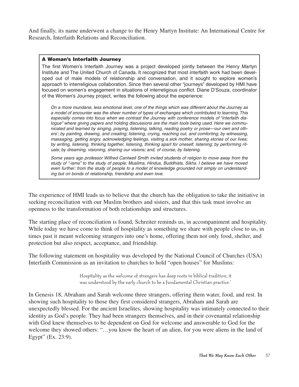And finally, its name underwent a change to the Henry Martyn Institute: An International Centre for Research, Interfaith Relations and Reconciliation.

### **A Woman's Interfaith Journey**

The first Women's Interfaith Journey was a project developed jointly between the Henry Martyn Institute and The United Church of Canada. It recognized that most interfaith work had been developed out of male models of relationship and conversation, and it sought to explore women's approach to interreligious collaboration. Since then several other "journeys" developed by HMI have focused on women's engagement in situations of interreligious conflict. Diane D'Souza, coordinator of the Women's Journey project, writes the following about the experience:

*On a more mundane, less emotional level, one of the things which was different about the Journey as a model of encounter was the sheer number of types of exchanges which contributed to learning. This especially comes into focus when we contrast the Journey with conference models of "interfaith dialogue" where giving papers and holding discussions are the main tools being used. Here we communicated and learned by singing, praying, listening, talking, reading poetry or prose—our own and others'; by painting, drawing, and creating; listening, crying, reaching out, and comforting; by witnessing, massaging, getting angry, acknowledging feelings, visiting a sick mother, sharing stories of our lives; by writing, listening, thinking together, listening, thinking apart for oneself, listening; by performing rituals; by dreaming, visioning, sharing our visions; and, of course, by listening.*

*Some years ago professor Wilfred Cantwell Smith invited students of religion to move away from the study of "-isms" to the study of people: Muslims, Hindus, Buddhists, Sikhs. I believe we have moved even further: from the study of people to a model of knowledge grounded not simply on understanding but on bonds of relationship, friendship and even love.*

The experience of HMI leads us to believe that the church has the obligation to take the initiative in seeking reconciliation with our Muslim brothers and sisters, and that this task must involve an openness to the transformation of both relationships and structures.

The starting place of reconciliation is found, Schreiter reminds us, in accompaniment and hospitality. While today we have come to think of hospitality as something we share with people close to us, in times past it meant welcoming strangers into one's home, offering them not only food, shelter, and protection but also respect, acceptance, and friendship.

The following statement on hospitality was developed by the National Council of Churches (USA) Interfaith Commission as an invitation to churches to hold "open houses" for Muslims:

> Hospitality as the welcome of strangers has deep roots in biblical tradition; it was understood by the early church to be a fundamental Christian practice.<sup>7</sup>

In Genesis 18, Abraham and Sarah welcome three strangers, offering them water, food, and rest. In showing such hospitality to those they first considered strangers, Abraham and Sarah are unexpectedly blessed. For the ancient Israelites, showing hospitality was intimately connected to their identity as God's people. They had been strangers themselves, and in their covenantal relationship with God knew themselves to be dependent on God for welcome and answerable to God for the welcome they showed others: "…you know the heart of an alien, for you were aliens in the land of Egypt" (Ex. 23:9).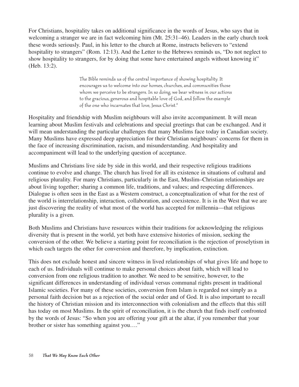For Christians, hospitality takes on additional significance in the words of Jesus, who says that in welcoming a stranger we are in fact welcoming him (Mt. 25:31–46). Leaders in the early church took these words seriously. Paul, in his letter to the church at Rome, instructs believers to "extend hospitality to strangers" (Rom. 12:13). And the Letter to the Hebrews reminds us, "Do not neglect to show hospitality to strangers, for by doing that some have entertained angels without knowing it" (Heb. 13:2).

> The Bible reminds us of the central importance of showing hospitality. It encourages us to welcome into our homes, churches, and communities those whom we perceive to be strangers. In so doing, we bear witness in our actions to the gracious, generous and hospitable love of God, and follow the example of the one who incarnates that love, Jesus Christ.<sup>8</sup>

Hospitality and friendship with Muslim neighbours will also invite accompaniment. It will mean learning about Muslim festivals and celebrations and special greetings that can be exchanged. And it will mean understanding the particular challenges that many Muslims face today in Canadian society. Many Muslims have expressed deep appreciation for their Christian neighbours' concerns for them in the face of increasing discrimination, racism, and misunderstanding. And hospitality and accompaniment will lead to the underlying question of acceptance.

Muslims and Christians live side by side in this world, and their respective religious traditions continue to evolve and change. The church has lived for all its existence in situations of cultural and religious plurality. For many Christians, particularly in the East, Muslim–Christian relationships are about living together; sharing a common life, traditions, and values; and respecting differences. Dialogue is often seen in the East as a Western construct, a conceptualization of what for the rest of the world is interrelationship, interaction, collaboration, and coexistence. It is in the West that we are just discovering the reality of what most of the world has accepted for millennia—that religious plurality is a given.

Both Muslims and Christians have resources within their traditions for acknowledging the religious diversity that is present in the world, yet both have extensive histories of mission, seeking the conversion of the other. We believe a starting point for reconciliation is the rejection of proselytism in which each targets the other for conversion and therefore, by implication, extinction.

This does not exclude honest and sincere witness in lived relationships of what gives life and hope to each of us. Individuals will continue to make personal choices about faith, which will lead to conversion from one religious tradition to another. We need to be sensitive, however, to the significant differences in understanding of individual versus communal rights present in traditional Islamic societies. For many of these societies, conversion from Islam is regarded not simply as a personal faith decision but as a rejection of the social order and of God. It is also important to recall the history of Christian mission and its interconnection with colonialism and the effects that this still has today on most Muslims. In the spirit of reconciliation, it is the church that finds itself confronted by the words of Jesus: "So when you are offering your gift at the altar, if you remember that your brother or sister has something against you…."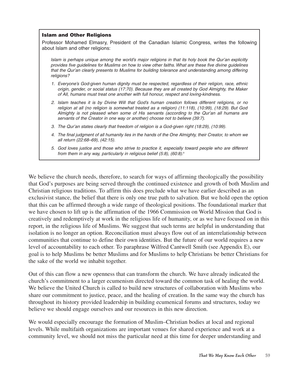### **Islam and Other Religions**

Professor Mohamed Elmasry, President of the Canadian Islamic Congress, writes the following about Islam and other religions:

*Islam is perhaps unique among the world's major religions in that its holy book the Qur'an explicitly provides five guidelines for Muslims on how to view other faiths. What are these five divine guidelines that the Qur'an clearly presents to Muslims for building tolerance and understanding among differing religions?*

- *1. Everyone's God-given human dignity must be respected, regardless of their religion, race, ethnic origin, gender, or social status (17:70). Because they are all created by God Almighty, the Maker of All, humans must treat one another with full honour, respect and loving-kindness.*
- *2. Islam teaches it is by Divine Will that God's human creation follows different religions, or no religion at all (no religion is somewhat treated as a religion) (11:118), (10:99), (18:29). But God Almighty is not pleased when some of His servants (according to the Qur'an all humans are servants of the Creator in one way or another) choose not to believe (39:7).*
- *3. The Qur'an states clearly that freedom of religion is a God-given right (18:29), (10:99).*
- *4. The final judgment of all humanity lies in the hands of the One Almighty, their Creator, to whom we all return (22:68–69), (42:15).*
- *5. God loves justice and those who strive to practice it, especially toward people who are different from them in any way, particularly in religious belief (5:8), (60:8).*<sup>9</sup>

We believe the church needs, therefore, to search for ways of affirming theologically the possibility that God's purposes are being served through the continued existence and growth of both Muslim and Christian religious traditions. To affirm this does preclude what we have earlier described as an exclusivist stance, the belief that there is only one true path to salvation. But we hold open the option that this can be affirmed through a wide range of theological positions. The foundational marker that we have chosen to lift up is the affirmation of the 1966 Commission on World Mission that God is creatively and redemptively at work in the religious life of humanity, or as we have focused on in this report, in the religious life of Muslims. We suggest that such terms are helpful in understanding that isolation is no longer an option. Reconciliation must always flow out of an interrelationship between communities that continue to define their own identities. But the future of our world requires a new level of accountability to each other. To paraphrase Wilfred Cantwell Smith (see Appendix E), our goal is to help Muslims be better Muslims and for Muslims to help Christians be better Christians for the sake of the world we inhabit together.

Out of this can flow a new openness that can transform the church. We have already indicated the church's commitment to a larger ecumenism directed toward the common task of healing the world. We believe the United Church is called to build new structures of collaboration with Muslims who share our commitment to justice, peace, and the healing of creation. In the same way the church has throughout its history provided leadership in building ecumenical forums and structures, today we believe we should engage ourselves and our resources in this new direction.

We would especially encourage the formation of Muslim–Christian bodies at local and regional levels. While multifaith organizations are important venues for shared experience and work at a community level, we should not miss the particular need at this time for deeper understanding and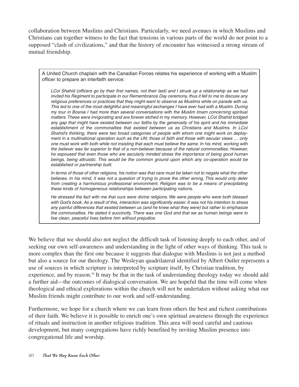collaboration between Muslims and Christians. Particularly, we need avenues in which Muslims and Christians can together witness to the fact that tensions in various parts of the world do not point to a supposed "clash of civilizations," and that the history of encounter has witnessed a strong stream of mutual friendship.

A United Church chaplain with the Canadian Forces relates his experience of working with a Muslim officer to prepare an interfaith service:

*LCol Shahid (officers go by their first names, not their last) and I struck up a relationship as we had invited his Regiment to participate in our Remembrance Day ceremony, thus it fell to me to discuss any religious preferences or practices that they might want to observe as Muslims while on parade with us. This led to one of the most delightful and meaningful exchanges I have ever had with a Muslim. During my tour in Bosnia I had more than several conversations with the Muslim Imam concerning spiritual matters. These were invigorating and are forever etched in my memory. However, LCol Shahid bridged any gap that might have existed between our faiths by the generosity of his spirit and his immediate establishment of the commonalties that existed between us as Christians and Muslims. In LCol Shahid's thinking, there were two broad categories of people with whom one might work on deployment in a multinational operation such as the UN: those of faith and those with secular views … only one must work with both while not insisting that each must believe the same. In his mind, working with the believer was far superior to that of a non-believer because of the natural commonalties. However, he espoused that even those who are secularly minded stress the importance of being good human beings, being altruistic. This would be the common ground upon which any co-operation would be established or partnership built.*

*In terms of those of other religions, his notion was that care must be taken not to negate what the other believes. In his mind, it was not a question of trying to prove the other wrong. This would only deter from creating a harmonious professional environment. Religion was to be a means of precipitating these kinds of homogeneous relationships between participating nations.*

*He stressed the fact with me that ours were divine religions. We were people who were both blessed with God's book. As a result of this, interaction was significantly easier. It was not his intention to stress any painful differences that existed between us (and he knew what they were) but rather to emphasize the commonalties. He stated it succinctly. There was one God and that we as human beings were to live clean, peaceful lives before him without prejudice.*

We believe that we should also not neglect the difficult task of listening deeply to each other, and of seeking our own self-awareness and understanding in the light of other ways of thinking. This task is more complex than the first one because it suggests that dialogue with Muslims is not just a method but also a source for our theology. The Wesleyan quadrilateral identified by Albert Outler represents a use of sources in which scripture is interpreted by scripture itself, by Christian tradition, by experience, and by reason.<sup>10</sup> It may be that in the task of understanding theology today we should add a further aid—the outcomes of dialogical conversation. We are hopeful that the time will come when theological and ethical explorations within the church will not be undertaken without asking what our Muslim friends might contribute to our work and self-understanding.

Furthermore, we hope for a church where we can learn from others the best and richest contributions of their faith. We believe it is possible to enrich one's own spiritual awareness through the experience of rituals and instruction in another religious tradition. This area will need careful and cautious development, but many congregations have richly benefited by inviting Muslim presence into congregational life and worship.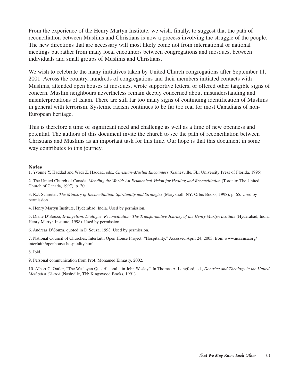From the experience of the Henry Martyn Institute, we wish, finally, to suggest that the path of reconciliation between Muslims and Christians is now a process involving the struggle of the people. The new directions that are necessary will most likely come not from international or national meetings but rather from many local encounters between congregations and mosques, between individuals and small groups of Muslims and Christians.

We wish to celebrate the many initiatives taken by United Church congregations after September 11, 2001. Across the country, hundreds of congregations and their members initiated contacts with Muslims, attended open houses at mosques, wrote supportive letters, or offered other tangible signs of concern. Muslim neighbours nevertheless remain deeply concerned about misunderstanding and misinterpretations of Islam. There are still far too many signs of continuing identification of Muslims in general with terrorism. Systemic racism continues to be far too real for most Canadians of non-European heritage.

This is therefore a time of significant need and challenge as well as a time of new openness and potential. The authors of this document invite the church to see the path of reconciliation between Christians and Muslims as an important task for this time. Our hope is that this document in some way contributes to this journey.

#### **Notes**

1. Yvonne Y. Haddad and Wadi Z. Haddad, eds., *Christian–Muslim Encounters* (Gainesville, FL: University Press of Florida, 1995).

2. The United Church of Canada, *Mending the World: An Ecumenical Vision for Healing and Reconciliation* (Toronto: The United Church of Canada, 1997), p. 20.

3. R.J. Schreiter, *The Ministry of Reconciliation: Spirituality and Strategies* (Maryknoll, NY: Orbis Books, 1998), p. 65. Used by permission.

4. Henry Martyn Institute, Hyderabad, India. Used by permission.

5. Diane D'Souza, *Evangelism, Dialogue, Reconciliation: The Transformative Journey of the Henry Martyn Institute* (Hyderabad, India: Henry Martyn Institute, 1998). Used by permission.

6. Andreas D'Souza, quoted in D'Souza, 1998. Used by permission.

7. National Council of Churches, Interfaith Open House Project, "Hospitality." Accessed April 24, 2003, from www.ncccusa.org/ interfaith/openhouse-hospitality.html.

8. Ibid.

9. Personal communication from Prof. Mohamed Elmasry, 2002.

10. Albert C. Outler, "The Wesleyan Quadrilateral—in John Wesley." In Thomas A. Langford, ed., *Doctrine and Theology in the United Methodist Church* (Nashville, TN: Kingswood Books, 1991).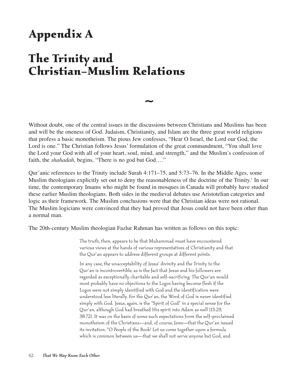# **Appendix A**

# **The Trinity and Christian–Muslim Relations**

Without doubt, one of the central issues in the discussions between Christians and Muslims has been and will be the oneness of God. Judaism, Christianity, and Islam are the three great world religions that profess a basic monotheism. The pious Jew confesses, "Hear O Israel, the Lord our God, the Lord is one." The Christian follows Jesus' formulation of the great commandment, "You shall love the Lord your God with all of your heart, soul, mind, and strength," and the Muslim's confession of faith, the *shahadah*, begins, "There is no god but God…."

**~**

Qur'anic references to the Trinity include Surah 4:171–75, and 5:73–76. In the Middle Ages, some Muslim theologians explicitly set out to deny the reasonableness of the doctrine of the Trinity.<sup>1</sup> In our time, the contemporary Imams who might be found in mosques in Canada will probably have studied these earlier Muslim theologians. Both sides in the medieval debates use Aristotelian categories and logic as their framework. The Muslim conclusions were that the Christian ideas were not rational. The Muslim logicians were convinced that they had proved that Jesus could not have been other than a normal man.

The 20th-century Muslim theologian Fazlur Rahman has written as follows on this topic:

The truth, then, appears to be that Muhammad must have encountered various views at the hands of various representatives of Christianity and that the Qur'an appears to address different groups at different points.

In any case, the unacceptability of Jesus' divinity and the Trinity to the Qur'an is incontrovertible, as is the fact that Jesus and his followers are regarded as exceptionally charitable and self-sacrificing. The Qur'an would most probably have no objections to the Logos having become flesh if the Logos were not simply identified with God and the identification were understood less literally. For the Qur'an, the Word of God is never identified simply with God. Jesus, again, is the "Spirit of God" in a special sense for the Qur'an, although God had breathed His spirit into Adam as well [15:29, 38:72]. It was on the basis of some such expectations from the self-proclaimed monotheism of the Christians—and, of course, Jews—that the Qur'an issued its invitation: "O People of the Book! Let us come together upon a formula which is common between us—that we shall not serve anyone but God, and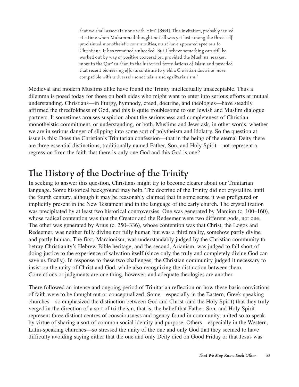that we shall associate none with Him" [3:64]. This invitation, probably issued at a time when Muhammad thought not all was yet lost among the three selfproclaimed monotheistic communities, must have appeared specious to Christians. It has remained unheeded. But I believe something can still be worked out by way of positive cooperation, provided the Muslims hearken more to the Qur'an than to the historical formulations of Islam and provided that recent pioneering efforts continue to yield a Christian doctrine more compatible with universal monotheism and egalitarianism.2

Medieval and modern Muslims alike have found the Trinity intellectually unacceptable. Thus a dilemma is posed today for those on both sides who might want to enter into serious efforts at mutual understanding. Christians—in liturgy, hymnody, creed, doctrine, and theologies—have steadily affirmed the threefoldness of God, and this is quite troublesome to our Jewish and Muslim dialogue partners. It sometimes arouses suspicion about the seriousness and completeness of Christian monotheistic commitment, or understanding, or both. Muslims and Jews ask, in other words, whether we are in serious danger of slipping into some sort of polytheism and idolatry. So the question at issue is this: Does the Christian's Trinitarian confession—that in the being of the eternal Deity there are three essential distinctions, traditionally named Father, Son, and Holy Spirit—not represent a regression from the faith that there is only one God and this God is one?

#### The History of the Doctrine of the Trinity

In seeking to answer this question, Christians might try to become clearer about our Trinitarian language. Some historical background may help. The doctrine of the Trinity did not crystallize until the fourth century, although it may be reasonably claimed that in some sense it was prefigured or implicitly present in the New Testament and in the language of the early church. The crystallization was precipitated by at least two historical controversies. One was generated by Marcion (c. 100–160), whose radical contention was that the Creator and the Redeemer were two different gods, not one. The other was generated by Arius (c. 250–336), whose contention was that Christ, the Logos and Redeemer, was neither fully divine nor fully human but was a third reality, somehow partly divine and partly human. The first, Marcionism, was understandably judged by the Christian community to betray Christianity's Hebrew Bible heritage, and the second, Arianism, was judged to fall short of doing justice to the experience of salvation itself (since only the truly and completely divine God can save us finally). In response to these two challenges, the Christian community judged it necessary to insist on the unity of Christ and God, while also recognizing the distinction between them. Convictions or judgments are one thing, however, and adequate theologies are another.

There followed an intense and ongoing period of Trinitarian reflection on how these basic convictions of faith were to be thought out or conceptualized. Some—especially in the Eastern, Greek-speaking churches—so emphasized the distinction between God and Christ (and the Holy Spirit) that they truly verged in the direction of a sort of tri-theism, that is, the belief that Father, Son, and Holy Spirit represent three distinct centres of consciousness and agency found in community, united so to speak by virtue of sharing a sort of common social identity and purpose. Others—especially in the Western, Latin-speaking churches—so stressed the unity of the one and only God that they seemed to have difficulty avoiding saying either that the one and only Deity died on Good Friday or that Jesus was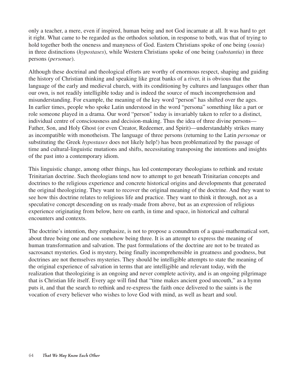only a teacher, a mere, even if inspired, human being and not God incarnate at all. It was hard to get it right. What came to be regarded as the orthodox solution, in response to both, was that of trying to hold together both the oneness and manyness of God. Eastern Christians spoke of one being (*ousia*) in three distinctions (*hypostases*), while Western Christians spoke of one being (*substantia*) in three persons (*personae*).

Although these doctrinal and theological efforts are worthy of enormous respect, shaping and guiding the history of Christian thinking and speaking like great banks of a river, it is obvious that the language of the early and medieval church, with its conditioning by cultures and languages other than our own, is not readily intelligible today and is indeed the source of much incomprehension and misunderstanding. For example, the meaning of the key word "person" has shifted over the ages. In earlier times, people who spoke Latin understood in the word "persona" something like a part or role someone played in a drama. Our word "person" today is invariably taken to refer to a distinct, individual centre of consciousness and decision-making. Thus the idea of three divine persons— Father, Son, and Holy Ghost (or even Creator, Redeemer, and Spirit)—understandably strikes many as incompatible with monotheism. The language of three persons (returning to the Latin *personae* or substituting the Greek *hypostases* does not likely help!) has been problematized by the passage of time and cultural-linguistic mutations and shifts, necessitating transposing the intentions and insights of the past into a contemporary idiom.

This linguistic change, among other things, has led contemporary theologians to rethink and restate Trinitarian doctrine. Such theologians tend now to attempt to get beneath Trinitarian concepts and doctrines to the religious experience and concrete historical origins and developments that generated the original theologizing. They want to recover the original meaning of the doctrine. And they want to see how this doctrine relates to religious life and practice. They want to think it through, not as a speculative concept descending on us ready-made from above, but as an expression of religious experience originating from below, here on earth, in time and space, in historical and cultural encounters and contexts.

The doctrine's intention, they emphasize, is not to propose a conundrum of a quasi-mathematical sort, about three being one and one somehow being three. It is an attempt to express the meaning of human transformation and salvation. The past formulations of the doctrine are not to be treated as sacrosanct mysteries. God is mystery, being finally incomprehensible in greatness and goodness, but doctrines are not themselves mysteries. They should be intelligible attempts to state the meaning of the original experience of salvation in terms that are intelligible and relevant today, with the realization that theologizing is an ongoing and never complete activity, and is an ongoing pilgrimage that is Christian life itself. Every age will find that "time makes ancient good uncouth," as a hymn puts it, and that the search to rethink and re-express the faith once delivered to the saints is the vocation of every believer who wishes to love God with mind, as well as heart and soul.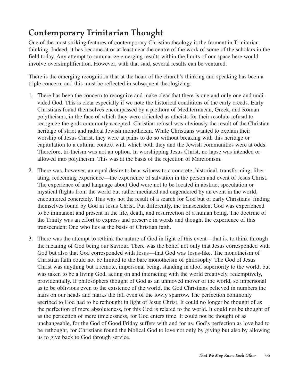### Contemporary Trinitarian Thought

One of the most striking features of contemporary Christian theology is the ferment in Trinitarian thinking. Indeed, it has become at or at least near the centre of the work of some of the scholars in the field today. Any attempt to summarize emerging results within the limits of our space here would involve oversimplification. However, with that said, several results can be ventured.

There is the emerging recognition that at the heart of the church's thinking and speaking has been a triple concern, and this must be reflected in subsequent theologizing:

- 1. There has been the concern to recognize and make clear that there is one and only one and undivided God. This is clear especially if we note the historical conditions of the early creeds. Early Christians found themselves encompassed by a plethora of Mediterranean, Greek, and Roman polytheisms, in the face of which they were ridiculed as atheists for their resolute refusal to recognize the gods commonly accepted. Christian refusal was obviously the result of the Christian heritage of strict and radical Jewish monotheism. While Christians wanted to explain their worship of Jesus Christ, they were at pains to do so without breaking with this heritage or capitulation to a cultural context with which both they and the Jewish communities were at odds. Therefore, tri-theism was not an option. In worshipping Jesus Christ, no lapse was intended or allowed into polytheism. This was at the basis of the rejection of Marcionism.
- 2. There was, however, an equal desire to bear witness to a concrete, historical, transforming, liberating, redeeming experience—the experience of salvation in the person and event of Jesus Christ. The experience of and language about God were not to be located in abstract speculation or mystical flights from the world but rather mediated and engendered by an event in the world, encountered concretely. This was not the result of a search for God but of early Christians' finding themselves found by God in Jesus Christ. Put differently, the transcendent God was experienced to be immanent and present in the life, death, and resurrection of a human being. The doctrine of the Trinity was an effort to express and preserve in words and thought the experience of this transcendent One who lies at the basis of Christian faith.
- 3. There was the attempt to rethink the nature of God in light of this event—that is, to think through the meaning of God being our Saviour. There was the belief not only that Jesus corresponded with God but also that God corresponded with Jesus—that God was Jesus-like. The monotheism of Christian faith could not be limited to the bare monotheism of philosophy. The God of Jesus Christ was anything but a remote, impersonal being, standing in aloof superiority to the world, but was taken to be a living God, acting on and interacting with the world creatively, redemptively, providentially. If philosophers thought of God as an unmoved mover of the world, so impersonal as to be oblivious even to the existence of the world, the God Christians believed in numbers the hairs on our heads and marks the fall even of the lowly sparrow. The perfection commonly ascribed to God had to be rethought in light of Jesus Christ. It could no longer be thought of as the perfection of mere absoluteness, for this God is related to the world. It could not be thought of as the perfection of mere timelessness, for God enters time. It could not be thought of as unchangeable, for the God of Good Friday suffers with and for us. God's perfection as love had to be rethought, for Christians found the biblical God to love not only by giving but also by allowing us to give back to God through service.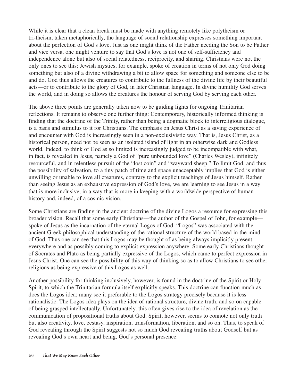While it is clear that a clean break must be made with anything remotely like polytheism or tri-theism, taken metaphorically, the language of social relationship expresses something important about the perfection of God's love. Just as one might think of the Father needing the Son to be Father and vice versa, one might venture to say that God's love is not one of self-sufficiency and independence alone but also of social relatedness, reciprocity, and sharing. Christians were not the only ones to see this; Jewish mystics, for example, spoke of creation in terms of not only God doing something but also of a divine withdrawing a bit to allow space for something and someone else to be and do. God thus allows the creatures to contribute to the fullness of the divine life by their beautiful acts—or to contribute to the glory of God, in later Christian language. In divine humility God serves the world, and in doing so allows the creatures the honour of serving God by serving each other.

The above three points are generally taken now to be guiding lights for ongoing Trinitarian reflections. It remains to observe one further thing: Contemporary, historically informed thinking is finding that the doctrine of the Trinity, rather than being a dogmatic block to interreligious dialogue, is a basis and stimulus to it for Christians. The emphasis on Jesus Christ as a saving experience of and encounter with God is increasingly seen in a non-exclusivistic way. That is, Jesus Christ, as a historical person, need not be seen as an isolated island of light in an otherwise dark and Godless world. Indeed, to think of God as so limited is increasingly judged to be incompatible with what, in fact, is revealed in Jesus, namely a God of "pure unbounded love" (Charles Wesley), infinitely resourceful, and in relentless pursuit of the "lost coin" and "wayward sheep." To limit God, and thus the possibility of salvation, to a tiny patch of time and space unacceptably implies that God is either unwilling or unable to love all creatures, contrary to the explicit teachings of Jesus himself. Rather than seeing Jesus as an exhaustive expression of God's love, we are learning to see Jesus in a way that is more inclusive, in a way that is more in keeping with a worldwide perspective of human history and, indeed, of a cosmic vision.

Some Christians are finding in the ancient doctrine of the divine Logos a resource for expressing this broader vision. Recall that some early Christians—the author of the Gospel of John, for example spoke of Jesus as the incarnation of the eternal Logos of God. "Logos" was associated with the ancient Greek philosophical understanding of the rational structure of the world based in the mind of God. Thus one can see that this Logos may be thought of as being always implicitly present everywhere and as possibly coming to explicit expression anywhere. Some early Christians thought of Socrates and Plato as being partially expressive of the Logos, which came to perfect expression in Jesus Christ. One can see the possibility of this way of thinking so as to allow Christians to see other religions as being expressive of this Logos as well.

Another possibility for thinking inclusively, however, is found in the doctrine of the Spirit or Holy Spirit, to which the Trinitarian formula itself explicitly speaks. This doctrine can function much as does the Logos idea; many see it preferable to the Logos strategy precisely because it is less rationalistic. The Logos idea plays on the idea of rational structure, divine truth, and so on capable of being grasped intellectually. Unfortunately, this often gives rise to the idea of revelation as the communication of propositional truths about God. Spirit, however, seems to connote not only truth but also creativity, love, ecstasy, inspiration, transformation, liberation, and so on. Thus, to speak of God revealing through the Spirit suggests not so much God revealing truths about Godself but as revealing God's own heart and being, God's personal presence.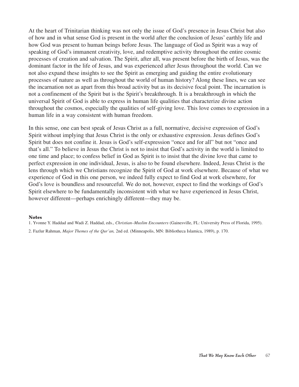At the heart of Trinitarian thinking was not only the issue of God's presence in Jesus Christ but also of how and in what sense God is present in the world after the conclusion of Jesus' earthly life and how God was present to human beings before Jesus. The language of God as Spirit was a way of speaking of God's immanent creativity, love, and redemptive activity throughout the entire cosmic processes of creation and salvation. The Spirit, after all, was present before the birth of Jesus, was the dominant factor in the life of Jesus, and was experienced after Jesus throughout the world. Can we not also expand these insights to see the Spirit as emerging and guiding the entire evolutionary processes of nature as well as throughout the world of human history? Along these lines, we can see the incarnation not as apart from this broad activity but as its decisive focal point. The incarnation is not a confinement of the Spirit but is the Spirit's breakthrough. It is a breakthrough in which the universal Spirit of God is able to express in human life qualities that characterize divine action throughout the cosmos, especially the qualities of self-giving love. This love comes to expression in a human life in a way consistent with human freedom.

In this sense, one can best speak of Jesus Christ as a full, normative, decisive expression of God's Spirit without implying that Jesus Christ is the only or exhaustive expression. Jesus defines God's Spirit but does not confine it. Jesus is God's self-expression "once and for all" but not "once and that's all." To believe in Jesus the Christ is not to insist that God's activity in the world is limited to one time and place; to confess belief in God as Spirit is to insist that the divine love that came to perfect expression in one individual, Jesus, is also to be found elsewhere. Indeed, Jesus Christ is the lens through which we Christians recognize the Spirit of God at work elsewhere. Because of what we experience of God in this one person, we indeed fully expect to find God at work elsewhere, for God's love is boundless and resourceful. We do not, however, expect to find the workings of God's Spirit elsewhere to be fundamentally inconsistent with what we have experienced in Jesus Christ, however different—perhaps enrichingly different—they may be.

#### **Notes**

1. Yvonne Y. Haddad and Wadi Z. Haddad, eds., *Christian–Muslim Encounters* (Gainesville, FL: University Press of Florida, 1995).

2. Fazlur Rahman, *Major Themes of the Qur'an,* 2nd ed. (Minneapolis, MN: Bibliotheca Islamica, 1989), p. 170.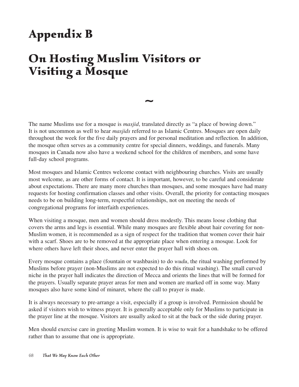## **Appendix B**

## **On Hosting Muslim Visitors or Visiting a Mosque**

The name Muslims use for a mosque is *masjid*, translated directly as "a place of bowing down." It is not uncommon as well to hear *masjids* referred to as Islamic Centres. Mosques are open daily throughout the week for the five daily prayers and for personal meditation and reflection. In addition, the mosque often serves as a community centre for special dinners, weddings, and funerals. Many mosques in Canada now also have a weekend school for the children of members, and some have full-day school programs.

**~**

Most mosques and Islamic Centres welcome contact with neighbouring churches. Visits are usually most welcome, as are other forms of contact. It is important, however, to be careful and considerate about expectations. There are many more churches than mosques, and some mosques have had many requests for hosting confirmation classes and other visits. Overall, the priority for contacting mosques needs to be on building long-term, respectful relationships, not on meeting the needs of congregational programs for interfaith experiences.

When visiting a mosque, men and women should dress modestly. This means loose clothing that covers the arms and legs is essential. While many mosques are flexible about hair covering for non-Muslim women, it is recommended as a sign of respect for the tradition that women cover their hair with a scarf. Shoes are to be removed at the appropriate place when entering a mosque. Look for where others have left their shoes, and never enter the prayer hall with shoes on.

Every mosque contains a place (fountain or washbasin) to do *wudu*, the ritual washing performed by Muslims before prayer (non-Muslims are not expected to do this ritual washing). The small curved niche in the prayer hall indicates the direction of Mecca and orients the lines that will be formed for the prayers. Usually separate prayer areas for men and women are marked off in some way. Many mosques also have some kind of minaret, where the call to prayer is made.

It is always necessary to pre-arrange a visit, especially if a group is involved. Permission should be asked if visitors wish to witness prayer. It is generally acceptable only for Muslims to participate in the prayer line at the mosque. Visitors are usually asked to sit at the back or the side during prayer.

Men should exercise care in greeting Muslim women. It is wise to wait for a handshake to be offered rather than to assume that one is appropriate.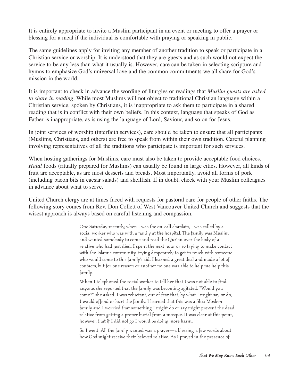It is entirely appropriate to invite a Muslim participant in an event or meeting to offer a prayer or blessing for a meal if the individual is comfortable with praying or speaking in public.

The same guidelines apply for inviting any member of another tradition to speak or participate in a Christian service or worship. It is understood that they are guests and as such would not expect the service to be any less than what it usually is. However, care can be taken in selecting scripture and hymns to emphasize God's universal love and the common commitments we all share for God's mission in the world.

It is important to check in advance the wording of liturgies or readings that *Muslim guests are asked to share in reading*. While most Muslims will not object to traditional Christian language within a Christian service, spoken by Christians, it is inappropriate to ask them to participate in a shared reading that is in conflict with their own beliefs. In this context, language that speaks of God as Father is inappropriate, as is using the language of Lord, Saviour, and so on for Jesus.

In joint services of worship (interfaith services), care should be taken to ensure that all participants (Muslims, Christians, and others) are free to speak from within their own tradition. Careful planning involving representatives of all the traditions who participate is important for such services.

When hosting gatherings for Muslims, care must also be taken to provide acceptable food choices. *Halal* foods (ritually prepared for Muslims) can usually be found in large cities. However, all kinds of fruit are acceptable, as are most desserts and breads. Most importantly, avoid all forms of pork (including bacon bits in caesar salads) and shellfish. If in doubt, check with your Muslim colleagues in advance about what to serve.

United Church clergy are at times faced with requests for pastoral care for people of other faiths. The following story comes from Rev. Don Collett of West Vancouver United Church and suggests that the wisest approach is always based on careful listening and compassion.

> One Saturday recently, when I was the on-call chaplain, I was called by a social worker who was with a family at the hospital. The family was Muslim and wanted somebody to come and read the Qur'an over the body of a relative who had just died. I spent the next hour or so trying to make contact with the Islamic community, trying desperately to get in touch with someone who would come to this family's aid. I learned a great deal and made a lot of contacts, but for one reason or another no one was able to help me help this family.

When I telephoned the social worker to tell her that I was not able to find anyone, she reported that the family was becoming agitated. "Would you come?" she asked. I was reluctant, out of fear that, by what I might say or do, I would offend or hurt the family. I learned that this was a Shia Moslem family and I worried that something I might do or say might prevent the dead relative from getting a proper burial from a mosque. It was clear at this point, however, that if I did not go I would be doing more harm.

So I went. All the family wanted was a prayer—a blessing, a few words about how God might receive their beloved relative. As I prayed in the presence of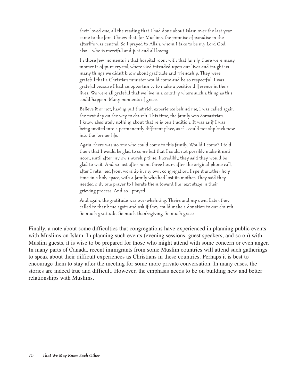their loved one, all the reading that I had done about Islam over the last year came to the fore. I knew that, for Muslims, the promise of paradise in the afterlife was central. So I prayed to Allah, whom I take to be my Lord God also—who is merciful and just and all loving.

In those few moments in that hospital room with that family, there were many moments of pure crystal, where God intruded upon our lives and taught us many things we didn't know about gratitude and friendship. They were grateful that a Christian minister would come and be so respectful. I was grateful because I had an opportunity to make a positive difference in their lives. We were all grateful that we live in a country where such a thing as this could happen. Many moments of grace.

Believe it or not, having put that rich experience behind me, I was called again the next day on the way to church. This time, the family was Zoroastrian. I know absolutely nothing about that religious tradition. It was as if I was being invited into a permanently different place, as if I could not slip back now into the former life.

Again, there was no one who could come to this family. Would I come? I told them that I would be glad to come but that I could not possibly make it until noon, until after my own worship time. Incredibly, they said they would be glad to wait. And so just after noon, three hours after the original phone call, after I returned from worship in my own congregation, I spent another holy time, in a holy space, with a family who had lost its mother. They said they needed only one prayer to liberate them toward the next stage in their grieving process. And so I prayed.

And again, the gratitude was overwhelming. Theirs and my own. Later, they called to thank me again and ask if they could make a donation to our church. So much gratitude. So much thanksgiving. So much grace.

Finally, a note about some difficulties that congregations have experienced in planning public events with Muslims on Islam. In planning such events (evening sessions, guest speakers, and so on) with Muslim guests, it is wise to be prepared for those who might attend with some concern or even anger. In many parts of Canada, recent immigrants from some Muslim countries will attend such gatherings to speak about their difficult experiences as Christians in these countries. Perhaps it is best to encourage them to stay after the meeting for some more private conversation. In many cases, the stories are indeed true and difficult. However, the emphasis needs to be on building new and better relationships with Muslims.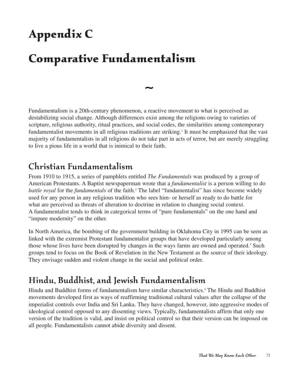# **Appendix C**

### **Comparative Fundamentalism**

Fundamentalism is a 20th-century phenomenon, a reactive movement to what is perceived as destabilizing social change. Although differences exist among the religions owing to varieties of scripture, religious authority, ritual practices, and social codes, the similarities among contemporary fundamentalist movements in all religious traditions are striking.<sup>1</sup> It must be emphasized that the vast majority of fundamentalists in all religions do not take part in acts of terror, but are merely struggling to live a pious life in a world that is inimical to their faith.

**~**

#### Christian Fundamentalism

From 1910 to 1915, a series of pamphlets entitled *The Fundamentals* was produced by a group of American Protestants. A Baptist newspaperman wrote that a *fundamentalist* is a person willing to do *battle royal* for the *fundamentals* of the faith.<sup>2</sup> The label "fundamentalist" has since become widely used for any person in any religious tradition who sees him- or herself as ready to do battle for what are perceived as threats of alteration to doctrine in relation to changing social context. A fundamentalist tends to think in categorical terms of "pure fundamentals" on the one hand and "impure modernity" on the other.

In North America, the bombing of the government building in Oklahoma City in 1995 can be seen as linked with the extremist Protestant fundamentalist groups that have developed particularly among those whose lives have been disrupted by changes in the ways farms are owned and operated.<sup>3</sup> Such groups tend to focus on the Book of Revelation in the New Testament as the source of their ideology. They envisage sudden and violent change in the social and political order.

#### Hindu, Buddhist, and Jewish Fundamentalism

Hindu and Buddhist forms of fundamentalism have similar characteristics.4 The Hindu and Buddhist movements developed first as ways of reaffirming traditional cultural values after the collapse of the imperialist controls over India and Sri Lanka. They have changed, however, into aggressive modes of ideological control opposed to any dissenting views. Typically, fundamentalists affirm that only one version of the tradition is valid, and insist on political control so that their version can be imposed on all people. Fundamentalists cannot abide diversity and dissent.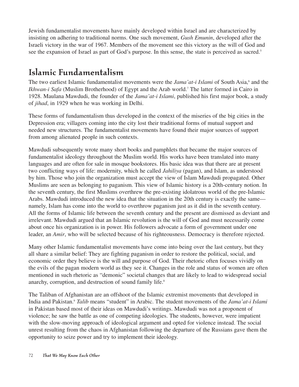Jewish fundamentalist movements have mainly developed within Israel and are characterized by insisting on adhering to traditional norms. One such movement, *Gush Emunin*, developed after the Israeli victory in the war of 1967. Members of the movement see this victory as the will of God and see the expansion of Israel as part of God's purpose. In this sense, the state is perceived as sacred.<sup>5</sup>

#### Islamic Fundamentalism

The two earliest Islamic fundamentalist movements were the *Jama'at-i Islami* of South Asia,<sup>6</sup> and the *Ikhwan-i Safa* (Muslim Brotherhood) of Egypt and the Arab world.7 The latter formed in Cairo in 1928. Maulana Mawdudi, the founder of the *Jama'at-i Islami*, published his first major book, a study of *jihad*, in 1929 when he was working in Delhi.

These forms of fundamentalism thus developed in the context of the miseries of the big cities in the Depression era; villagers coming into the city lost their traditional forms of mutual support and needed new structures. The fundamentalist movements have found their major sources of support from among alienated people in such contexts.

Mawdudi subsequently wrote many short books and pamphlets that became the major sources of fundamentalist ideology throughout the Muslim world. His works have been translated into many languages and are often for sale in mosque bookstores. His basic idea was that there are at present two conflicting ways of life: modernity, which he called *Jahiliya* (pagan), and Islam, as understood by him. Those who join the organization must accept the view of Islam Mawdudi propagated. Other Muslims are seen as belonging to paganism. This view of Islamic history is a 20th-century notion. In the seventh century, the first Muslims overthrew the pre-existing idolatrous world of the pre-Islamic Arabs. Mawdudi introduced the new idea that the situation in the 20th century is exactly the same namely, Islam has come into the world to overthrow paganism just as it did in the seventh century. All the forms of Islamic life between the seventh century and the present are dismissed as deviant and irrelevant. Mawdudi argued that an Islamic revolution is the will of God and must necessarily come about once his organization is in power. His followers advocate a form of government under one leader, an *Amir*, who will be selected because of his righteousness. Democracy is therefore rejected.

Many other Islamic fundamentalist movements have come into being over the last century, but they all share a similar belief: They are fighting paganism in order to restore the political, social, and economic order they believe is the will and purpose of God. Their rhetoric often focuses vividly on the evils of the pagan modern world as they see it. Changes in the role and status of women are often mentioned in such rhetoric as "demonic" societal changes that are likely to lead to widespread social anarchy, corruption, and destruction of sound family life.<sup>8</sup>

The Taliban of Afghanistan are an offshoot of the Islamic extremist movements that developed in India and Pakistan.9 *Talib* means "student" in Arabic. The student movements of the *Jama'at-i Islami* in Pakistan based most of their ideas on Mawdudi's writings. Mawdudi was not a proponent of violence; he saw the battle as one of competing ideologies. The students, however, were impatient with the slow-moving approach of ideological argument and opted for violence instead. The social unrest resulting from the chaos in Afghanistan following the departure of the Russians gave them the opportunity to seize power and try to implement their ideology.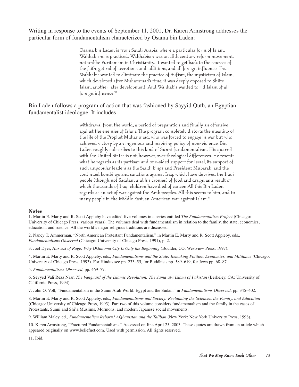Writing in response to the events of September 11, 2001, Dr. Karen Armstrong addresses the particular form of fundamentalism characterized by Osama bin Laden:

> Osama bin Laden is from Saudi Arabia, where a particular form of Islam, Wahhabism, is practiced. Wahhabism was an 18th century reform movement, not unlike Puritanism in Christianity. It wanted to get back to the sources of the faith, get rid of accretions and additions, and all foreign influence. Thus Wahhabis wanted to eliminate the practice of Sufism, the mysticism of Islam, which developed after Muhammad's time; it was deeply opposed to Shiite Islam, another later development. And Wahhabis wanted to rid Islam of all foreign influence.<sup>10</sup>

#### Bin Laden follows a program of action that was fashioned by Sayyid Qutb, an Egyptian fundamentalist ideologue. It includes

withdrawal from the world, a period of preparation and finally an offensive against the enemies of Islam. The program completely distorts the meaning of the life of the Prophet Muhammad, who was forced to engage in war but who achieved victory by an ingenious and inspiring policy of non-violence. Bin Laden roughly subscribes to this kind of Sunni fundamentalism. His quarrel with the United States is not, however, over theological differences. He resents what he regards as its partisan and one-sided support for Israel, its support of such unpopular leaders as the Saudi kings and President Mubarak; and the continued bombings and sanctions against Iraq, which have deprived the Iraqi people (though not Saddam and his cronies) of food and drugs, as a result of which thousands of Iraqi children have died of cancer. All this Bin Laden regards as an act of war against the Arab peoples. All this seems to him, and to many people in the Middle East, an American war against Islam.<sup>11</sup>

#### **Notes**

1. Martin E. Marty and R. Scott Appleby have edited five volumes in a series entitled *The Fundamentalism Project* (Chicago: University of Chicago Press, various years). The volumes deal with fundamentalism in relation to the family, the state, economics, education, and science. All the world's major religious traditions are discussed.

2. Nancy T. Ammerman, "North American Protestant Fundamentalism," in Martin E. Marty and R. Scott Appleby, eds., *Fundamentalisms Observed* (Chicago: University of Chicago Press, 1991), p. 2.

3. Joel Dyer, *Harvest of Rage: Why Oklahoma City Is Only the Beginning* (Boulder, CO: Westview Press, 1997).

4. Martin E. Marty and R. Scott Appleby, eds., *Fundamentalisms and the State: Remaking Polities, Economies, and Militance* (Chicago: University of Chicago Press, 1993). For Hindus see pp. 233–55, for Buddhists pp. 589–619, for Jews pp. 68–87.

5. *Fundamentalisms Observed*, pp. 469–77.

6. Seyyed Vali Reza Nasr, *The Vanguard of the Islamic Revolution: The Jama'at-i Islami of Pakistan* (Berkeley, CA: University of California Press, 1994).

7. John O. Voll, "Fundamentalism in the Sunni Arab World: Egypt and the Sudan," in *Fundamentalisms Observed*, pp. 345–402.

8. Martin E. Marty and R. Scott Appleby, eds., *Fundamentalisms and Society: Reclaiming the Sciences, the Family, and Education* (Chicago: University of Chicago Press, 1993). Part two of this volume considers fundamentalism and the family in the cases of Protestants, Sunni and Shi'a Muslims, Mormons, and modern Japanese social movements.

9. William Maley, ed., *Fundamentalism Reborn? Afghanistan and the Taliban* (New York: New York University Press, 1998).

10. Karen Armstrong, "Fractured Fundamentalisms." Accessed on-line April 25, 2003. These quotes are drawn from an article which appeared originally on www.beliefnet.com. Used with permission. All rights reserved.

11. Ibid.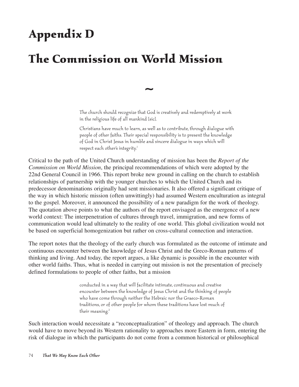## **Appendix D**

### **The Commission on World Mission**

The church should recognize that God is creatively and redemptively at work in the religious life of all mankind [sic].

**~**

Christians have much to learn, as well as to contribute, through dialogue with people of other faiths. Their special responsibility is to present the knowledge of God in Christ Jesus in humble and sincere dialogue in ways which will respect each other's integrity.<sup>1</sup>

Critical to the path of the United Church understanding of mission has been the *Report of the Commission on World Mission*, the principal recommendations of which were adopted by the 22nd General Council in 1966. This report broke new ground in calling on the church to establish relationships of partnership with the younger churches to which the United Church and its predecessor denominations originally had sent missionaries. It also offered a significant critique of the way in which historic mission (often unwittingly) had assumed Western enculturation as integral to the gospel. Moreover, it announced the possibility of a new paradigm for the work of theology. The quotation above points to what the authors of the report envisaged as the emergence of a new world context: The interpenetration of cultures through travel, immigration, and new forms of communication would lead ultimately to the reality of one world. This global civilization would not be based on superficial homogenization but rather on cross-cultural connection and interaction.

The report notes that the theology of the early church was formulated as the outcome of intimate and continuous encounter between the knowledge of Jesus Christ and the Greco-Roman patterns of thinking and living. And today, the report argues, a like dynamic is possible in the encounter with other world faiths. Thus, what is needed in carrying out mission is not the presentation of precisely defined formulations to people of other faiths, but a mission

> conducted in a way that will facilitate intimate, continuous and creative encounter between the knowledge of Jesus Christ and the thinking of people who have come through neither the Hebraic nor the Graeco-Roman traditions, or of other people for whom these traditions have lost much of their meaning.<sup>2</sup>

Such interaction would necessitate a "reconceptualization" of theology and approach. The church would have to move beyond its Western rationality to approaches more Eastern in form, entering the risk of dialogue in which the participants do not come from a common historical or philosophical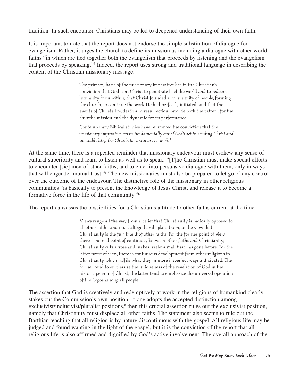tradition. In such encounter, Christians may be led to deepened understanding of their own faith.

It is important to note that the report does not endorse the simple substitution of dialogue for evangelism. Rather, it urges the church to define its mission as including a dialogue with other world faiths "in which are tied together both the evangelism that proceeds by listening and the evangelism that proceeds by speaking."3 Indeed, the report uses strong and traditional language in describing the content of the Christian missionary message:

> The primary basis of the missionary imperative lies in the Christian's conviction that God sent Christ to penetrate [sic] the world and to redeem humanity from within; that Christ founded a community of people, forming the church, to continue the work He had perfectly initiated; and that the events of Christ's life, death and resurrection, provide both the pattern for the church's mission and the dynamic for its performance.…

> Contemporary Biblical studies have reinforced the conviction that the *missionary imperative arises fundamentally out of God's act in sending Christ and in establishing the Church to continue His work*. 4

At the same time, there is a repeated reminder that missionary endeavour must eschew any sense of cultural superiority and learn to listen as well as to speak: "[T]he Christian must make special efforts to encounter [sic] men of other faiths, and to enter into persuasive dialogue with them, only in ways that will engender mutual trust."5 The new missionaries must also be prepared to let go of any control over the outcome of the endeavour. The distinctive role of the missionary in other religious communities "is basically to present the knowledge of Jesus Christ, and release it to become a formative force in the life of that community."6

The report canvasses the possibilities for a Christian's attitude to other faiths current at the time:

Views range all the way from a belief that Christianity is radically opposed to all other faiths, and must altogether displace them, to the view that Christianity is the fulfilment of other faiths. For the former point of view, there is no real point of continuity between other faiths and Christianity; Christianity cuts across and makes irrelevant all that has gone before. For the latter point of view, there is continuous development from other religions to Christianity, which fulfils what they in more imperfect ways anticipated. The former tend to emphasize the uniqueness of the revelation of God in the historic person of Christ; the latter tend to emphasize the universal operation of the Logos among all people.<sup>7</sup>

The assertion that God is creatively and redemptively at work in the religions of humankind clearly stakes out the Commission's own position. If one adopts the accepted distinction among exclusivist/inclusivist/pluralist positions,<sup>8</sup> then this crucial assertion rules out the exclusivist position, namely that Christianity must displace all other faiths. The statement also seems to rule out the Barthian teaching that all religion is by nature discontinuous with the gospel. All religious life may be judged and found wanting in the light of the gospel, but it is the conviction of the report that all religious life is also affirmed and dignified by God's active involvement. The overall approach of the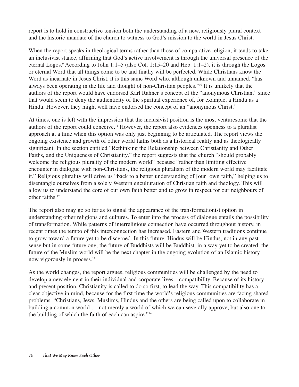report is to hold in constructive tension both the understanding of a new, religiously plural context and the historic mandate of the church to witness to God's mission to the world in Jesus Christ.

When the report speaks in theological terms rather than those of comparative religion, it tends to take an inclusivist stance, affirming that God's active involvement is through the universal presence of the eternal Logos.<sup>9</sup> According to John 1:1–5 (also Col. 1:15–20 and Heb. 1:1–2), it is through the Logos or eternal Word that all things come to be and finally will be perfected. While Christians know the Word as incarnate in Jesus Christ, it is this same Word who, although unknown and unnamed, "has always been operating in the life and thought of non-Christian peoples."10 It is unlikely that the authors of the report would have endorsed Karl Rahner's concept of the "anonymous Christian," since that would seem to deny the authenticity of the spiritual experience of, for example, a Hindu as a Hindu. However, they might well have endorsed the concept of an "anonymous Christ."

At times, one is left with the impression that the inclusivist position is the most venturesome that the authors of the report could conceive.11 However, the report also evidences openness to a pluralist approach at a time when this option was only just beginning to be articulated. The report views the ongoing existence and growth of other world faiths both as a historical reality and as theologically significant. In the section entitled "Rethinking the Relationship between Christianity and Other Faiths, and the Uniqueness of Christianity," the report suggests that the church "should probably welcome the religious plurality of the modern world" because "rather than limiting effective encounter in dialogue with non-Christians, the religious pluralism of the modern world may facilitate it." Religious plurality will drive us "back to a better understanding of [our] own faith," helping us to disentangle ourselves from a solely Western enculturation of Christian faith and theology. This will allow us to understand the core of our own faith better and to grow in respect for our neighbours of other faiths.12

The report also may go so far as to signal the appearance of the transformationist option in understanding other religions and cultures. To enter into the process of dialogue entails the possibility of transformation. While patterns of interreligious connection have occurred throughout history, in recent times the tempo of this interconnection has increased. Eastern and Western traditions continue to grow toward a future yet to be discerned. In this future, Hindus will be Hindus, not in any past sense but in some future one; the future of Buddhists will be Buddhist, in a way yet to be created; the future of the Muslim world will be the next chapter in the ongoing evolution of an Islamic history now vigorously in process.<sup>13</sup>

As the world changes, the report argues, religious communities will be challenged by the need to develop a new element in their individual and corporate lives—compatibility. Because of its history and present position, Christianity is called to do so first, to lead the way. This compatibility has a clear objective in mind, because for the first time the world's religious communities are facing shared problems. "Christians, Jews, Muslims, Hindus and the others are being called upon to collaborate in building a common world … not merely a world of which we can severally approve, but also one to the building of which the faith of each can aspire."14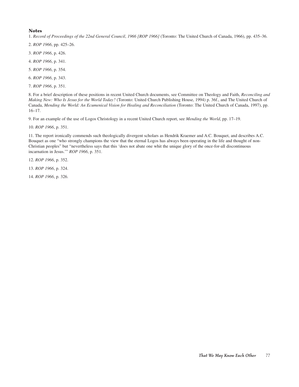#### **Notes**

1. *Record of Proceedings of the 22nd General Council*, *1966 [ROP 1966]* (Toronto: The United Church of Canada, 1966), pp. 435–36.

2. *ROP 1966*, pp. 425–26.

3. *ROP 1966*, p. 426.

4. *ROP 1966*, p. 341.

5. *ROP 1966*, p. 354.

6. *ROP 1966*, p. 343.

7. *ROP 1966*, p. 351.

8. For a brief description of these positions in recent United Church documents, see Committee on Theology and Faith, *Reconciling and Making New: Who Is Jesus for the World Today?* (Toronto: United Church Publishing House, 1994) p. 36f., and The United Church of Canada, *Mending the World: An Ecumenical Vision for Healing and Reconciliation* (Toronto: The United Church of Canada, 1997), pp. 16–17.

9. For an example of the use of Logos Christology in a recent United Church report, see *Mending the World*, pp. 17–19.

10. *ROP 1966*, p. 351.

11. The report ironically commends such theologically divergent scholars as Hendrik Kraemer and A.C. Bouquet, and describes A.C. Bouquet as one "who strongly champions the view that the eternal Logos has always been operating in the life and thought of non-Christian peoples" but "nevertheless says that this 'does not abate one whit the unique glory of the once-for-all discontinuous incarnation in Jesus.'" *ROP 1966*, p. 351.

12. *ROP 1966*, p. 352.

13. *ROP 1966*, p. 324.

14. *ROP 1966*, p. 326.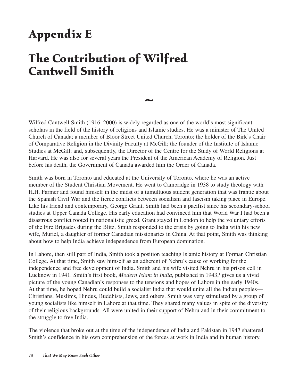## **Appendix E**

## **The Contribution of Wilfred Cantwell Smith**

Wilfred Cantwell Smith (1916–2000) is widely regarded as one of the world's most significant scholars in the field of the history of religions and Islamic studies. He was a minister of The United Church of Canada; a member of Bloor Street United Church, Toronto; the holder of the Birk's Chair of Comparative Religion in the Divinity Faculty at McGill; the founder of the Institute of Islamic Studies at McGill; and, subsequently, the Director of the Centre for the Study of World Religions at Harvard. He was also for several years the President of the American Academy of Religion. Just before his death, the Government of Canada awarded him the Order of Canada.

**~**

Smith was born in Toronto and educated at the University of Toronto, where he was an active member of the Student Christian Movement. He went to Cambridge in 1938 to study theology with H.H. Farmer and found himself in the midst of a tumultuous student generation that was frantic about the Spanish Civil War and the fierce conflicts between socialism and fascism taking place in Europe. Like his friend and contemporary, George Grant, Smith had been a pacifist since his secondary-school studies at Upper Canada College. His early education had convinced him that World War I had been a disastrous conflict rooted in nationalistic greed. Grant stayed in London to help the voluntary efforts of the Fire Brigades during the Blitz. Smith responded to the crisis by going to India with his new wife, Muriel, a daughter of former Canadian missionaries in China. At that point, Smith was thinking about how to help India achieve independence from European domination.

In Lahore, then still part of India, Smith took a position teaching Islamic history at Forman Christian College. At that time, Smith saw himself as an adherent of Nehru's cause of working for the independence and free development of India. Smith and his wife visited Nehru in his prison cell in Lucknow in 1941. Smith's first book, *Modern Islam in India*, published in 1943,<sup>1</sup> gives us a vivid picture of the young Canadian's responses to the tensions and hopes of Lahore in the early 1940s. At that time, he hoped Nehru could build a socialist India that would unite all the Indian peoples— Christians, Muslims, Hindus, Buddhists, Jews, and others. Smith was very stimulated by a group of young socialists like himself in Lahore at that time. They shared many values in spite of the diversity of their religious backgrounds. All were united in their support of Nehru and in their commitment to the struggle to free India.

The violence that broke out at the time of the independence of India and Pakistan in 1947 shattered Smith's confidence in his own comprehension of the forces at work in India and in human history.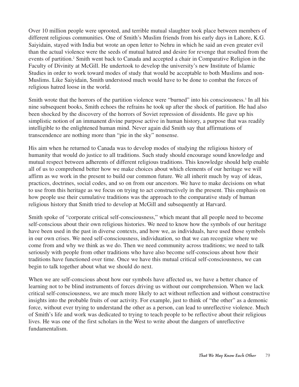Over 10 million people were uprooted, and terrible mutual slaughter took place between members of different religious communities. One of Smith's Muslim friends from his early days in Lahore, K.G. Saiyidain, stayed with India but wrote an open letter to Nehru in which he said an even greater evil than the actual violence were the seeds of mutual hatred and desire for revenge that resulted from the events of partition.<sup>2</sup> Smith went back to Canada and accepted a chair in Comparative Religion in the Faculty of Divinity at McGill. He undertook to develop the university's new Institute of Islamic Studies in order to work toward modes of study that would be acceptable to both Muslims and non-Muslims. Like Saiyidain, Smith understood much would have to be done to combat the forces of religious hatred loose in the world.

Smith wrote that the horrors of the partition violence were "burned" into his consciousness.<sup>3</sup> In all his nine subsequent books, Smith echoes the refrains he took up after the shock of partition. He had also been shocked by the discovery of the horrors of Soviet repression of dissidents. He gave up his simplistic notion of an immanent divine purpose active in human history, a purpose that was readily intelligible to the enlightened human mind. Never again did Smith say that affirmations of transcendence are nothing more than "pie in the sky" nonsense.

His aim when he returned to Canada was to develop modes of studying the religious history of humanity that would do justice to all traditions. Such study should encourage sound knowledge and mutual respect between adherents of different religious traditions. This knowledge should help enable all of us to comprehend better how we make choices about which elements of our heritage we will affirm as we work in the present to build our common future. We all inherit much by way of ideas, practices, doctrines, social codes, and so on from our ancestors. We have to make decisions on what to use from this heritage as we focus on trying to act constructively in the present. This emphasis on how people use their cumulative traditions was the approach to the comparative study of human religious history that Smith tried to develop at McGill and subsequently at Harvard.

Smith spoke of "corporate critical self-consciousness," which meant that all people need to become self-conscious about their own religious histories. We need to know how the symbols of our heritage have been used in the past in diverse contexts, and how we, as individuals, have used those symbols in our own crises. We need self-consciousness, individuation, so that we can recognize where we come from and why we think as we do. Then we need community across traditions; we need to talk seriously with people from other traditions who have also become self-conscious about how their traditions have functioned over time. Once we have this mutual critical self-consciousness, we can begin to talk together about what we should do next.

When we are self-conscious about how our symbols have affected us, we have a better chance of learning not to be blind instruments of forces driving us without our comprehension. When we lack critical self-consciousness, we are much more likely to act without reflection and without constructive insights into the probable fruits of our activity. For example, just to think of "the other" as a demonic force, without ever trying to understand the other as a person, can lead to unreflective violence. Much of Smith's life and work was dedicated to trying to teach people to be reflective about their religious lives. He was one of the first scholars in the West to write about the dangers of unreflective fundamentalism.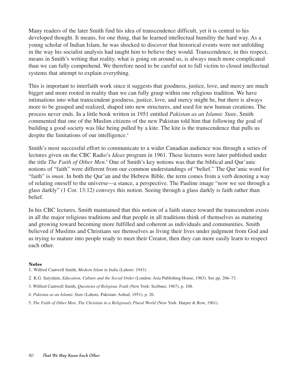Many readers of the later Smith find his idea of transcendence difficult, yet it is central to his developed thought. It means, for one thing, that he learned intellectual humility the hard way. As a young scholar of Indian Islam, he was shocked to discover that historical events were not unfolding in the way his socialist analysis had taught him to believe they would. Transcendence, in this respect, means in Smith's writing that reality, what is going on around us, is always much more complicated than we can fully comprehend. We therefore need to be careful not to fall victim to closed intellectual systems that attempt to explain everything.

This is important to interfaith work since it suggests that goodness, justice, love, and mercy are much bigger and more rooted in reality than we can fully grasp within one religious tradition. We have intimations into what transcendent goodness, justice, love, and mercy might be, but there is always more to be grasped and realized, shaped into new structures, and used for new human creations. The process never ends. In a little book written in 1951 entitled *Pakistan as an Islamic State*, Smith commented that one of the Muslim citizens of the new Pakistan told him that following the goal of building a good society was like being pulled by a kite. The kite is the transcendence that pulls us despite the limitations of our intelligence.<sup>4</sup>

Smith's most successful effort to communicate to a wider Canadian audience was through a series of lectures given on the CBC Radio's *Ideas* program in 1961. These lectures were later published under the title *The Faith of Other Men*. <sup>5</sup> One of Smith's key notions was that the biblical and Qur'anic notions of "faith" were different from our common understandings of "belief." The Qur'anic word for "faith" is *iman*. In both the Qur'an and the Hebrew Bible, the term comes from a verb denoting a way of relating oneself to the universe—a stance, a perspective. The Pauline image "now we see through a glass darkly" (1 Cor. 13:12) conveys this notion. Seeing through a glass darkly is faith rather than belief.

In his CBC lectures, Smith maintained that this notion of a faith stance toward the transcendent exists in all the major religious traditions and that people in all traditions think of themselves as maturing and growing toward becoming more fulfilled and coherent as individuals and communities. Smith believed if Muslims and Christians see themselves as living their lives under judgment from God and as trying to mature into people ready to meet their Creator, then they can more easily learn to respect each other.

#### **Notes**

- 1. Wilfred Cantwell Smith, *Modern Islam in India* (Lahore: 1943).
- 2. K.G. Saiyidain, *Education, Culture and the Social Order* (London: Asia Publishing House, 1963). See pp. 266–73.
- 3. Wilfred Cantwell Smith, *Questions of Religious Truth* (New York: Scribner, 1967), p. 108.
- 4. *Pakistan as an Islamic State* (Lahore, Pakistan: Ashraf, 1951), p. 26.
- 5. *The Faith of Other Men: The Christian in a Religiously Plural World* (New York: Harper & Row, 1961).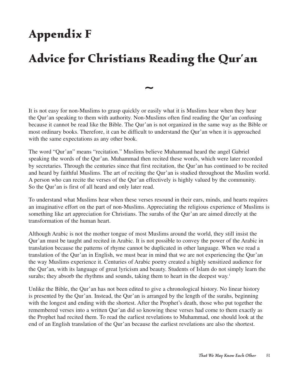## **Appendix F**

# **Advice for Christians Reading the Qur'an**

It is not easy for non-Muslims to grasp quickly or easily what it is Muslims hear when they hear the Qur'an speaking to them with authority. Non-Muslims often find reading the Qur'an confusing because it cannot be read like the Bible. The Qur'an is not organized in the same way as the Bible or most ordinary books. Therefore, it can be difficult to understand the Qur'an when it is approached with the same expectations as any other book.

**~**

The word "Qur'an" means "recitation." Muslims believe Muhammad heard the angel Gabriel speaking the words of the Qur'an. Muhammad then recited these words, which were later recorded by secretaries. Through the centuries since that first recitation, the Qur'an has continued to be recited and heard by faithful Muslims. The art of reciting the Qur'an is studied throughout the Muslim world. A person who can recite the verses of the Qur'an effectively is highly valued by the community. So the Qur'an is first of all heard and only later read.

To understand what Muslims hear when these verses resound in their ears, minds, and hearts requires an imaginative effort on the part of non-Muslims. Appreciating the religious experience of Muslims is something like art appreciation for Christians. The surahs of the Qur'an are aimed directly at the transformation of the human heart.

Although Arabic is not the mother tongue of most Muslims around the world, they still insist the Qur'an must be taught and recited in Arabic. It is not possible to convey the power of the Arabic in translation because the patterns of rhyme cannot be duplicated in other language. When we read a translation of the Qur'an in English, we must bear in mind that we are not experiencing the Qur'an the way Muslims experience it. Centuries of Arabic poetry created a highly sensitized audience for the Qur'an, with its language of great lyricism and beauty. Students of Islam do not simply learn the surahs; they absorb the rhythms and sounds, taking them to heart in the deepest  $way<sup>1</sup>$ 

Unlike the Bible, the Qur'an has not been edited to give a chronological history. No linear history is presented by the Qur'an. Instead, the Qur'an is arranged by the length of the surahs, beginning with the longest and ending with the shortest. After the Prophet's death, those who put together the remembered verses into a written Qur'an did so knowing these verses had come to them exactly as the Prophet had recited them. To read the earliest revelations to Muhammad, one should look at the end of an English translation of the Qur'an because the earliest revelations are also the shortest.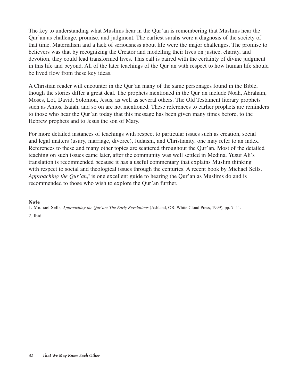The key to understanding what Muslims hear in the Qur'an is remembering that Muslims hear the Qur'an as challenge, promise, and judgment. The earliest surahs were a diagnosis of the society of that time. Materialism and a lack of seriousness about life were the major challenges. The promise to believers was that by recognizing the Creator and modelling their lives on justice, charity, and devotion, they could lead transformed lives. This call is paired with the certainty of divine judgment in this life and beyond. All of the later teachings of the Qur'an with respect to how human life should be lived flow from these key ideas.

A Christian reader will encounter in the Qur'an many of the same personages found in the Bible, though the stories differ a great deal. The prophets mentioned in the Qur'an include Noah, Abraham, Moses, Lot, David, Solomon, Jesus, as well as several others. The Old Testament literary prophets such as Amos, Isaiah, and so on are not mentioned. These references to earlier prophets are reminders to those who hear the Qur'an today that this message has been given many times before, to the Hebrew prophets and to Jesus the son of Mary.

For more detailed instances of teachings with respect to particular issues such as creation, social and legal matters (usury, marriage, divorce), Judaism, and Christianity, one may refer to an index. References to these and many other topics are scattered throughout the Qur'an. Most of the detailed teaching on such issues came later, after the community was well settled in Medina. Yusuf Ali's translation is recommended because it has a useful commentary that explains Muslim thinking with respect to social and theological issues through the centuries. A recent book by Michael Sells, *Approaching the Qur'an*, <sup>2</sup> is one excellent guide to hearing the Qur'an as Muslims do and is recommended to those who wish to explore the Qur'an further.

#### **Note**

1. Michael Sells, *Approaching the Qur'an: The Early Revelations* (Ashland, OR: White Cloud Press, 1999), pp. 7–11. 2. Ibid.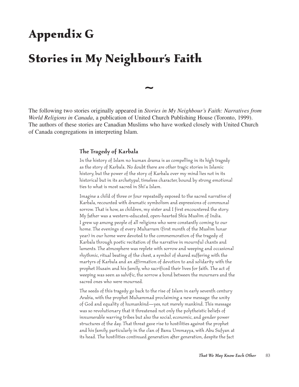### **Appendix G**

### **Stories in My Neighbour's Faith**

The following two stories originally appeared in *Stories in My Neighbour's Faith: Narratives from World Religions in Canada*, a publication of United Church Publishing House (Toronto, 1999). The authors of these stories are Canadian Muslims who have worked closely with United Church of Canada congregations in interpreting Islam.

**~**

#### The Tragedy of Karbala

In the history of Islam no human drama is as compelling in its high tragedy as the story of Karbala. No doubt there are other tragic stories in Islamic history, but the power of the story of Karbala over my mind lies not in its historical but in its archetypal, timeless character, bound by strong emotional ties to what is most sacred in Shi'a Islam.

Imagine a child of three or four repeatedly exposed to the sacred narrative of Karbala, recounted with dramatic symbolism and expressions of communal sorrow. That is how, as children, my sister and I first encountered the story. My father was a western-educated, open-hearted Shia Muslim of India. I grew up among people of all religions who were constantly coming to our home. The evenings of every Muharram (first month of the Muslim lunar year) in our home were devoted to the commemoration of the tragedy of Karbala through poetic recitation of the narrative in mournful chants and laments. The atmosphere was replete with sorrow and weeping and occasional rhythmic, ritual beating of the chest, a symbol of shared suffering with the martyrs of Karbala and an affirmation of devotion to and solidarity with the prophet Husain and his family, who sacrificed their lives for faith. The act of weeping was seen as salvific, the sorrow a bond between the mourners and the sacred ones who were mourned.

The seeds of this tragedy go back to the rise of Islam in early seventh century Arabia, with the prophet Muhammad proclaiming a new message: the unity of God and equality of humankind—yes, not merely mankind. This message was so revolutionary that it threatened not only the polytheistic beliefs of innumerable warring tribes but also the social, economic, and gender power structures of the day. That threat gave rise to hostilities against the prophet and his family, particularly in the clan of Banu Ummayya, with Abu Sufyan at its head. The hostilities continued generation after generation, despite the fact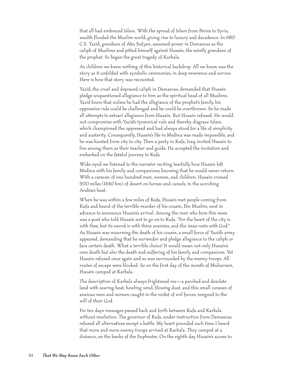that all had embraced Islam. With the spread of Islam from Persia to Syria, wealth flooded the Muslim world, giving rise to luxury and decadence. In 680 C.E. Yazid, grandson of Abu Sufyan, assumed power in Damascus as the caliph of Muslims and pitted himself against Husain, the saintly grandson of the prophet. So began the great tragedy of Karbala.

As children we knew nothing of this historical backdrop. All we knew was the story as it unfolded with symbolic ceremonies, in deep reverence and sorrow. Here is how that story was recounted.

Yazid, the cruel and depraved caliph in Damascus, demanded that Husain pledge unquestioned allegiance to him as the spiritual head of all Muslims. Yazid knew that unless he had the allegiance of the prophet's family, his oppressive rule could be challenged and he could be overthrown. So he made all attempts to extract allegiance from Husain. But Husain refused. He would not compromise with Yazid's tyrannical rule and thereby disgrace Islam, which championed the oppressed and had always stood for a life of simplicity and austerity. Consequently, Husain's life in Medina was made impossible, and he was hunted from city to city. Then a party in Kufa, Iraq, invited Husain to live among them as their teacher and guide. He accepted the invitation and embarked on the fateful journey to Kufa.

Wide-eyed we listened to the narrator reciting tearfully how Husain left Medina with his family and companions, knowing that he would never return. With a caravan of one hundred men, women, and children, Husain crossed 900 miles (1440 km) of desert on horses and camels, in the scorching Arabian heat.

When he was within a few miles of Kufa, Husain met people coming from Kufa and heard of the terrible murder of his cousin, Ibn Muslim, sent in advance to announce Husain's arrival. Among the men who bore this news was a poet who told Husain not to go on to Kufa, "For the heart of the city is with thee, but its sword is with thine enemies, and the issue rests with God." As Husain was mourning the death of his cousin, a small force of Yazid's army appeared, demanding that he surrender and pledge allegiance to the caliph or face certain death. What a terrible choice! It would mean not only Husain's own death but also the death and suffering of his family and companions. Yet Husain refused once again and so was surrounded by the enemy troops. All routes of escape were blocked. So on the first day of the month of Muharram, Husain camped at Karbala.

The description of Karbala always frightened me—a parched and desolate land with searing heat, howling wind, blowing dust, and this small caravan of anxious men and women caught in the midst of evil forces, resigned to the will of their God.

For ten days messages passed back and forth between Kufa and Karbala without resolution. The governor of Kufa, under instruction from Damascus, refused all alternatives except a battle. My heart pounded each time I heard that more and more enemy troops arrived at Karbala. They camped at a distance, on the banks of the Euphrates. On the eighth day Husain's access to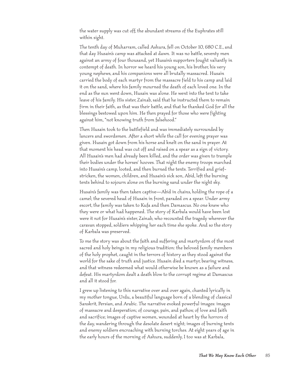the water supply was cut off, the abundant streams of the Euphrates still within sight.

The tenth day of Muharram, called Ashura, fell on October 10, 680 C.E., and that day Husain's camp was attacked at dawn. It was no battle, seventy men against an army of four thousand, yet Husain's supporters fought valiantly in contempt of death. In horror we heard his young son, his brother, his very young nephews, and his companions were all brutally massacred. Husain carried the body of each martyr from the massacre field to his camp and laid it on the sand, where his family mourned the death of each loved one. In the end as the sun went down, Husain was alone. He went into the tent to take leave of his family. His sister, Zainab, said that he instructed them to remain firm in their faith, as that was their battle, and that he thanked God for all the blessings bestowed upon him. He then prayed for those who were fighting against him, "not knowing truth from falsehood."

Then Husain took to the battlefield and was immediately surrounded by lancers and swordsmen. After a short while the call for evening prayer was given. Husain got down from his horse and knelt on the sand in prayer. At that moment his head was cut off and raised on a spear as a sign of victory. All Husain's men had already been killed, and the order was given to trample their bodies under the horses' hooves. That night the enemy troops marched into Husain's camp, looted, and then burned the tents. Terrified and griefstricken, the women, children, and Husain's sick son, Abid, left the burning tents behind to sojourn alone on the burning sand under the night sky.

Husain's family was then taken captive—Abid in chains, holding the rope of a camel; the severed head of Husain in front, paraded on a spear. Under army escort, the family was taken to Kufa and then Damascus. No one knew who they were or what had happened. The story of Karbala would have been lost were it not for Husain's sister, Zainab, who recounted the tragedy wherever the caravan stopped, soldiers whipping her each time she spoke. And so the story of Karbala was preserved.

To me the story was about the faith and suffering and martyrdom of the most sacred and holy beings in my religious tradition: the beloved family members of the holy prophet, caught in the terrors of history as they stood against the world for the sake of truth and justice. Husain died a martyr, bearing witness, and that witness redeemed what would otherwise be known as a failure and defeat. His martyrdom dealt a death blow to the corrupt regime at Damascus and all it stood for.

I grew up listening to this narrative over and over again, chanted lyrically in my mother tongue, Urdu, a beautiful language born of a blending of classical Sanskrit, Persian, and Arabic. The narrative evoked powerful images: images of massacre and desperation; of courage, pain, and pathos; of love and faith and sacrifice; images of captive women, wounded at heart by the horrors of the day, wandering through the desolate desert night; images of burning tents and enemy soldiers encroaching with burning torches. At eight years of age in the early hours of the morning of Ashura, suddenly, I too was at Karbala,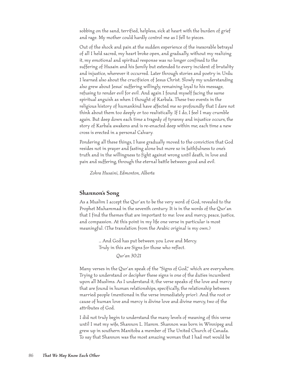sobbing on the sand, terrified, helpless, sick at heart with the burden of grief and rage. My mother could hardly control me as I fell to pieces.

Out of the shock and pain at the sudden experience of the inexorable betrayal of all I held sacred, my heart broke open, and gradually, without my realizing it, my emotional and spiritual response was no longer confined to the suffering of Husain and his family but extended to every incident of brutality and injustice, wherever it occurred. Later through stories and poetry in Urdu I learned also about the crucifixion of Jesus Christ. Slowly my understanding also grew about Jesus' suffering willingly, remaining loyal to his message, refusing to render evil for evil. And again I found myself facing the same spiritual anguish as when I thought of Karbala. These two events in the religious history of humankind have affected me so profoundly that I dare not think about them too deeply or too realistically. If I do, I feel I may crumble again. But deep down each time a tragedy of tyranny and injustice occurs, the story of Karbala awakens and is re-enacted deep within me; each time a new cross is erected in a personal Calvary.

Pondering all these things, I have gradually moved to the conviction that God resides not in prayer and fasting alone but more so in faithfulness to one's truth and in the willingness to fight against wrong until death, in love and pain and suffering, through the eternal battle between good and evil.

*Zohra Husaini, Edmonton, Alberta*

#### Shannon's Song

As a Muslim I accept the Qur'an to be the very word of God, revealed to the Prophet Muhammad in the seventh century. It is in the words of the Qur'an that I find the themes that are important to me: love and mercy, peace, justice, and compassion. At this point in my life one verse in particular is most meaningful. (The translation from the Arabic original is my own.)

> … And God has put between you Love and Mercy. Truly in this are Signs for those who reflect. *Qur'an 30:21*

Many verses in the Qur'an speak of the "Signs of God," which are everywhere. Trying to understand or decipher these signs is one of the duties incumbent upon all Muslims. As I understand it, the verse speaks of the love and mercy that are found in human relationships, specifically, the relationship between married people (mentioned in the verse immediately prior). And the root or cause of human love and mercy is divine love and divine mercy, two of the attributes of God.

I did not truly begin to understand the many levels of meaning of this verse until I met my wife, Shannon L. Hamm. Shannon was born in Winnipeg and grew up in southern Manitoba a member of The United Church of Canada. To say that Shannon was the most amazing woman that I had met would be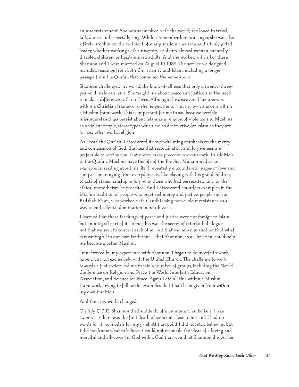an understatement. She was so involved with the world; she loved to travel, talk, dance, and especially sing. While I remember her as a singer, she was also a first-rate thinker, the recipient of many academic awards, and a truly gifted leader, whether working with university students, abused women, mentally disabled children, or head-injured adults. And she worked with all of these. Shannon and I were married on August 19, 1989. The service we designed included readings from both Christianity and Islam, including a longer passage from the Qur'an that contained the verse above.

Shannon challenged my world, the know-it-allness that only a twenty-threeyear-old male can have. She taught me about peace and justice and the need to make a difference with our lives. Although she discovered her answers within a Christian framework, she helped me to find my own answers within a Muslim framework. This is important for me to say because terrible misunderstandings persist about Islam as a religion of violence and Muslims as a violent people, stereotypes which are as destructive for Islam as they are for any other world religion.

As I read the Qur'an, I discovered its overwhelming emphasis on the mercy and compassion of God: the idea that reconciliation and forgiveness are preferable to retribution, that mercy takes precedence over wrath. In addition to the Qur'an, Muslims have the life of the Prophet Muhammad as an example. In reading about his life, I repeatedly encountered images of love and compassion, ranging from everyday acts, like playing with his grandchildren, to acts of statesmanship in forgiving those who had persecuted him for the ethical monotheism he preached. And I discovered countless examples in the Muslim tradition of people who practised mercy and justice, people such as Badshah Khan, who worked with Gandhi using non-violent resistance as a way to end colonial domination in South Asia.

I learned that these teachings of peace and justice were not foreign to Islam but an integral part of it. To me, this was the secret of interfaith dialogue not that we seek to convert each other, but that we help one another find what is meaningful in our own traditions—that Shannon, as a Christian, could help me become a better Muslim.

Transformed by my experience with Shannon, I began to do interfaith work, largely, but not exclusively, with the United Church. The challenge to work towards a just society led me to join a number of groups, including the World Conference on Religion and Peace, the World Interfaith Education Association, and Science for Peace. Again I did all this within a Muslim framework, trying to follow the examples that I had been given from within my own tradition.

And then my world changed.

On July 7, 1992, Shannon died suddenly of a pulmonary embolism. I was twenty-six; hers was the first death of someone close to me, and I had no words for it, no models for my grief. At that point I did not stop believing, but I did not know what to believe. I could not reconcile the ideas of a loving and merciful and all-powerful God with a God that would let Shannon die. At her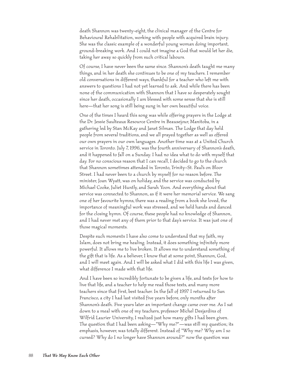death Shannon was twenty-eight, the clinical manager of the Centre for Behavioural Rehabilitation, working with people with acquired brain injury. She was the classic example of a wonderful young woman doing important, ground-breaking work. And I could not imagine a God that would let her die, taking her away so quickly from such critical labours.

Of course, I have never been the same since. Shannon's death taught me many things, and in her death she continues to be one of my teachers. I remember old conversations in different ways, thankful for a teacher who left me with answers to questions I had not yet learned to ask. And while there has been none of the communication with Shannon that I have so desperately sought since her death, occasionally I am blessed with some sense that she is still here—that her song is still being sung in her own beautiful voice.

One of the times I heard this song was while offering prayers in the Lodge at the Dr. Jessie Saulteaux Resource Centre in Beausejour, Manitoba, in a gathering led by Stan McKay and Janet Silman. The Lodge that day held people from several traditions, and we all prayed together as well as offered our own prayers in our own languages. Another time was at a United Church service in Toronto. July 7, 1996, was the fourth anniversary of Shannon's death, and it happened to fall on a Sunday. I had no idea what to do with myself that day. For no conscious reason that I can recall, I decided to go to the church that Shannon sometimes attended in Toronto, Trinity–St. Paul's on Bloor Street. I had never been to a church by myself for no reason before. The minister, Joan Wyatt, was on holiday, and the service was conducted by Michael Cooke, Juliet Huntly, and Sarah Yoon. And everything about that service was connected to Shannon, as if it were her memorial service. We sang one of her favourite hymns, there was a reading from a book she loved, the importance of meaningful work was stressed, and we held hands and danced for the closing hymn. Of course, these people had no knowledge of Shannon, and I had never met any of them prior to that day's service. It was just one of those magical moments.

Despite such moments I have also come to understand that my faith, my Islam, does not bring me healing. Instead, it does something infinitely more powerful. It allows me to live broken. It allows me to understand something of the gift that is life. As a believer, I know that at some point, Shannon, God, and I will meet again. And I will be asked what I did with this life I was given, what difference I made with that life.

And I have been so incredibly fortunate to be given a life, and texts for how to live that life, and a teacher to help me read those texts, and many more teachers since that first, best teacher. In the fall of 1997 I returned to San Francisco, a city I had last visited five years before, only months after Shannon's death. Five years later an important change came over me. As I sat down to a meal with one of my teachers, professor Michel Desjardins of Wilfrid Laurier University, I realized just how many gifts I had been given. The question that I had been asking—"Why me?"—was still my question; its emphasis, however, was totally different. Instead of "Why me? Why am I so cursed? Why do I no longer have Shannon around?" now the question was